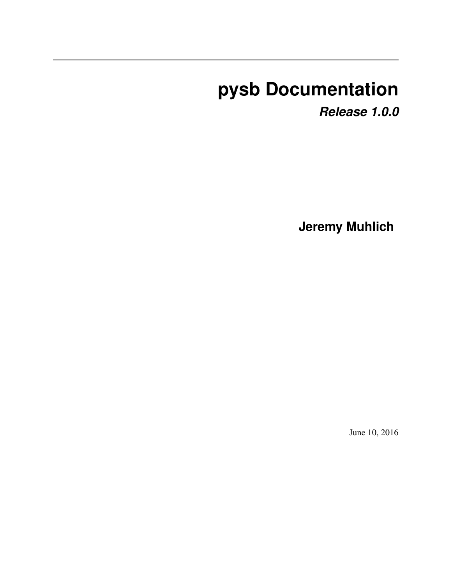# **pysb Documentation**

*Release 1.0.0*

**Jeremy Muhlich**

June 10, 2016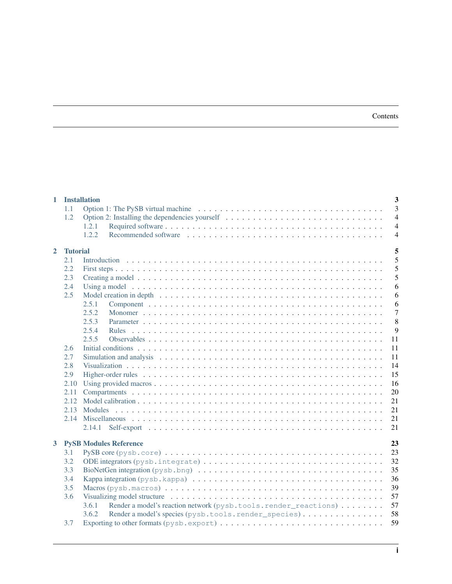### Contents

| $\mathbf{1}$ |                 | 3<br><b>Installation</b>                                                                                                             |
|--------------|-----------------|--------------------------------------------------------------------------------------------------------------------------------------|
|              | 1.1             | $\overline{3}$                                                                                                                       |
|              | 1.2             | $\overline{4}$                                                                                                                       |
|              |                 | $\overline{4}$<br>1.2.1                                                                                                              |
|              |                 | $\overline{4}$<br>1.2.2                                                                                                              |
|              |                 |                                                                                                                                      |
| $\mathbf{2}$ | <b>Tutorial</b> | 5                                                                                                                                    |
|              | 2.1             | 5                                                                                                                                    |
|              | 2.2             | 5                                                                                                                                    |
|              | 2.3             | 5                                                                                                                                    |
|              | 2.4             | 6                                                                                                                                    |
|              | 2.5             | Model creation in depth $\dots \dots \dots \dots \dots \dots \dots \dots \dots \dots \dots \dots \dots \dots \dots \dots \dots$<br>6 |
|              |                 | 2.5.1<br>6                                                                                                                           |
|              |                 | $\overline{7}$<br>2.5.2                                                                                                              |
|              |                 | 8<br>2.5.3                                                                                                                           |
|              |                 | 9<br>2.5.4<br><b>Rules</b>                                                                                                           |
|              |                 | 2.5.5<br>11                                                                                                                          |
|              | 2.6             | 11                                                                                                                                   |
|              | 2.7             | 11                                                                                                                                   |
|              | 2.8             | 14                                                                                                                                   |
|              | 2.9             | 15                                                                                                                                   |
|              | 2.10            | 16                                                                                                                                   |
|              | 2.11            | 20                                                                                                                                   |
|              | 2.12            | 21                                                                                                                                   |
|              | 2.13            | 21                                                                                                                                   |
|              | 2.14            | 21                                                                                                                                   |
|              |                 | 21<br>2.14.1                                                                                                                         |
|              |                 |                                                                                                                                      |
| $3^{\circ}$  |                 | 23<br><b>PySB Modules Reference</b>                                                                                                  |
|              | 3.1             | 23                                                                                                                                   |
|              | 3.2             | 32                                                                                                                                   |
|              | 3.3             | 35                                                                                                                                   |
|              | 3.4             | 36                                                                                                                                   |
|              | 3.5             | 39                                                                                                                                   |
|              | 3.6             | 57                                                                                                                                   |
|              |                 | Render a model's reaction network (pysb.tools.render_reactions)<br>57<br>3.6.1                                                       |
|              |                 | 58<br>3.6.2<br>Render a model's species (pysb.tools.render_species)                                                                  |
|              | 3.7             | 59                                                                                                                                   |
|              |                 |                                                                                                                                      |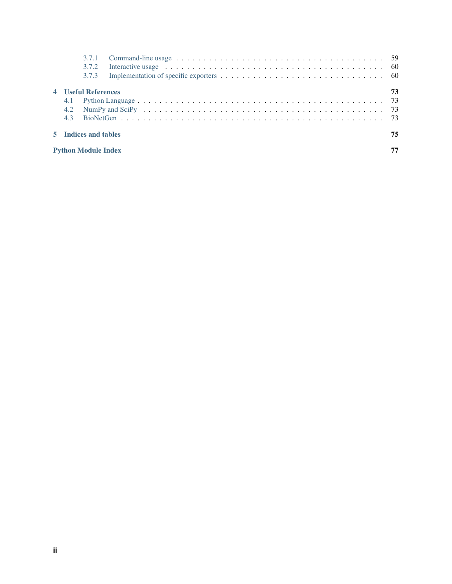| 3.7.3                      |                                                                                                                                                                                                                               |    |
|----------------------------|-------------------------------------------------------------------------------------------------------------------------------------------------------------------------------------------------------------------------------|----|
| <b>4</b> Useful References |                                                                                                                                                                                                                               | 73 |
| 4.1                        |                                                                                                                                                                                                                               |    |
| 4.2                        | NumPy and SciPy (and state of the contract of the contract of the contract of the contract of the contract of the contract of the contract of the contract of the contract of the contract of the contract of the contract of |    |
| 4.3                        |                                                                                                                                                                                                                               |    |
| 5 Indices and tables       |                                                                                                                                                                                                                               | 75 |
| <b>Python Module Index</b> |                                                                                                                                                                                                                               |    |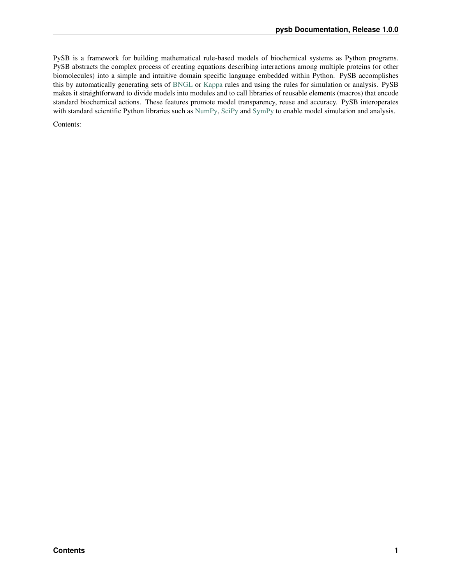PySB is a framework for building mathematical rule-based models of biochemical systems as Python programs. PySB abstracts the complex process of creating equations describing interactions among multiple proteins (or other biomolecules) into a simple and intuitive domain specific language embedded within Python. PySB accomplishes this by automatically generating sets of [BNGL](http://www.bionetgen.org) or [Kappa](http://www.kappalanguage.org) rules and using the rules for simulation or analysis. PySB makes it straightforward to divide models into modules and to call libraries of reusable elements (macros) that encode standard biochemical actions. These features promote model transparency, reuse and accuracy. PySB interoperates with standard scientific Python libraries such as [NumPy,](http://numpy.scipy.org) [SciPy](http://www.scipy.org) and [SymPy](http://sympy.org) to enable model simulation and analysis.

Contents: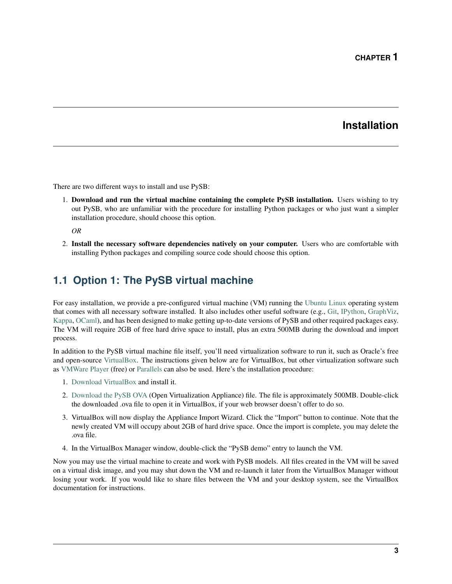# **Installation**

<span id="page-6-0"></span>There are two different ways to install and use PySB:

1. Download and run the virtual machine containing the complete PySB installation. Users wishing to try out PySB, who are unfamiliar with the procedure for installing Python packages or who just want a simpler installation procedure, should choose this option.

*OR*

2. Install the necessary software dependencies natively on your computer. Users who are comfortable with installing Python packages and compiling source code should choose this option.

# <span id="page-6-1"></span>**1.1 Option 1: The PySB virtual machine**

For easy installation, we provide a pre-configured virtual machine (VM) running the [Ubuntu Linux](http://www.ubuntu.com) operating system that comes with all necessary software installed. It also includes other useful software (e.g., [Git,](http://git-scm.com) [IPython,](http://ipython.org/) [GraphViz,](http://www.graphviz.org/) [Kappa,](http://www.kappalanguage.org) [OCaml\)](http://caml.inria.fr/ocaml/), and has been designed to make getting up-to-date versions of PySB and other required packages easy. The VM will require 2GB of free hard drive space to install, plus an extra 500MB during the download and import process.

In addition to the PySB virtual machine file itself, you'll need virtualization software to run it, such as Oracle's free and open-source [VirtualBox.](https://www.virtualbox.org/) The instructions given below are for VirtualBox, but other virtualization software such as [VMWare Player](http://www.vmware.com/products/player/) (free) or [Parallels](http://www.parallels.com/) can also be used. Here's the installation procedure:

- 1. [Download VirtualBox](https://www.virtualbox.org/wiki/Downloads) and install it.
- 2. [Download the PySB OVA](http://www.pysb.org/#download) (Open Virtualization Appliance) file. The file is approximately 500MB. Double-click the downloaded .ova file to open it in VirtualBox, if your web browser doesn't offer to do so.
- 3. VirtualBox will now display the Appliance Import Wizard. Click the "Import" button to continue. Note that the newly created VM will occupy about 2GB of hard drive space. Once the import is complete, you may delete the .ova file.
- 4. In the VirtualBox Manager window, double-click the "PySB demo" entry to launch the VM.

Now you may use the virtual machine to create and work with PySB models. All files created in the VM will be saved on a virtual disk image, and you may shut down the VM and re-launch it later from the VirtualBox Manager without losing your work. If you would like to share files between the VM and your desktop system, see the VirtualBox documentation for instructions.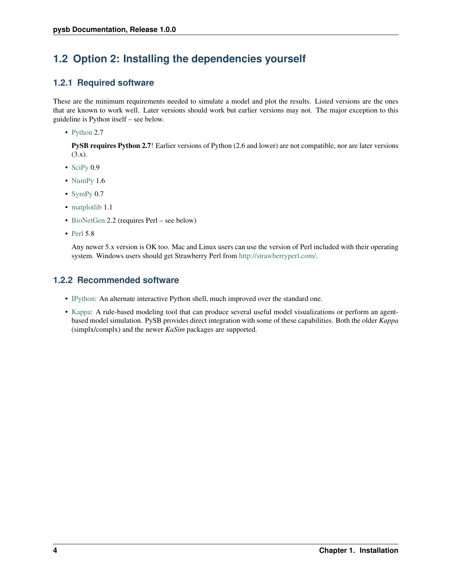# <span id="page-7-0"></span>**1.2 Option 2: Installing the dependencies yourself**

### <span id="page-7-1"></span>**1.2.1 Required software**

These are the minimum requirements needed to simulate a model and plot the results. Listed versions are the ones that are known to work well. Later versions should work but earlier versions may not. The major exception to this guideline is Python itself – see below.

• [Python](http://www.python.org/) 2.7

PySB requires Python 2.7! Earlier versions of Python (2.6 and lower) are not compatible, nor are later versions  $(3.x).$ 

- [SciPy](http://www.scipy.org/)  $0.9$
- [NumPy](http://numpy.scipy.org/) 1.6
- [SymPy](http://sympy.org/) 0.7
- [matplotlib](http://matplotlib.org/) 1.1
- [BioNetGen](http://www.bionetgen.org/) 2.2 (requires Perl see below)
- [Perl](http://www.perl.org/) 5.8

Any newer 5.x version is OK too. Mac and Linux users can use the version of Perl included with their operating system. Windows users should get Strawberry Perl from [http://strawberryperl.com/.](http://strawberryperl.com/)

### <span id="page-7-2"></span>**1.2.2 Recommended software**

- [IPython:](http://ipython.org/) An alternate interactive Python shell, much improved over the standard one.
- [Kappa:](http://www.kappalanguage.org) A rule-based modeling tool that can produce several useful model visualizations or perform an agentbased model simulation. PySB provides direct integration with some of these capabilities. Both the older *Kappa* (simplx/complx) and the newer *KaSim* packages are supported.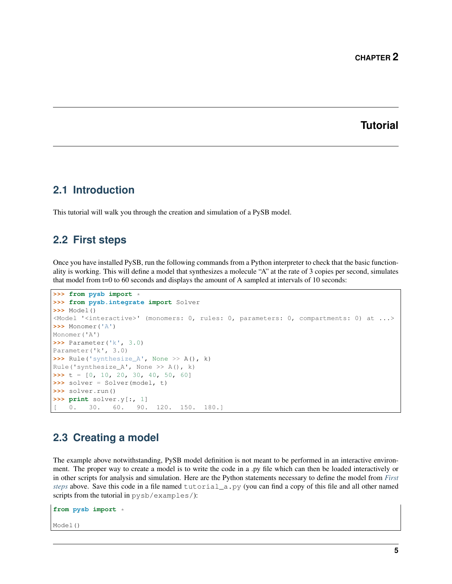### **Tutorial**

### <span id="page-8-1"></span><span id="page-8-0"></span>**2.1 Introduction**

This tutorial will walk you through the creation and simulation of a PySB model.

### <span id="page-8-2"></span>**2.2 First steps**

Once you have installed PySB, run the following commands from a Python interpreter to check that the basic functionality is working. This will define a model that synthesizes a molecule "A" at the rate of 3 copies per second, simulates that model from t=0 to 60 seconds and displays the amount of A sampled at intervals of 10 seconds:

```
>>> from pysb import *
>>> from pysb.integrate import Solver
>>> Model()
<Model '<interactive>' (monomers: 0, rules: 0, parameters: 0, compartments: 0) at ...>
>>> Monomer('A')
Monomer('A')
>>> Parameter('k', 3.0)
Parameter('k', 3.0)
>>> Rule('synthesize_A', None >> A(), k)
Rule('synthesize_A', None >> A(), k)
>>> t = [0, 10, 20, 30, 40, 50, 60]
>>> solver = Solver(model, t)
>>> solver.run()
>>> print solver.y[:, 1]
    0. 30. 60. 90. 120. 150. 180.]
```
# <span id="page-8-3"></span>**2.3 Creating a model**

The example above notwithstanding, PySB model definition is not meant to be performed in an interactive environment. The proper way to create a model is to write the code in a .py file which can then be loaded interactively or in other scripts for analysis and simulation. Here are the Python statements necessary to define the model from *[First](#page-8-2) [steps](#page-8-2)* above. Save this code in a file named tutorial\_a.py (you can find a copy of this file and all other named scripts from the tutorial in pysb/examples/):

```
from pysb import *
Model()
```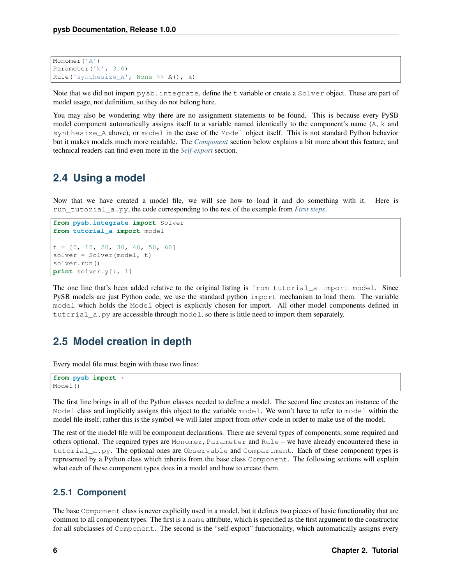```
Monomer('A')
Parameter('k', 3.0)
Rule('synthesize_A', None >> A(), k)
```
Note that we did not import pysb.integrate, define the t variable or create a Solver object. These are part of model usage, not definition, so they do not belong here.

You may also be wondering why there are no assignment statements to be found. This is because every PySB model component automatically assigns itself to a variable named identically to the component's name (A, k and synthesize\_A above), or model in the case of the Model object itself. This is not standard Python behavior but it makes models much more readable. The *[Component](#page-9-2)* section below explains a bit more about this feature, and technical readers can find even more in the *[Self-export](#page-24-3)* section.

### <span id="page-9-0"></span>**2.4 Using a model**

Now that we have created a model file, we will see how to load it and do something with it. Here is run\_tutorial\_a.py, the code corresponding to the rest of the example from *[First steps](#page-8-2)*.

```
from pysb.integrate import Solver
from tutorial_a import model
t = [0, 10, 20, 30, 40, 50, 60]solver = Solver(model, t)
solver.run()
print solver.y[:, 1]
```
The one line that's been added relative to the original listing is from tutorial\_a import model. Since PySB models are just Python code, we use the standard python import mechanism to load them. The variable model which holds the Model object is explicitly chosen for import. All other model components defined in tutorial\_a.py are accessible through model, so there is little need to import them separately.

# <span id="page-9-1"></span>**2.5 Model creation in depth**

Every model file must begin with these two lines:

```
from pysb import *
Model()
```
The first line brings in all of the Python classes needed to define a model. The second line creates an instance of the Model class and implicitly assigns this object to the variable model. We won't have to refer to model within the model file itself, rather this is the symbol we will later import from *other* code in order to make use of the model.

The rest of the model file will be component declarations. There are several types of components, some required and others optional. The required types are Monomer, Parameter and Rule – we have already encountered these in tutorial\_a.py. The optional ones are Observable and Compartment. Each of these component types is represented by a Python class which inherits from the base class Component. The following sections will explain what each of these component types does in a model and how to create them.

### <span id="page-9-2"></span>**2.5.1 Component**

The base Component class is never explicitly used in a model, but it defines two pieces of basic functionality that are common to all component types. The first is a name attribute, which is specified as the first argument to the constructor for all subclasses of Component. The second is the "self-export" functionality, which automatically assigns every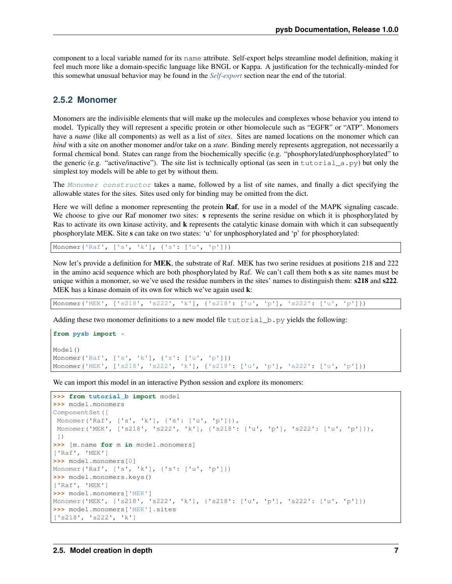component to a local variable named for its name attribute. Self-export helps streamline model definition, making it feel much more like a domain-specific language like BNGL or Kappa. A justification for the technically-minded for this somewhat unusual behavior may be found in the *[Self-export](#page-24-3)* section near the end of the tutorial.

### <span id="page-10-0"></span>**2.5.2 Monomer**

Monomers are the indivisible elements that will make up the molecules and complexes whose behavior you intend to model. Typically they will represent a specific protein or other biomolecule such as "EGFR" or "ATP". Monomers have a *name* (like all components) as well as a list of *sites*. Sites are named locations on the monomer which can *bind* with a site on another monomer and/or take on a *state*. Binding merely represents aggregation, not necessarily a formal chemical bond. States can range from the biochemically specific (e.g. "phosphorylated/unphosphorylated" to the generic (e.g. "active/inactive"). The site list is technically optional (as seen in tutorial  $\alpha$ .py) but only the simplest toy models will be able to get by without them.

The [Monomer constructor](#page-31-0) takes a name, followed by a list of site names, and finally a dict specifying the allowable states for the sites. Sites used only for binding may be omitted from the dict.

Here we will define a monomer representing the protein Raf, for use in a model of the MAPK signaling cascade. We choose to give our Raf monomer two sites: s represents the serine residue on which it is phosphorylated by Ras to activate its own kinase activity, and k represents the catalytic kinase domain with which it can subsequently phosphorylate MEK. Site s can take on two states: 'u' for unphosphorylated and 'p' for phosphorylated:

Monomer('Raf', ['s', 'k'], {'s': ['u', 'p']})

Now let's provide a definition for MEK, the substrate of Raf. MEK has two serine residues at positions 218 and 222 in the amino acid sequence which are both phosphorylated by Raf. We can't call them both s as site names must be unique within a monomer, so we've used the residue numbers in the sites' names to distinguish them:  $\angle 218$  and  $\angle 222$ . MEK has a kinase domain of its own for which we've again used **k**:

Monomer('MEK', ['s218', 's222', 'k'], {'s218': ['u', 'p'], 's222': ['u', 'p']})

Adding these two monomer definitions to a new model file  $\text{tutoff}$ , by yields the following:

```
from pysb import *
Model()
Monomer('Raf', ['s', 'k'], {'s': ['u', 'p']})
Monomer('MEK', ['s218', 's222', 'k'], {'s218': ['u', 'p'], 's222': ['u', 'p']})
```
We can import this model in an interactive Python session and explore its monomers:

```
>>> from tutorial_b import model
>>> model.monomers
ComponentSet([
Monomer('Raf', ['s', 'k'], {'s': ['u', 'p']}),
Monomer('MEK', ['s218', 's222', 'k'], {'s218': ['u', 'p'], 's222': ['u', 'p']}),
])
>>> [m.name for m in model.monomers]
['Raf', 'MEK']
>>> model.monomers[0]
Monomer('Raf', ['s', 'k'], {'s': ['u', 'p']})
>>> model.monomers.keys()
['Raf', 'MEK']
>>> model.monomers['MEK']
Monomer('MEK', ['s218', 's222', 'k'], {'s218': ['u', 'p'], 's222': ['u', 'p']})
>>> model.monomers['MEK'].sites
['s218', 's222', 'k']
```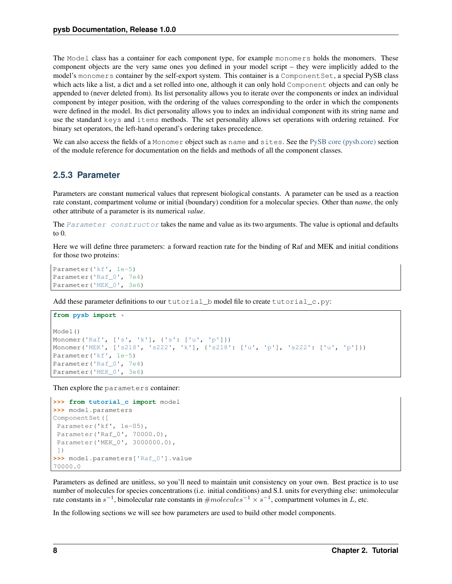The Model class has a container for each component type, for example monomers holds the monomers. These component objects are the very same ones you defined in your model script – they were implicitly added to the model's monomers container by the self-export system. This container is a Component Set, a special PySB class which acts like a list, a dict and a set rolled into one, although it can only hold Component objects and can only be appended to (never deleted from). Its list personality allows you to iterate over the components or index an individual component by integer position, with the ordering of the values corresponding to the order in which the components were defined in the model. Its dict personality allows you to index an individual component with its string name and use the standard keys and items methods. The set personality allows set operations with ordering retained. For binary set operators, the left-hand operand's ordering takes precedence.

We can also access the fields of a Monomer object such as name and sites. See the [PySB core \(pysb.core\)](#page-26-1) section of the module reference for documentation on the fields and methods of all the component classes.

### <span id="page-11-0"></span>**2.5.3 Parameter**

Parameters are constant numerical values that represent biological constants. A parameter can be used as a reaction rate constant, compartment volume or initial (boundary) condition for a molecular species. Other than *name*, the only other attribute of a parameter is its numerical *value*.

```
Parameter constructor takes the name and value as its two arguments. The value is optional and defaults
to 0.
```
Here we will define three parameters: a forward reaction rate for the binding of Raf and MEK and initial conditions for those two proteins:

```
Parameter('kf', 1e-5)
Parameter('Raf_0', 7e4)
Parameter('MEK_0', 3e6)
```
Add these parameter definitions to our tutorial b model file to create tutorial c.py:

```
from pysb import *
Model()
Monomer('Raf', ['s', 'k'], {'s': ['u', 'p']})
Monomer('MEK', ['s218', 's222', 'k'], {'s218': ['u', 'p'], 's222': ['u', 'p']})
Parameter('kf', 1e-5)
Parameter('Raf_0', 7e4)
Parameter('MEK_0', 3e6)
```
Then explore the parameters container:

```
>>> from tutorial_c import model
>>> model.parameters
ComponentSet([
Parameter('kf', 1e-05),
Parameter('Raf_0', 70000.0),
Parameter('MEK_0', 3000000.0),
])
>>> model.parameters['Raf_0'].value
70000.0
```
Parameters as defined are unitless, so you'll need to maintain unit consistency on your own. Best practice is to use number of molecules for species concentrations (i.e. initial conditions) and S.I. units for everything else: unimolecular rate constants in  $s^{-1}$ , bimolecular rate constants in  $\# molecules^{-1} \times s^{-1}$ , compartment volumes in L, etc.

In the following sections we will see how parameters are used to build other model components.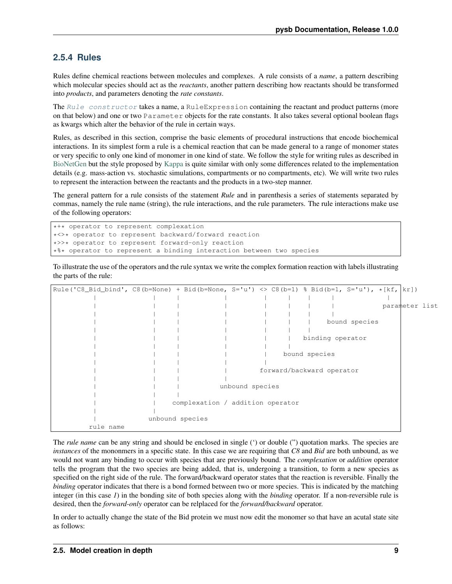### <span id="page-12-0"></span>**2.5.4 Rules**

Rules define chemical reactions between molecules and complexes. A rule consists of a *name*, a pattern describing which molecular species should act as the *reactants*, another pattern describing how reactants should be transformed into *products*, and parameters denoting the *rate constants*.

The [Rule constructor](#page-33-0) takes a name, a RuleExpression containing the reactant and product patterns (more on that below) and one or two Parameter objects for the rate constants. It also takes several optional boolean flags as kwargs which alter the behavior of the rule in certain ways.

Rules, as described in this section, comprise the basic elements of procedural instructions that encode biochemical interactions. In its simplest form a rule is a chemical reaction that can be made general to a range of monomer states or very specific to only one kind of monomer in one kind of state. We follow the style for writing rules as described in [BioNetGen](http://bionetgen.org/index.php/Documentation) but the style proposed by [Kappa](http://www.kappalanguage.org/documentation) is quite similar with only some differences related to the implementation details (e.g. mass-action vs. stochastic simulations, compartments or no compartments, etc). We will write two rules to represent the interaction between the reactants and the products in a two-step manner.

The general pattern for a rule consists of the statement *Rule* and in parenthesis a series of statements separated by commas, namely the rule name (string), the rule interactions, and the rule parameters. The rule interactions make use of the following operators:

```
*+* operator to represent complexation
*<>* operator to represent backward/forward reaction
*>>* operator to represent forward-only reaction
*%* operator to represent a binding interaction between two species
```
To illustrate the use of the operators and the rule syntax we write the complex formation reaction with labels illustrating the parts of the rule:

| $\lceil \text{Rule}(\text{IC8\_Bid\_bind'}, \text{ C8(b=None)} + \text{Bid}(\text{b=None}, \text{S='u'}) \implies \text{C8(b=1)} \text{ % Bid(b=1, S='u')}, \star [\text{kf, kr}])$ |                 |                                  |                 |  |                           |               |                |  |
|-------------------------------------------------------------------------------------------------------------------------------------------------------------------------------------|-----------------|----------------------------------|-----------------|--|---------------------------|---------------|----------------|--|
|                                                                                                                                                                                     |                 |                                  |                 |  |                           |               |                |  |
|                                                                                                                                                                                     |                 |                                  |                 |  |                           |               | parameter list |  |
|                                                                                                                                                                                     |                 |                                  |                 |  |                           |               |                |  |
|                                                                                                                                                                                     |                 |                                  |                 |  |                           | bound species |                |  |
|                                                                                                                                                                                     |                 |                                  |                 |  |                           |               |                |  |
|                                                                                                                                                                                     |                 |                                  |                 |  | binding operator          |               |                |  |
|                                                                                                                                                                                     |                 |                                  |                 |  |                           |               |                |  |
|                                                                                                                                                                                     |                 |                                  |                 |  | bound species             |               |                |  |
|                                                                                                                                                                                     |                 |                                  |                 |  |                           |               |                |  |
|                                                                                                                                                                                     |                 |                                  |                 |  | forward/backward operator |               |                |  |
|                                                                                                                                                                                     |                 |                                  |                 |  |                           |               |                |  |
|                                                                                                                                                                                     |                 |                                  | unbound species |  |                           |               |                |  |
|                                                                                                                                                                                     |                 |                                  |                 |  |                           |               |                |  |
|                                                                                                                                                                                     |                 | complexation / addition operator |                 |  |                           |               |                |  |
|                                                                                                                                                                                     |                 |                                  |                 |  |                           |               |                |  |
|                                                                                                                                                                                     | unbound species |                                  |                 |  |                           |               |                |  |
| rule name                                                                                                                                                                           |                 |                                  |                 |  |                           |               |                |  |

The *rule name* can be any string and should be enclosed in single (') or double (') quotation marks. The species are *instances* of the mononmers in a specific state. In this case we are requiring that *C8* and *Bid* are both unbound, as we would not want any binding to occur with species that are previously bound. The *complexation* or *addition* operator tells the program that the two species are being added, that is, undergoing a transition, to form a new species as specified on the right side of the rule. The forward/backward operator states that the reaction is reversible. Finally the *binding* operator indicates that there is a bond formed between two or more species. This is indicated by the matching integer (in this case *1*) in the bonding site of both species along with the *binding* operator. If a non-reversible rule is desired, then the *forward-only* operator can be relplaced for the *forward/backward* operator.

In order to actually change the state of the Bid protein we must now edit the monomer so that have an acutal state site as follows: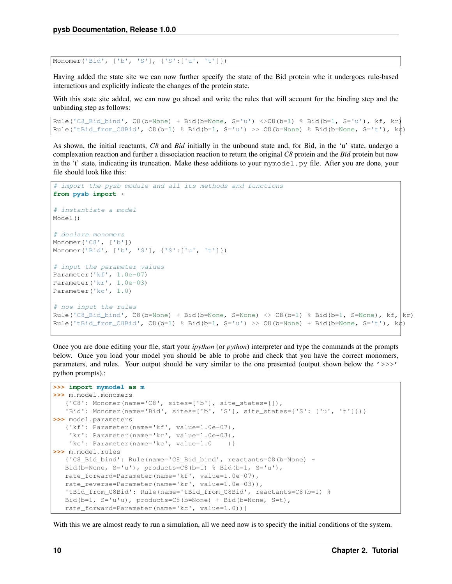Monomer('Bid', ['b', 'S'], {'S':['u', 't']})

Having added the state site we can now further specify the state of the Bid protein whe it undergoes rule-based interactions and explicitly indicate the changes of the protein state.

With this state site added, we can now go ahead and write the rules that will account for the binding step and the unbinding step as follows:

```
Rule('C8\_Bid\_bind', C8(b=None) + Bid(b=None, S='u') <> C8(b=1) % Bid(b=1, S='u'), kf, kr)Rule('tBid_from_C8Bid', C8(b=1) % Bid(b=1, S='u') >> C8(b=None) % Bid(b=None, S='t'), k\phi)
```
As shown, the initial reactants, *C8* and *Bid* initially in the unbound state and, for Bid, in the 'u' state, undergo a complexation reaction and further a dissociation reaction to return the original *C8* protein and the *Bid* protein but now in the 't' state, indicating its truncation. Make these additions to your mymodel. py file. After you are done, your file should look like this:

```
# import the pysb module and all its methods and functions
from pysb import *
# instantiate a model
Model()
# declare monomers
Monomer('C8', ['b'])
Monomer('Bid', ['b', 'S'], {'S':['u', 't']})
# input the parameter values
Parameter('kf', 1.0e-07)
Parameter('kr', 1.0e-03)
Parameter('kc', 1.0)
# now input the rules
Rule('C8_Bid_bind', C8(b=None) + Bid(b=None, S=None) <> C8(b=1) % Bid(b=1, S=None), kf, kr)
Rule('tBid_from_C8Bid', C8(b=1) % Bid(b=1, S='u') >> C8(b=None) + Bid(b=None, S='t'), k\downarrow)
```
Once you are done editing your file, start your *ipython* (or *python*) interpreter and type the commands at the prompts below. Once you load your model you should be able to probe and check that you have the correct monomers, parameters, and rules. Your output should be very similar to the one presented (output shown below the '>>>' python prompts).:

```
>>> import mymodel as m
>>> m.model.monomers
   {'C8': Monomer(name='C8', sites=['b'], site_states={}),
   'Bid': Monomer(name='Bid', sites=['b', 'S'], site_states={'S': ['u', 't']})}
>>> model.parameters
   {'kf': Parameter(name='kf', value=1.0e-07),
    'kr': Parameter(name='kr', value=1.0e-03),
    'kc': Parameter(name='kc', value=1.0 ) }
>>> m.model.rules
   {'C8_Bid_bind': Rule(name='C8_Bid_bind', reactants=C8(b=None) +
  Bid(b=None, S='u'), products=C8(b=1) % Bid(b=1, S='u'),
  rate_forward=Parameter(name='kf', value=1.0e-07),
  rate_reverse=Parameter(name='kr', value=1.0e-03)),
  'tBid_from_C8Bid': Rule(name='tBid_from_C8Bid', reactants=C8(b=1) %
  Bid(b=1, S='u'u), products=C8(b=None) + Bid(b=None, S=t),
   rate_forward=Parameter(name='kc', value=1.0))}
```
With this we are almost ready to run a simulation, all we need now is to specify the initial conditions of the system.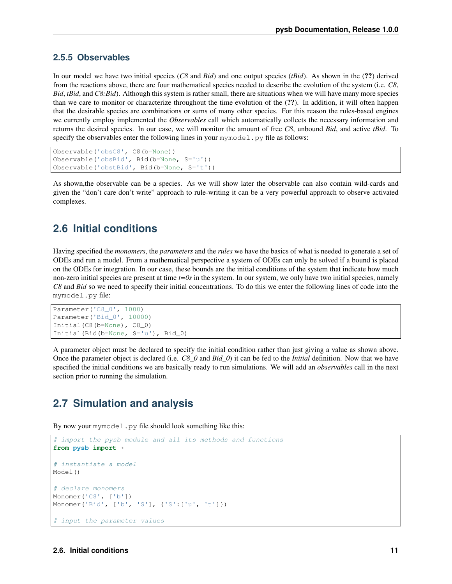### <span id="page-14-0"></span>**2.5.5 Observables**

In our model we have two initial species (*C8* and *Bid*) and one output species (*tBid*). As shown in the (??) derived from the reactions above, there are four mathematical species needed to describe the evolution of the system (i.e. *C8*, *Bid*, *tBid*, and *C8:Bid*). Although this system is rather small, there are situations when we will have many more species than we care to monitor or characterize throughout the time evolution of the (??). In addition, it will often happen that the desirable species are combinations or sums of many other species. For this reason the rules-based engines we currently employ implemented the *Observables* call which automatically collects the necessary information and returns the desired species. In our case, we will monitor the amount of free *C8*, unbound *Bid*, and active *tBid*. To specify the observables enter the following lines in your mymodel.  $py$  file as follows:

```
Observable('obsC8', C8(b=None))
Observable('obsBid', Bid(b=None, S='u'))
Observable('obstBid', Bid(b=None, S='t'))
```
As shown,the observable can be a species. As we will show later the observable can also contain wild-cards and given the "don't care don't write" approach to rule-writing it can be a very powerful approach to observe activated complexes.

# <span id="page-14-1"></span>**2.6 Initial conditions**

Having specified the *monomers*, the *parameters* and the *rules* we have the basics of what is needed to generate a set of ODEs and run a model. From a mathematical perspective a system of ODEs can only be solved if a bound is placed on the ODEs for integration. In our case, these bounds are the initial conditions of the system that indicate how much non-zero initial species are present at time *t=0s* in the system. In our system, we only have two initial species, namely *C8* and *Bid* so we need to specify their initial concentrations. To do this we enter the following lines of code into the mymodel.py file:

```
Parameter('C8_0', 1000)
Parameter('Bid_0', 10000)
Initial(C8(b=None), C8_0)
Initial(Bid(b=None, S='u'), Bid_0)
```
A parameter object must be declared to specify the initial condition rather than just giving a value as shown above. Once the parameter object is declared (i.e. *C8\_0* and *Bid\_0*) it can be fed to the *Initial* definition. Now that we have specified the initial conditions we are basically ready to run simulations. We will add an *observables* call in the next section prior to running the simulation.

# <span id="page-14-2"></span>**2.7 Simulation and analysis**

By now your mymodel.py file should look something like this:

```
# import the pysb module and all its methods and functions
from pysb import *
# instantiate a model
Model()
# declare monomers
Monomer('C8', ['b'])
Monomer('Bid', ['b', 'S'], {'S':['u', 't']})
 input the parameter values
```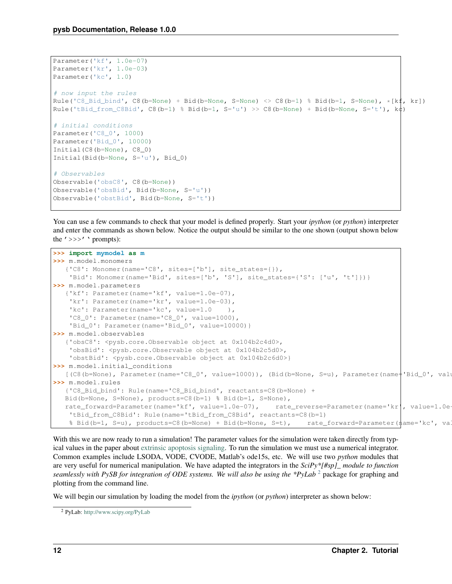```
Parameter('kf', 1.0e-07)
Parameter('kr', 1.0e-03)
Parameter('kc', 1.0)
# now input the rules
Rule('C8_Bid_bind', C8(b=None) + Bid(b=None, S=None) <> C8(b=1) % Bid(b=1, S=None), *[k\,\sharp, kr])
Rule('tBid_from_C8Bid', C8(b=1) % Bid(b=1, S='u') >> C8(b=None) + Bid(b=None, S='t'), k\phi)
# initial conditions
Parameter('C8_0', 1000)
Parameter('Bid_0', 10000)
Initial(C8(b=None), C8_0)
Initial(Bid(b=None, S='u'), Bid_0)
# Observables
Observable('obsC8', C8(b=None))
Observable('obsBid', Bid(b=None, S='u'))
Observable('obstBid', Bid(b=None, S='t'))
```
You can use a few commands to check that your model is defined properly. Start your *ipython* (or *python*) interpreter and enter the commands as shown below. Notice the output should be similar to the one shown (output shown below the  $\prime$  >>> $\prime$  ' prompts):

```
>>> import mymodel as m
>>> m.model.monomers
   {'C8': Monomer(name='C8', sites=['b'], site_states={}),
    'Bid': Monomer(name='Bid', sites=['b', 'S'], site_states={'S': ['u', 't']})}
>>> m.model.parameters
   {'kf': Parameter(name='kf', value=1.0e-07),
    'kr': Parameter(name='kr', value=1.0e-03),
    'kc': Parameter(name='kc', value=1.0 ),
    'C8_0': Parameter(name='C8_0', value=1000),
    'Bid_0': Parameter(name='Bid_0', value=10000)}
>>> m.model.observables
   {'obsC8': <pysb.core.Observable object at 0x104b2c4d0>,
    'obsBid': <pysb.core.Observable object at 0x104b2c5d0>,
    'obstBid': <pysb.core.Observable object at 0x104b2c6d0>}
>>> m.model.initial_conditions
  [(C8(b=None), Parameter(name='C8_0', value=1000)), (Bid(b=None, S=u), Parameter(name='Bid_0', value=1000))]>>> m.model.rules
  {'C8_Bid_bind': Rule(name='C8_Bid_bind', reactants=C8(b=None) +
  Bid(b=None, S=None), products=C8(b=1) % Bid(b=1, S=None),
  rate_forward=Parameter(name='kf', value=1.0e-07), rate_reverse=Parameter(name='kr', value=1.0e-
    'tBid_from_C8Bid': Rule(name='tBid_from_C8Bid', reactants=C8(b=1)
    % Bid(b=1, S=u), products=C8(b=None) + Bid(b=None, S=t), rate_forward=Parameter(name='kc', value='kc')
```
With this we are now ready to run a simulation! The parameter values for the simulation were taken directly from typical values in the paper about [extrinsic apoptosis signaling.](http://www.plosbiology.org/article/info%3Adoi%2F10.1371%2Fjournal.pbio.0060299) To run the simulation we must use a numerical integrator. Common examples include LSODA, VODE, CVODE, Matlab's ode15s, etc. We will use two *python* modules that are very useful for numerical manipulation. We have adapted the integrators in the *SciPy\*[#sp]\_ module to function seamlessly with PySB for integration of ODE systems. We will also be using the \*PyLab* <sup>[2](#page-15-0)</sup> package for graphing and plotting from the command line.

We will begin our simulation by loading the model from the *ipython* (or *python*) interpreter as shown below:

<span id="page-15-0"></span><sup>2</sup> PyLab: <http://www.scipy.org/PyLab>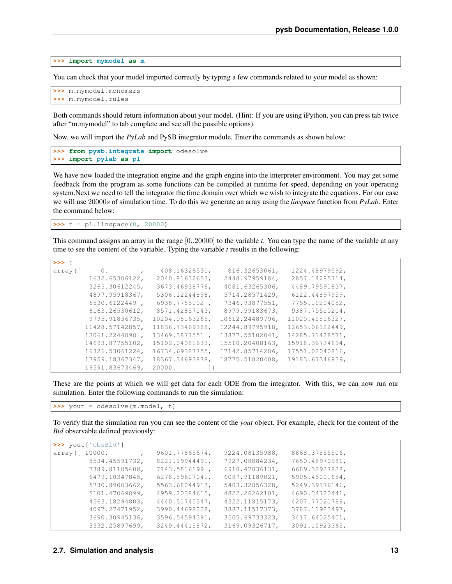**>>> import mymodel as m**

You can check that your model imported correctly by typing a few commands related to your model as shown:

```
>>> m.mymodel.monomers
>>> m.mymodel.rules
```
Both commands should return information about your model. (Hint: If you are using iPython, you can press tab twice after "m.mymodel" to tab complete and see all the possible options).

Now, we will import the *PyLab* and PySB integrator module. Enter the commands as shown below:

```
>>> from pysb.integrate import odesolve
>>> import pylab as pl
```
We have now loaded the integration engine and the graph engine into the interpreter environment. You may get some feedback from the program as some functions can be compiled at runtime for speed, depending on your operating system.Next we need to tell the integrator the time domain over which we wish to integrate the equations. For our case we will use 20000s of simulation time. To do this we generate an array using the *linspace* function from *PyLab*. Enter the command below:

 $\Rightarrow$   $t = pl.$  linspace (0, 20000)

This command assigns an array in the range [0..20000] to the variable *t*. You can type the name of the variable at any time to see the content of the variable. Typing the variable *t* results in the following:

| >>> t.   |                 |                 |                 |                 |
|----------|-----------------|-----------------|-----------------|-----------------|
| array ([ | 0.              | 408.16326531,   | 816.32653061,   | 1224.48979592.  |
|          | 1632.65306122,  | 2040.81632653,  | 2448.97959184,  | 2857.14285714,  |
|          | 3265.30612245,  | 3673.46938776,  | 4081.63265306,  | 4489.79591837,  |
|          | 4897.95918367,  | 5306.12244898,  | 5714.28571429,  | 6122.44897959,  |
|          | 6530.6122449.   | 6938.7755102,   | 7346.93877551,  | 7755.10204082,  |
|          | 8163.26530612,  | 8571.42857143,  | 8979.59183673,  | 9387.75510204,  |
|          | 9795.91836735,  | 10204.08163265, | 10612.24489796, | 11020.40816327, |
|          | 11428.57142857, | 11836.73469388, | 12244.89795918, | 12653.06122449, |
|          | 13061.2244898.  | 13469.3877551.  | 13877.55102041, | 14285.71428571, |
|          | 14693.87755102, | 15102.04081633, | 15510.20408163, | 15918.36734694, |
|          | 16326.53061224, | 16734.69387755, | 17142.85714286, | 17551.02040816, |
|          | 17959.18367347, | 18367.34693878, | 18775.51020408, | 19183.67346939, |
|          | 19591.83673469, | 20000.          |                 |                 |

These are the points at which we will get data for each ODE from the integrator. With this, we can now run our simulation. Enter the following commands to run the simulation:

**>>>** yout = odesolve(m.model, t)

To verify that the simulation run you can see the content of the *yout* object. For example, check for the content of the *Bid* observable defined previously:

```
>>> yout['obsBid']
array([ 10000. , 9601.77865674, 9224.08135988, 8868.37855506,
        8534.45591732, 8221.19944491, 7927.08884234, 7650.48970981,
        7389.81105408, 7143.5816199 , 6910.47836131, 6689.32927828,
        6479.10347845, 6278.89607041, 6087.91189021, 5905.45001654,
        5730.89003662, 5563.68044913, 5403.32856328, 5249.39176146,
        5101.47069899, 4959.20384615, 4822.26262101, 4690.34720441,
        4563.18294803, 4440.51745347, 4322.11815173, 4207.77021789,
        4097.27471952, 3990.44698008, 3887.11517373, 3787.11923497,
        3690.30945136, 3596.54594391, 3505.69733323, 3417.64025401,
        3332.25897699, 3249.44415872, 3169.09326717, 3091.10923365,
```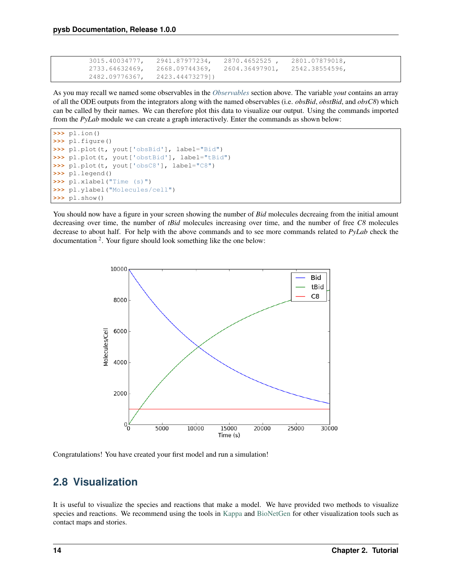```
3015.40034777, 2941.87977234, 2870.4652525 , 2801.07879018,
2733.64632469, 2668.09744369, 2604.36497901, 2542.38554596,
2482.09776367, 2423.44473279])
```
As you may recall we named some observables in the *[Observables](#page-14-0)* section above. The variable *yout* contains an array of all the ODE outputs from the integrators along with the named observables (i.e. *obsBid*, *obstBid*, and *obsC8*) which can be called by their names. We can therefore plot this data to visualize our output. Using the commands imported from the *PyLab* module we can create a graph interactively. Enter the commands as shown below:

```
>>> pl.ion()
>>> pl.figure()
>>> pl.plot(t, yout['obsBid'], label="Bid")
>>> pl.plot(t, yout['obstBid'], label="tBid")
>>> pl.plot(t, yout['obsC8'], label="C8")
>>> pl.legend()
>>> pl.xlabel("Time (s)")
>>> pl.ylabel("Molecules/cell")
>>> pl.show()
```
You should now have a figure in your screen showing the number of *Bid* molecules decreaing from the initial amount decreasing over time, the number of *tBid* molecules increasing over time, and the number of free *C8* molecules decrease to about half. For help with the above commands and to see more commands related to *PyLab* check the documentation <sup>2</sup>. Your figure should look something like the one below:



Congratulations! You have created your first model and run a simulation!

# <span id="page-17-0"></span>**2.8 Visualization**

It is useful to visualize the species and reactions that make a model. We have provided two methods to visualize species and reactions. We recommend using the tools in [Kappa](http://www.kappalanguage.org/documentation) and [BioNetGen](http://bionetgen.org/index.php/Documentation) for other visualization tools such as contact maps and stories.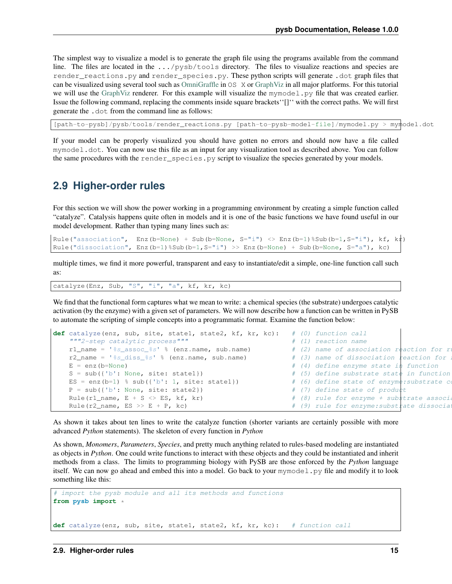The simplest way to visualize a model is to generate the graph file using the programs available from the command line. The files are located in the .../pysb/tools directory. The files to visualize reactions and species are render\_reactions.py and render\_species.py. These python scripts will generate .dot graph files that can be visualized using several tool such as [OmniGraffle](http://www.omnigroup.com/products/omnigraffle/) in OS X or [GraphViz](http://www.graphviz.org/) in all major platforms. For this tutorial we will use the [GraphViz](http://www.graphviz.org/) renderer. For this example will visualize the mymodel.py file that was created earlier. Issue the following command, replacing the comments inside square brackets''[]'' with the correct paths. We will first generate the .dot from the command line as follows:

[path-to-pysb]/pysb/tools/render\_reactions.py [path-to-pysb-model-file]/mymodel.py > mymodel.dot

If your model can be properly visualized you should have gotten no errors and should now have a file called mymodel.dot. You can now use this file as an input for any visualization tool as described above. You can follow the same procedures with the render\_species.py script to visualize the species generated by your models.

### <span id="page-18-0"></span>**2.9 Higher-order rules**

For this section we will show the power working in a programming environment by creating a simple function called "catalyze". Catalysis happens quite often in models and it is one of the basic functions we have found useful in our model development. Rather than typing many lines such as:

Rule("association", Enz(b=None) + Sub(b=None, S="i") <> Enz(b=1)%Sub(b=1,S="i"), kf, kt) Rule("dissociation", Enz(b=1)%Sub(b=1, S="i") >> Enz(b=None) + Sub(b=None, S="a"), kc)

multiple times, we find it more powerful, transparent and easy to instantiate/edit a simple, one-line function call such as:

catalyze(Enz, Sub, "S", "i", "a", kf, kr, kc)

We find that the functional form captures what we mean to write: a chemical species (the substrate) undergoes catalytic activation (by the enzyme) with a given set of parameters. We will now describe how a function can be written in PySB to automate the scripting of simple concepts into a programmatic format. Examine the function below:

```
def catalyze(enz, sub, site, state1, state2, kf, kr, kc): # (0) function call
   """2-step catalytic process""" # (1) reaction name
   r1_name = '%s_assoc_%s' % (enz.name, sub.name) # (2) name of association reaction for r
   r2_name = 'ss_diss_s' % (enz.name, sub.name) # (3) name of dissociation reaction for
   E = enz(b=None) \# (4) define enzyme state in function
   S = sub({'b': None, site: state}) # (5) define substrate state in function
   ES = enz(b=1) % sub({'b': 1, site: state1}) \# (6) define state of enzyme: substrate compleximation
   P = sub({'b': None, site: state}) # (7) define state of product
   Rule(r1_name, E + S <> ES, kf, kr) \# (8) rule for enzyme + substrate association
   Rule(r2_name, ES >> E + P, kc) \# (9) rule for enzyme:substrate dissociation (unit)
```
As shown it takes about ten lines to write the catalyze function (shorter variants are certainly possible with more advanced *Python* statements). The skeleton of every function in *Python*

As shown, *Monomers*, *Parameters*, *Species*, and pretty much anything related to rules-based modeling are instantiated as objects in *Python*. One could write functions to interact with these objects and they could be instantiated and inherit methods from a class. The limits to programming biology with PySB are those enforced by the *Python* language itself. We can now go ahead and embed this into a model. Go back to your mymodel. py file and modify it to look something like this:

```
# import the pysb module and all its methods and functions
from pysb import *
def catalyze(enz, sub, site, state1, state2, kf, kr, kc): # function call
```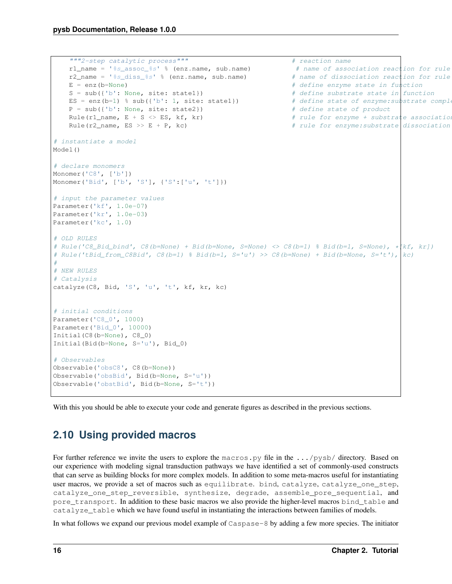```
"""2-step catalytic process""" \qquad \qquad \qquad # reaction name
   r1_name = 's_{s_1}assoc_s_1' % (enz.name, sub.name) # name of association reaction for rule
   r2_name = '%s_diss_%s' % (enz.name, sub.name) # name of dissociation reaction for rule
   E = enz(b=None) \# define enzyme state in function
   S = sub({'b': None, site: state1}) # define substrate state in function
   ES = enz(b=1) % sub({'b': 1, site: state1}) # define state of enzyme: substrate complex
   P = sub({'b': None, site: state}) # define state of product
   Rule(r1_name, E + S <> ES, kf, kr) # rule for enzyme + substrate association
   Rule(r2_name, ES >> E + P, kc) \# rule for enzyme:substrate dissociation
# instantiate a model
Model()
# declare monomers
Monomer('C8', ['b'])
Monomer('Bid', ['b', 'S'], {'S':['u', 't']})
# input the parameter values
Parameter('kf', 1.0e-07)
Parameter('kr', 1.0e-03)
Parameter('kc', 1.0)
# OLD RULES
# Rule('C8_Bid_bind', C8(b=None) + Bid(b=None, S=None) <> C8(b=1) % Bid(b=1, S=None), *[kf, kr])
# Rule('tBid_from_C8Bid', C8(b=1) % Bid(b=1, S='u') >> C8(b=None) + Bid(b=None, S='t'), kc)
#
# NEW RULES
# Catalysis
catalyze(C8, Bid, 'S', 'u', 't', kf, kr, kc)
# initial conditions
Parameter('C8_0', 1000)
Parameter('Bid_0', 10000)
Initial(C8(b=None), C8_0)
Initial(Bid(b=None, S='u'), Bid_0)
# Observables
Observable('obsC8', C8(b=None))
Observable('obsBid', Bid(b=None, S='u'))
Observable('obstBid', Bid(b=None, S='t'))
```
With this you should be able to execute your code and generate figures as described in the previous sections.

# <span id="page-19-0"></span>**2.10 Using provided macros**

For further reference we invite the users to explore the macros.py file in the .../pysb/ directory. Based on our experience with modeling signal transduction pathways we have identified a set of commonly-used constructs that can serve as building blocks for more complex models. In addition to some meta-macros useful for instantiating user macros, we provide a set of macros such as equilibrate. bind, catalyze, catalyze\_one\_step, catalyze\_one\_step\_reversible, synthesize, degrade, assemble\_pore\_sequential, and pore\_transport. In addition to these basic macros we also provide the higher-level macros bind\_table and catalyze\_table which we have found useful in instantiating the interactions between families of models.

In what follows we expand our previous model example of Caspase-8 by adding a few more species. The initiator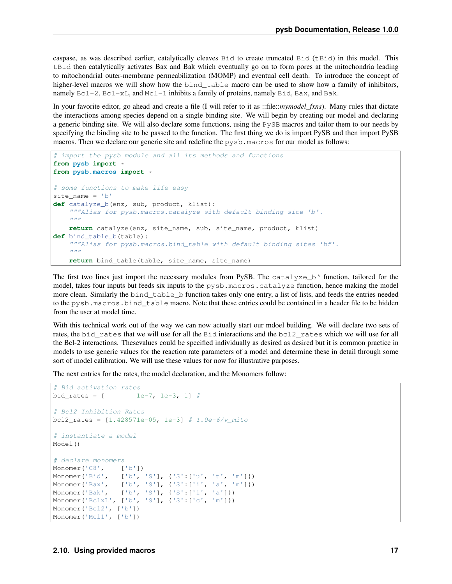caspase, as was described earlier, catalytically cleaves Bid to create truncated Bid (tBid) in this model. This tBid then catalytically activates Bax and Bak which eventually go on to form pores at the mitochondria leading to mitochondrial outer-membrane permeabilization (MOMP) and eventual cell death. To introduce the concept of higher-level macros we will show how the bind\_table macro can be used to show how a family of inhibitors, namely  $Bcl-2$ ,  $Bcl-xL$ , and  $Mcl-1$  inhibits a family of proteins, namely  $Bid$ ,  $Bax$ , and  $Bak$ .

In your favorite editor, go ahead and create a file (I will refer to it as ::file::*mymodel\_fxns*). Many rules that dictate the interactions among species depend on a single binding site. We will begin by creating our model and declaring a generic binding site. We will also declare some functions, using the PySB macros and tailor them to our needs by specifying the binding site to be passed to the function. The first thing we do is import PySB and then import PySB macros. Then we declare our generic site and redefine the pysb.macros for our model as follows:

```
# import the pysb module and all its methods and functions
from pysb import *
from pysb.macros import *
# some functions to make life easy
site\_name = 'b'def catalyze_b(enz, sub, product, klist):
    """Alias for pysb.macros.catalyze with default binding site 'b'.
    "" "" ""
    return catalyze(enz, site_name, sub, site_name, product, klist)
def bind_table_b(table):
    """Alias for pysb.macros.bind_table with default binding sites 'bf'.
    \bar{n} \bar{n} \bar{n}return bind_table(table, site_name, site_name)
```
The first two lines just import the necessary modules from PySB. The catalyze b' function, tailored for the model, takes four inputs but feeds six inputs to the pysb.macros.catalyze function, hence making the model more clean. Similarly the bind\_table\_b function takes only one entry, a list of lists, and feeds the entries needed to the pysb.macros.bind\_table macro. Note that these entries could be contained in a header file to be hidden from the user at model time.

With this technical work out of the way we can now actually start our mdoel building. We will declare two sets of rates, the bid rates that we will use for all the Bid interactions and the bcl2 rates which we will use for all the Bcl-2 interactions. Thesevalues could be specified individually as desired as desired but it is common practice in models to use generic values for the reaction rate parameters of a model and determine these in detail through some sort of model calibration. We will use these values for now for illustrative purposes.

The next entries for the rates, the model declaration, and the Monomers follow:

```
# Bid activation rates
bid_rates = [ 1e-7, 1e-3, 1] #
# Bcl2 Inhibition Rates
bcl2_rates = [1.428571e-05, 1e-3] # 1.0e-6/v_mito
# instantiate a model
Model()
# declare monomers
Monomer('C8', ['b'])
Monomer('Bid', ['b', 'S'], {'S':['u', 't', 'm']})
Monomer('Bax', ['b', 'S'], {'S':['i', 'a', 'm']})
Monomer('Bak', ['b', 'S'], {'S':['i', 'a']})
Monomer('BclxL', ['b', 'S'], {'S':['c', 'm']})
Monomer('Bcl2', ['b'])
Monomer('Mcl1', ['b'])
```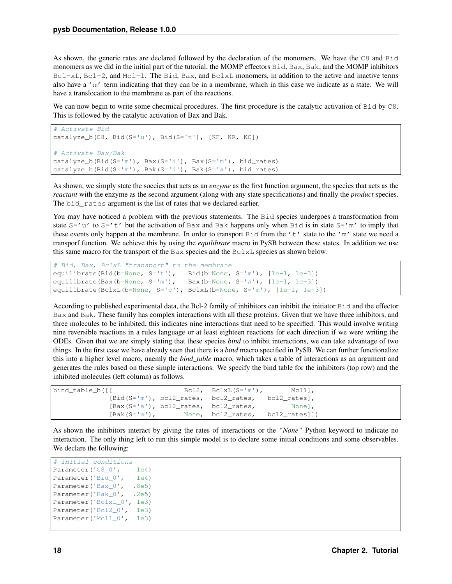As shown, the generic rates are declared followed by the declaration of the monomers. We have the C8 and Bid monomers as we did in the initial part of the tutorial, the MOMP effectors Bid, Bax, Bak, and the MOMP inhibitors  $Bcl-xL$ ,  $Bcl-2$ , and  $Mcl-1$ . The Bid, Bax, and  $BclxL$  monomers, in addition to the active and inactive terms also have a 'm' term indicating that they can be in a membrane, which in this case we indicate as a state. We will have a translocation to the membrane as part of the reactions.

We can now begin to write some checmical procedures. The first procedure is the catalytic activation of Bid by C8. This is followed by the catalytic activation of Bax and Bak.

```
# Activate Bid
catalyze_b(C8, Bid(S='u'), Bid(S='t'), [KF, KR, KC])
# Activate Bax/Bak
catalyze_b(Bid(S='m'), Bax(S='i'), Bax(S='m'), bid_rates)
catalyze_b(Bid(S='m'), Bak(S='i'), Bak(S='a'), bid_rates)
```
As shown, we simply state the soecies that acts as an *enzyme* as the first function argument, the species that acts as the *reactant* with the enzyme as the second argument (along with any state specifications) and finally the *product* species. The bid\_rates argument is the list of rates that we declared earlier.

You may have noticed a problem with the previous statements. The Bid species undergoes a transformation from state  $S =' u'$  to  $S =' t'$  but the activation of Bax and Bak happens only when Bid is in state  $S =' m'$  to imply that these events only happen at the membrane. In order to transport Bid from the  $'t't'$  state to the 'm' state we need a transporf function. We achieve this by using the *equilibrate* macro in PySB between these states. In addition we use this same macro for the transport of the Bax species and the BclxL species as shown below.

```
# Bid, Bax, BclxL "transport" to the membrane
equilibrate(Bid(b=None, S='t'), Bid(b=None, S='m'), [1e-1, 1e-3])
equilibrate(Bax(b=None, S='m'), Bax(b=None, S='a'), [1e-1, 1e-3])
equilibrate(BclxL(b=None, S='c'), BclxL(b=None, S='m'), [1e-1, 1e-3])
```
According to published experimental data, the Bcl-2 family of inhibitors can inhibit the initiator Bid and the effector Bax and Bak. These family has complex interactions with all these proteins. Given that we have three inhibitors, and three molecules to be inhibited, this indicates nine interactions that need to be specified. This would involve writing nine reversible reactions in a rules language or at least eighteen reactions for each direction if we were writing the ODEs. Given that we are simply stating that these species *bind* to inhibit interactions, we can take advantage of two things. In the first case we have already seen that there is a *bind* macro specified in PySB. We can further functionalize this into a higher level macro, naemly the *bind\_table* macro, which takes a table of interactions as an argument and generates the rules based on these simple interactions. We specify the bind table for the inhibitors (top row) and the inhibited molecules (left column) as follows.

```
bind_table_b([[ Bcl2, BclxL(S='m'), Mcl1],
           [Bid(S='m'), bcl2_rates, bcl2_rates, bcl2_rates],
           [Bax(S='a'), bcl2_rates, bcl2_rates, None],
           [Bak(S='a'), None, bcl2_rates, bcl2_rates]])
```
As shown the inhibitors interact by giving the rates of interactions or the *"None"* Python keyword to indicate no interaction. The only thing left to run this simple model is to declare some initial conditions and some observables. We declare the following:

```
# initial conditions
Parameter('C8_0', 1e4)
Parameter('Bid_0', 1e4)
Parameter('Bax_0', .8e5)
Parameter('Bak_0', .2e5)
Parameter('BclxL_0', 1e3)
Parameter('Bcl2_0', 1e3)
Parameter('Mcl1_0', 1e3)
```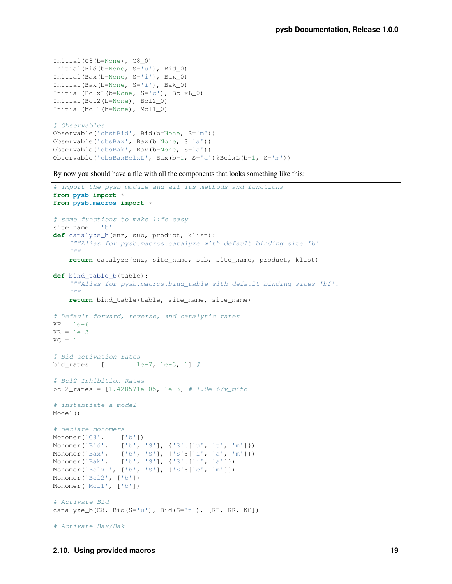```
Initial(C8(b=None), C8_0)
Initial(Bid(b=None, S='u'), Bid_0)
Initial(Bax(b=None, S='i'), Bax_0)
Initial(Bak(b=None, S='i'), Bak_0)
Initial(BclxL(b=None, S='c'), BclxL_0)
Initial(Bcl2(b=None), Bcl2_0)
Initial(Mcl1(b=None), Mcl1_0)
# Observables
Observable('obstBid', Bid(b=None, S='m'))
Observable('obsBax', Bax(b=None, S='a'))
Observable('obsBak', Bax(b=None, S='a'))
Observable('obsBaxBclxL', Bax(b=1, S='a')%BclxL(b=1, S='m'))
```
By now you should have a file with all the components that looks something like this:

```
# import the pysb module and all its methods and functions
from pysb import *
from pysb.macros import *
# some functions to make life easy
site_name = 'b'
def catalyze_b(enz, sub, product, klist):
    """Alias for pysb.macros.catalyze with default binding site 'b'.
    "''"''"''"return catalyze(enz, site_name, sub, site_name, product, klist)
def bind_table_b(table):
    """Alias for pysb.macros.bind_table with default binding sites 'bf'.
    \boldsymbol{u} \boldsymbol{u} \boldsymbol{n}return bind_table(table, site_name, site_name)
# Default forward, reverse, and catalytic rates
KF = 1e-6KR = 1e-3KC = 1# Bid activation rates
bid_rates = [ 1e-7, 1e-3, 1] #
# Bcl2 Inhibition Rates
bcl2_rates = [1.428571e-05, 1e-3] # 1.0e-6/v_mito
# instantiate a model
Model()
# declare monomers
Monomer('C8', ['b'])
Monomer('Bid', ['b', 'S'], {'S':['u', 't', 'm']})
Monomer('Bax', ['b', 'S'], {'S':['i', 'a', 'm']})<br>Monomer('Bak', ['b', 'S'], {'S':['i', 'a']})
                 [[b', 'S'], {'S':['i', 'a']})Monomer('BclxL', ['b', 'S'], {'S':['c', 'm']})
Monomer('Bcl2', ['b'])
Monomer('Mcl1', ['b'])
# Activate Bid
catalyze_b(C8, Bid(S='u'), Bid(S='t'), [KF, KR, KC])
# Activate Bax/Bak
```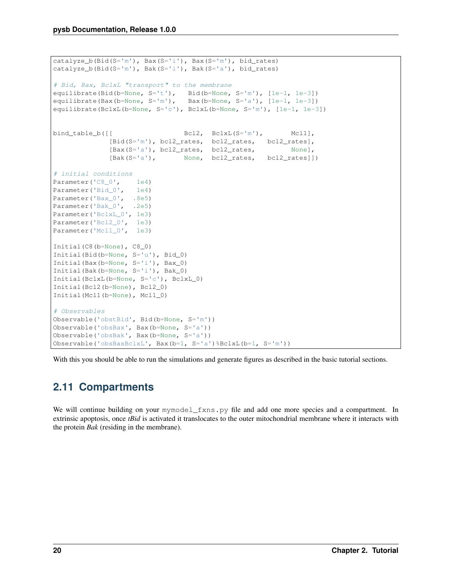```
catalyze_b(Bid(S='m'), Bax(S='i'), Bax(S='m'), bid_rates)
catalyze_b(Bid(S='m'), Bak(S='i'), Bak(S='a'), bid_rates)
# Bid, Bax, BclxL "transport" to the membrane
equilibrate(Bid(b=None, S='t'), Bid(b=None, S='m'), [1e-1, 1e-3])
equilibrate(Bax(b=None, S='m'), Bax(b=None, S='a'), [1e-1, 1e-3])
equilibrate(BclxL(b=None, S='c'), BclxL(b=None, S='m'), [1e-1, 1e-3])
bind_table_b([[ Bcl2, BclxL(S='m'), Mcl1],
             [Bid(S='m'), bcl2_rates, bcl2_rates, bcl2_rates],
             [Bax(S='a'), bcl2_rates, bcl2_rates, None],
             [Bak(S='a'), None, bcl2_rates, bcl2_rates]])
# initial conditions
Parameter('C8_0', 1e4)
Parameter('Bid_0', 1e4)
Parameter('Bax_0', .8e5)
Parameter('Bak_0', .2e5)
Parameter('BclxL_0', 1e3)
Parameter('Bcl2_0', 1e3)
Parameter('Mcl1_0', 1e3)
Initial(C8(b=None), C8_0)
Initial(Bid(b=None, S='u'), Bid_0)
Initial(Bax(b=None, S='i'), Bax_0)
Initial(Bak(b=None, S='i'), Bak_0)
Initial(BclxL(b=None, S='c'), BclxL_0)
Initial(Bcl2(b=None), Bcl2_0)
Initial(Mcl1(b=None), Mcl1_0)
# Observables
Observable('obstBid', Bid(b=None, S='m'))
Observable('obsBax', Bax(b=None, S='a'))
Observable('obsBak', Bax(b=None, S='a'))
Observable('obsBaxBclxL', Bax(b=1, S='a')%BclxL(b=1, S='m'))
```
With this you should be able to run the simulations and generate figures as described in the basic tutorial sections.

# <span id="page-23-0"></span>**2.11 Compartments**

We will continue building on your mymodel\_fxns.py file and add one more species and a compartment. In extrinsic apoptosis, once *tBid* is activated it translocates to the outer mitochondrial membrane where it interacts with the protein *Bak* (residing in the membrane).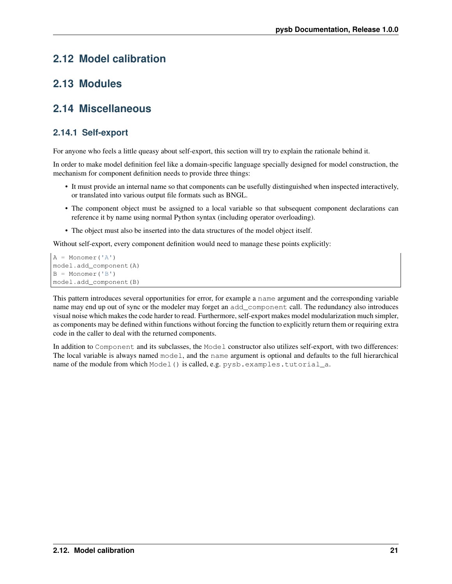# <span id="page-24-0"></span>**2.12 Model calibration**

### <span id="page-24-1"></span>**2.13 Modules**

### <span id="page-24-2"></span>**2.14 Miscellaneous**

### <span id="page-24-3"></span>**2.14.1 Self-export**

For anyone who feels a little queasy about self-export, this section will try to explain the rationale behind it.

In order to make model definition feel like a domain-specific language specially designed for model construction, the mechanism for component definition needs to provide three things:

- It must provide an internal name so that components can be usefully distinguished when inspected interactively, or translated into various output file formats such as BNGL.
- The component object must be assigned to a local variable so that subsequent component declarations can reference it by name using normal Python syntax (including operator overloading).
- The object must also be inserted into the data structures of the model object itself.

Without self-export, every component definition would need to manage these points explicitly:

```
A = Monomer('A')model.add_component(A)
B = Monomer('B')model.add_component(B)
```
This pattern introduces several opportunities for error, for example a name argument and the corresponding variable name may end up out of sync or the modeler may forget an add\_component call. The redundancy also introduces visual noise which makes the code harder to read. Furthermore, self-export makes model modularization much simpler, as components may be defined within functions without forcing the function to explicitly return them or requiring extra code in the caller to deal with the returned components.

In addition to Component and its subclasses, the Model constructor also utilizes self-export, with two differences: The local variable is always named model, and the name argument is optional and defaults to the full hierarchical name of the module from which Model() is called, e.g. pysb.examples.tutorial\_a.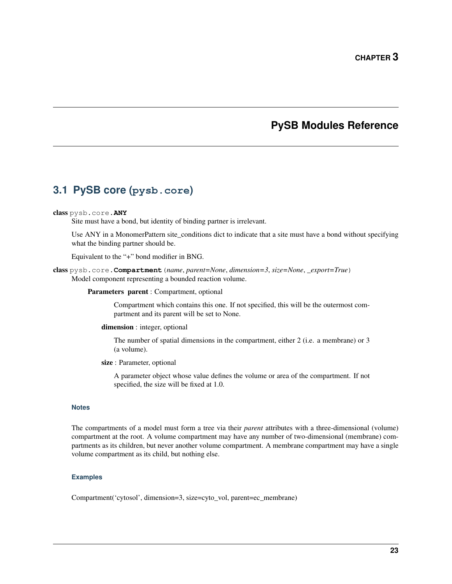### **PySB Modules Reference**

# <span id="page-26-1"></span><span id="page-26-0"></span>**3.1 PySB core (pysb.core)**

#### class pysb.core.**ANY**

Site must have a bond, but identity of binding partner is irrelevant.

Use ANY in a MonomerPattern site\_conditions dict to indicate that a site must have a bond without specifying what the binding partner should be.

Equivalent to the "+" bond modifier in BNG.

class pysb.core.**Compartment**(*name*, *parent=None*, *dimension=3*, *size=None*, *\_export=True*) Model component representing a bounded reaction volume.

Parameters parent : Compartment, optional

Compartment which contains this one. If not specified, this will be the outermost compartment and its parent will be set to None.

dimension : integer, optional

The number of spatial dimensions in the compartment, either 2 (i.e. a membrane) or 3 (a volume).

size : Parameter, optional

A parameter object whose value defines the volume or area of the compartment. If not specified, the size will be fixed at 1.0.

#### **Notes**

The compartments of a model must form a tree via their *parent* attributes with a three-dimensional (volume) compartment at the root. A volume compartment may have any number of two-dimensional (membrane) compartments as its children, but never another volume compartment. A membrane compartment may have a single volume compartment as its child, but nothing else.

#### **Examples**

Compartment('cytosol', dimension=3, size=cyto\_vol, parent=ec\_membrane)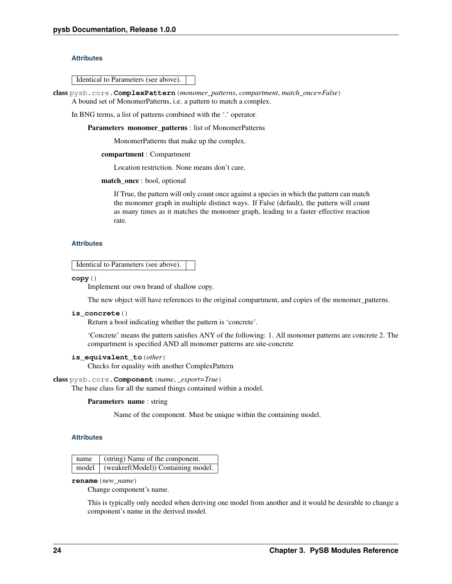#### **Attributes**

Identical to Parameters (see above).

class pysb.core.**ComplexPattern**(*monomer\_patterns*, *compartment*, *match\_once=False*) A bound set of MonomerPatterns, i.e. a pattern to match a complex.

In BNG terms, a list of patterns combined with the '.' operator.

Parameters monomer\_patterns : list of MonomerPatterns

MonomerPatterns that make up the complex.

#### compartment : Compartment

Location restriction. None means don't care.

#### match\_once : bool, optional

If True, the pattern will only count once against a species in which the pattern can match the monomer graph in multiple distinct ways. If False (default), the pattern will count as many times as it matches the monomer graph, leading to a faster effective reaction rate.

#### **Attributes**

Identical to Parameters (see above).

**copy**()

Implement our own brand of shallow copy.

The new object will have references to the original compartment, and copies of the monomer\_patterns.

#### **is\_concrete**()

Return a bool indicating whether the pattern is 'concrete'.

'Concrete' means the pattern satisfies ANY of the following: 1. All monomer patterns are concrete 2. The compartment is specified AND all monomer patterns are site-concrete

#### **is\_equivalent\_to**(*other*)

Checks for equality with another ComplexPattern

#### class pysb.core.**Component**(*name*, *\_export=True*)

The base class for all the named things contained within a model.

#### Parameters name : string

Name of the component. Must be unique within the containing model.

#### **Attributes**

|  | name (string) Name of the component.       |
|--|--------------------------------------------|
|  | model   (weakref(Model)) Containing model. |

**rename**(*new\_name*)

Change component's name.

This is typically only needed when deriving one model from another and it would be desirable to change a component's name in the derived model.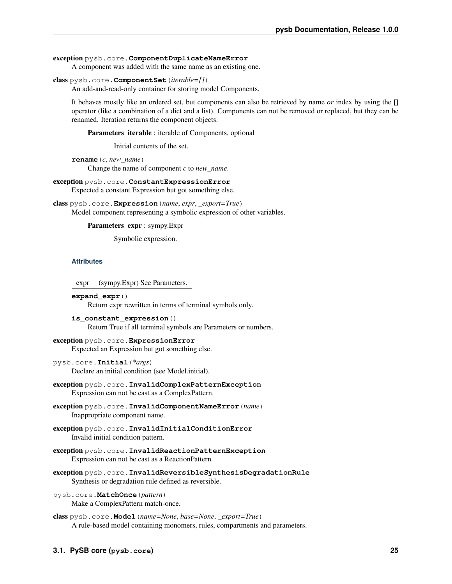#### exception pysb.core.**ComponentDuplicateNameError**

A component was added with the same name as an existing one.

#### class pysb.core.**ComponentSet**(*iterable=[]*)

An add-and-read-only container for storing model Components.

It behaves mostly like an ordered set, but components can also be retrieved by name *or* index by using the [] operator (like a combination of a dict and a list). Components can not be removed or replaced, but they can be renamed. Iteration returns the component objects.

Parameters iterable : iterable of Components, optional

Initial contents of the set.

**rename**(*c*, *new\_name*) Change the name of component *c* to *new\_name*.

exception pysb.core.**ConstantExpressionError** Expected a constant Expression but got something else.

class pysb.core.**Expression**(*name*, *expr*, *\_export=True*) Model component representing a symbolic expression of other variables.

Parameters expr : sympy.Expr

Symbolic expression.

#### **Attributes**

expr | (sympy.Expr) See Parameters.

```
expand_expr()
```
Return expr rewritten in terms of terminal symbols only.

```
is_constant_expression()
```
Return True if all terminal symbols are Parameters or numbers.

#### exception pysb.core.**ExpressionError**

Expected an Expression but got something else.

- pysb.core.**Initial**(*\*args*) Declare an initial condition (see Model.initial).
- exception pysb.core.**InvalidComplexPatternException** Expression can not be cast as a ComplexPattern.
- exception pysb.core.**InvalidComponentNameError**(*name*) Inappropriate component name.
- exception pysb.core.**InvalidInitialConditionError** Invalid initial condition pattern.
- exception pysb.core.**InvalidReactionPatternException** Expression can not be cast as a ReactionPattern.
- exception pysb.core.**InvalidReversibleSynthesisDegradationRule** Synthesis or degradation rule defined as reversible.

```
pysb.core.MatchOnce(pattern)
     Make a ComplexPattern match-once.
```

```
class pysb.core.Model(name=None, base=None, _export=True)
     A rule-based model containing monomers, rules, compartments and parameters.
```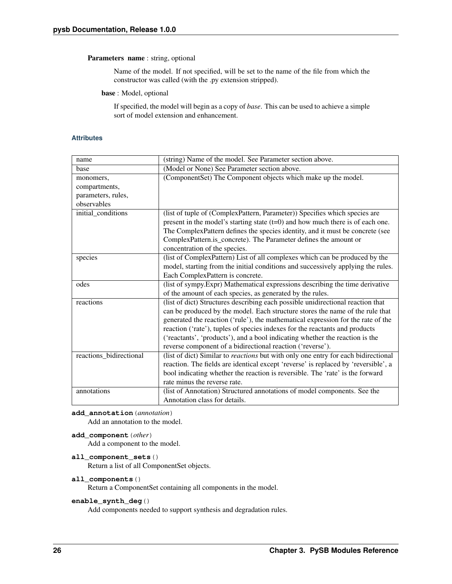#### Parameters name : string, optional

Name of the model. If not specified, will be set to the name of the file from which the constructor was called (with the .py extension stripped).

base : Model, optional

If specified, the model will begin as a copy of *base*. This can be used to achieve a simple sort of model extension and enhancement.

#### **Attributes**

| name                    | (string) Name of the model. See Parameter section above.                           |
|-------------------------|------------------------------------------------------------------------------------|
| base                    | (Model or None) See Parameter section above.                                       |
| monomers,               | (ComponentSet) The Component objects which make up the model.                      |
| compartments,           |                                                                                    |
| parameters, rules,      |                                                                                    |
| observables             |                                                                                    |
| initial_conditions      | (list of tuple of (ComplexPattern, Parameter)) Specifies which species are         |
|                         | present in the model's starting state $(t=0)$ and how much there is of each one.   |
|                         | The ComplexPattern defines the species identity, and it must be concrete (see      |
|                         | ComplexPattern.is_concrete). The Parameter defines the amount or                   |
|                         | concentration of the species.                                                      |
| species                 | (list of ComplexPattern) List of all complexes which can be produced by the        |
|                         | model, starting from the initial conditions and successively applying the rules.   |
|                         | Each ComplexPattern is concrete.                                                   |
| odes                    | (list of sympy. Expr) Mathematical expressions describing the time derivative      |
|                         | of the amount of each species, as generated by the rules.                          |
| reactions               | (list of dict) Structures describing each possible unidirectional reaction that    |
|                         | can be produced by the model. Each structure stores the name of the rule that      |
|                         | generated the reaction ('rule'), the mathematical expression for the rate of the   |
|                         | reaction ('rate'), tuples of species indexes for the reactants and products        |
|                         | ('reactants', 'products'), and a bool indicating whether the reaction is the       |
|                         | reverse component of a bidirectional reaction ('reverse').                         |
| reactions_bidirectional | (list of dict) Similar to reactions but with only one entry for each bidirectional |
|                         | reaction. The fields are identical except 'reverse' is replaced by 'reversible', a |
|                         | bool indicating whether the reaction is reversible. The 'rate' is the forward      |
|                         | rate minus the reverse rate.                                                       |
| annotations             | (list of Annotation) Structured annotations of model components. See the           |
|                         | Annotation class for details.                                                      |

#### **add\_annotation**(*annotation*)

Add an annotation to the model.

```
add_component(other)
```
Add a component to the model.

#### **all\_component\_sets**()

Return a list of all ComponentSet objects.

#### **all\_components**()

Return a ComponentSet containing all components in the model.

#### **enable\_synth\_deg**()

Add components needed to support synthesis and degradation rules.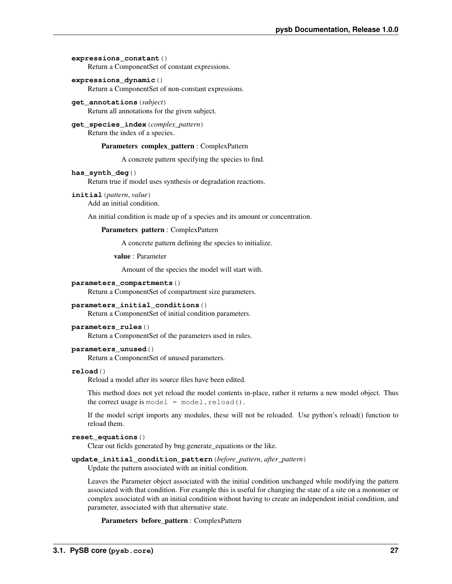#### **expressions\_constant**()

Return a ComponentSet of constant expressions.

**expressions\_dynamic**()

Return a ComponentSet of non-constant expressions.

- **get\_annotations**(*subject*) Return all annotations for the given subject.
- **get\_species\_index**(*complex\_pattern*) Return the index of a species.

Parameters complex\_pattern : ComplexPattern

A concrete pattern specifying the species to find.

#### **has\_synth\_deg**()

Return true if model uses synthesis or degradation reactions.

#### **initial**(*pattern*, *value*)

Add an initial condition.

An initial condition is made up of a species and its amount or concentration.

#### Parameters pattern : ComplexPattern

A concrete pattern defining the species to initialize.

value : Parameter

Amount of the species the model will start with.

#### **parameters\_compartments**()

Return a ComponentSet of compartment size parameters.

#### **parameters\_initial\_conditions**()

Return a ComponentSet of initial condition parameters.

#### **parameters\_rules**()

Return a ComponentSet of the parameters used in rules.

#### **parameters\_unused**()

Return a ComponentSet of unused parameters.

#### **reload**()

Reload a model after its source files have been edited.

This method does not yet reload the model contents in-place, rather it returns a new model object. Thus the correct usage is model =  $model$ .reload().

If the model script imports any modules, these will not be reloaded. Use python's reload() function to reload them.

#### **reset\_equations**()

Clear out fields generated by bng.generate\_equations or the like.

#### **update\_initial\_condition\_pattern**(*before\_pattern*, *after\_pattern*)

Update the pattern associated with an initial condition.

Leaves the Parameter object associated with the initial condition unchanged while modifying the pattern associated with that condition. For example this is useful for changing the state of a site on a monomer or complex associated with an initial condition without having to create an independent initial condition, and parameter, associated with that alternative state.

Parameters before\_pattern : ComplexPattern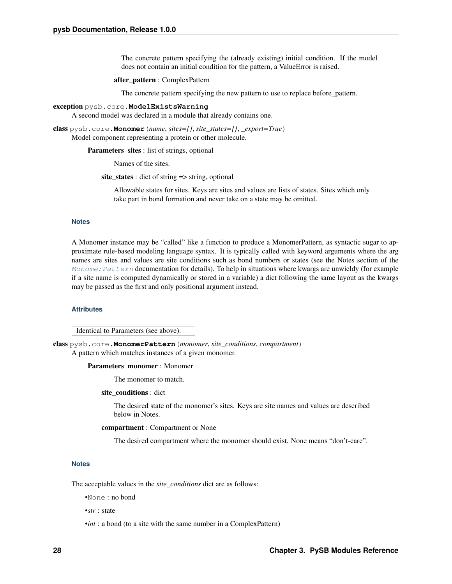The concrete pattern specifying the (already existing) initial condition. If the model does not contain an initial condition for the pattern, a ValueError is raised.

#### after\_pattern : ComplexPattern

The concrete pattern specifying the new pattern to use to replace before\_pattern.

#### exception pysb.core.**ModelExistsWarning**

A second model was declared in a module that already contains one.

<span id="page-31-0"></span>class pysb.core.**Monomer**(*name*, *sites=[]*, *site\_states={}*, *\_export=True*) Model component representing a protein or other molecule.

**Parameters sites:** list of strings, optional

Names of the sites.

site states : dict of string  $\Rightarrow$  string, optional

Allowable states for sites. Keys are sites and values are lists of states. Sites which only take part in bond formation and never take on a state may be omitted.

#### **Notes**

A Monomer instance may be "called" like a function to produce a MonomerPattern, as syntactic sugar to approximate rule-based modeling language syntax. It is typically called with keyword arguments where the arg names are sites and values are site conditions such as bond numbers or states (see the Notes section of the [MonomerPattern](#page-31-1) documentation for details). To help in situations where kwargs are unwieldy (for example if a site name is computed dynamically or stored in a variable) a dict following the same layout as the kwargs may be passed as the first and only positional argument instead.

#### **Attributes**

Identical to Parameters (see above).

<span id="page-31-1"></span>class pysb.core.**MonomerPattern**(*monomer*, *site\_conditions*, *compartment*) A pattern which matches instances of a given monomer.

#### Parameters monomer : Monomer

The monomer to match.

site\_conditions : dict

The desired state of the monomer's sites. Keys are site names and values are described below in Notes.

compartment : Compartment or None

The desired compartment where the monomer should exist. None means "don't-care".

#### **Notes**

The acceptable values in the *site\_conditions* dict are as follows:

•None : no bond

•*str* : state

•*int* : a bond (to a site with the same number in a ComplexPattern)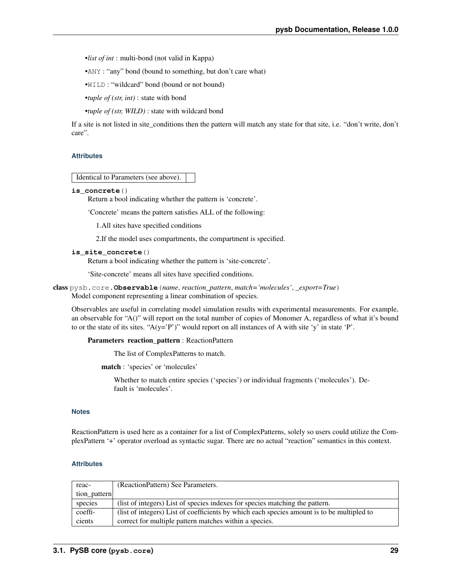•*list of int* : multi-bond (not valid in Kappa)

•ANY : "any" bond (bound to something, but don't care what)

•WILD : "wildcard" bond (bound or not bound)

•*tuple of (str, int)* : state with bond

•*tuple of (str, WILD)* : state with wildcard bond

If a site is not listed in site conditions then the pattern will match any state for that site, i.e. "don't write, don't care".

#### **Attributes**

Identical to Parameters (see above).

#### **is\_concrete**()

Return a bool indicating whether the pattern is 'concrete'.

'Concrete' means the pattern satisfies ALL of the following:

1.All sites have specified conditions

2.If the model uses compartments, the compartment is specified.

#### **is\_site\_concrete**()

Return a bool indicating whether the pattern is 'site-concrete'.

'Site-concrete' means all sites have specified conditions.

```
class pysb.core.Observable(name, reaction_pattern, match='molecules', _export=True)
     Model component representing a linear combination of species.
```
Observables are useful in correlating model simulation results with experimental measurements. For example, an observable for "A()" will report on the total number of copies of Monomer A, regardless of what it's bound to or the state of its sites. " $A(y='P')$ " would report on all instances of A with site 'y' in state 'P'.

Parameters reaction\_pattern : ReactionPattern

The list of ComplexPatterns to match.

match : 'species' or 'molecules'

Whether to match entire species ('species') or individual fragments ('molecules'). Default is 'molecules'.

#### **Notes**

ReactionPattern is used here as a container for a list of ComplexPatterns, solely so users could utilize the ComplexPattern '+' operator overload as syntactic sugar. There are no actual "reaction" semantics in this context.

#### **Attributes**

<span id="page-32-0"></span>

| reac-        | (ReactionPattern) See Parameters.                                                          |
|--------------|--------------------------------------------------------------------------------------------|
| tion pattern |                                                                                            |
| species      | (list of integers) List of species indexes for species matching the pattern.               |
| coeffi-      | (list of integers) List of coefficients by which each species amount is to be multipled to |
| cients       | correct for multiple pattern matches within a species.                                     |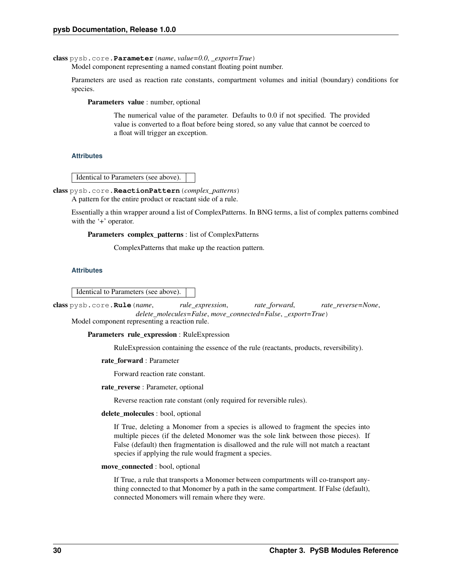class pysb.core.**Parameter**(*name*, *value=0.0*, *\_export=True*)

Model component representing a named constant floating point number.

Parameters are used as reaction rate constants, compartment volumes and initial (boundary) conditions for species.

Parameters value : number, optional

The numerical value of the parameter. Defaults to 0.0 if not specified. The provided value is converted to a float before being stored, so any value that cannot be coerced to a float will trigger an exception.

#### **Attributes**

Identical to Parameters (see above).

class pysb.core.**ReactionPattern**(*complex\_patterns*)

A pattern for the entire product or reactant side of a rule.

Essentially a thin wrapper around a list of ComplexPatterns. In BNG terms, a list of complex patterns combined with the '+' operator.

Parameters complex\_patterns : list of ComplexPatterns

ComplexPatterns that make up the reaction pattern.

#### **Attributes**

Identical to Parameters (see above).

<span id="page-33-0"></span>class pysb.core.**Rule**(*name*, *rule\_expression*, *rate\_forward*, *rate\_reverse=None*, *delete\_molecules=False*, *move\_connected=False*, *\_export=True*) Model component representing a reaction rule.

Parameters rule\_expression : RuleExpression

RuleExpression containing the essence of the rule (reactants, products, reversibility).

#### rate\_forward : Parameter

Forward reaction rate constant.

#### rate\_reverse : Parameter, optional

Reverse reaction rate constant (only required for reversible rules).

#### delete\_molecules : bool, optional

If True, deleting a Monomer from a species is allowed to fragment the species into multiple pieces (if the deleted Monomer was the sole link between those pieces). If False (default) then fragmentation is disallowed and the rule will not match a reactant species if applying the rule would fragment a species.

move\_connected : bool, optional

If True, a rule that transports a Monomer between compartments will co-transport anything connected to that Monomer by a path in the same compartment. If False (default), connected Monomers will remain where they were.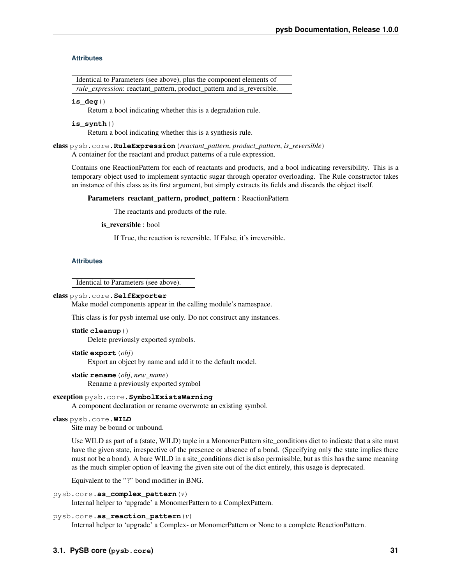#### **Attributes**

| Identical to Parameters (see above), plus the component elements of   |  |
|-----------------------------------------------------------------------|--|
| rule_expression: reactant_pattern, product_pattern and is_reversible. |  |

#### **is\_deg**()

Return a bool indicating whether this is a degradation rule.

#### **is\_synth**()

Return a bool indicating whether this is a synthesis rule.

class pysb.core.**RuleExpression**(*reactant\_pattern*, *product\_pattern*, *is\_reversible*) A container for the reactant and product patterns of a rule expression.

Contains one ReactionPattern for each of reactants and products, and a bool indicating reversibility. This is a temporary object used to implement syntactic sugar through operator overloading. The Rule constructor takes an instance of this class as its first argument, but simply extracts its fields and discards the object itself.

#### Parameters reactant\_pattern, product\_pattern : ReactionPattern

The reactants and products of the rule.

is reversible : bool

If True, the reaction is reversible. If False, it's irreversible.

#### **Attributes**

Identical to Parameters (see above).

#### class pysb.core.**SelfExporter**

Make model components appear in the calling module's namespace.

This class is for pysb internal use only. Do not construct any instances.

#### static **cleanup**()

Delete previously exported symbols.

#### static **export**(*obj*)

Export an object by name and add it to the default model.

static **rename**(*obj*, *new\_name*)

Rename a previously exported symbol

#### exception pysb.core.**SymbolExistsWarning**

A component declaration or rename overwrote an existing symbol.

#### class pysb.core.**WILD**

Site may be bound or unbound.

Use WILD as part of a (state, WILD) tuple in a MonomerPattern site\_conditions dict to indicate that a site must have the given state, irrespective of the presence or absence of a bond. (Specifying only the state implies there must not be a bond). A bare WILD in a site\_conditions dict is also permissible, but as this has the same meaning as the much simpler option of leaving the given site out of the dict entirely, this usage is deprecated.

Equivalent to the "?" bond modifier in BNG.

#### pysb.core.**as\_complex\_pattern**(*v*)

Internal helper to 'upgrade' a MonomerPattern to a ComplexPattern.

#### pysb.core.**as\_reaction\_pattern**(*v*)

Internal helper to 'upgrade' a Complex- or MonomerPattern or None to a complete ReactionPattern.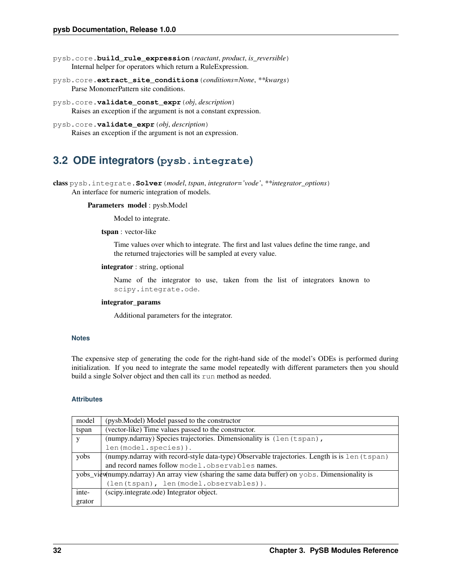- pysb.core.**build\_rule\_expression**(*reactant*, *product*, *is\_reversible*) Internal helper for operators which return a RuleExpression.
- pysb.core.**extract\_site\_conditions**(*conditions=None*, *\*\*kwargs*) Parse MonomerPattern site conditions.
- pysb.core.**validate\_const\_expr**(*obj*, *description*) Raises an exception if the argument is not a constant expression.
- pysb.core.**validate\_expr**(*obj*, *description*) Raises an exception if the argument is not an expression.

### <span id="page-35-0"></span>**3.2 ODE integrators (pysb.integrate)**

class pysb.integrate.**Solver**(*model*, *tspan*, *integrator='vode'*, *\*\*integrator\_options*) An interface for numeric integration of models.

#### Parameters model : pysb.Model

Model to integrate.

tspan : vector-like

Time values over which to integrate. The first and last values define the time range, and the returned trajectories will be sampled at every value.

#### integrator : string, optional

Name of the integrator to use, taken from the list of integrators known to scipy.integrate.ode.

#### integrator\_params

Additional parameters for the integrator.

#### **Notes**

The expensive step of generating the code for the right-hand side of the model's ODEs is performed during initialization. If you need to integrate the same model repeatedly with different parameters then you should build a single Solver object and then call its run method as needed.

#### **Attributes**

| model  | (pysb.Model) Model passed to the constructor                                                     |  |  |  |  |  |
|--------|--------------------------------------------------------------------------------------------------|--|--|--|--|--|
| tspan  | (vector-like) Time values passed to the constructor.                                             |  |  |  |  |  |
| V      | (numpy.ndarray) Species trajectories. Dimensionality is (len (tspan),                            |  |  |  |  |  |
|        | len(model.species)).                                                                             |  |  |  |  |  |
| yobs   | (numpy.ndarray with record-style data-type) Observable trajectories. Length is is len (tspan)    |  |  |  |  |  |
|        | and record names follow model.observables names.                                                 |  |  |  |  |  |
|        | yobs_view(numpy.ndarray) An array view (sharing the same data buffer) on yobs. Dimensionality is |  |  |  |  |  |
|        | (len(tspan), len(model.observables)).                                                            |  |  |  |  |  |
| inte-  | (scipy.integrate.ode) Integrator object.                                                         |  |  |  |  |  |
| grator |                                                                                                  |  |  |  |  |  |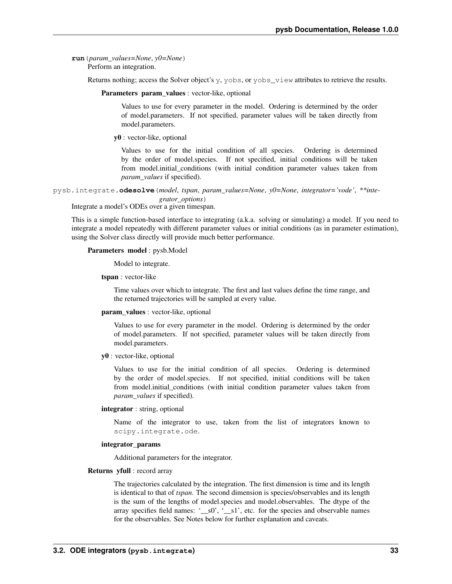## **run**(*param\_values=None*, *y0=None*)

Perform an integration.

Returns nothing; access the Solver object's y, yobs, or yobs\_view attributes to retrieve the results.

Parameters param\_values : vector-like, optional

Values to use for every parameter in the model. Ordering is determined by the order of model.parameters. If not specified, parameter values will be taken directly from model.parameters.

y0 : vector-like, optional

Values to use for the initial condition of all species. Ordering is determined by the order of model.species. If not specified, initial conditions will be taken from model.initial\_conditions (with initial condition parameter values taken from *param\_values* if specified).

```
pysb.integrate.odesolve(model, tspan, param_values=None, y0=None, integrator='vode', **inte-
                              grator_options)
```
Integrate a model's ODEs over a given timespan.

This is a simple function-based interface to integrating (a.k.a. solving or simulating) a model. If you need to integrate a model repeatedly with different parameter values or initial conditions (as in parameter estimation), using the Solver class directly will provide much better performance.

#### Parameters model : pysb.Model

Model to integrate.

tspan : vector-like

Time values over which to integrate. The first and last values define the time range, and the returned trajectories will be sampled at every value.

#### param\_values : vector-like, optional

Values to use for every parameter in the model. Ordering is determined by the order of model.parameters. If not specified, parameter values will be taken directly from model.parameters.

y0 : vector-like, optional

Values to use for the initial condition of all species. Ordering is determined by the order of model.species. If not specified, initial conditions will be taken from model.initial\_conditions (with initial condition parameter values taken from *param\_values* if specified).

## integrator : string, optional

Name of the integrator to use, taken from the list of integrators known to scipy.integrate.ode.

## integrator\_params

Additional parameters for the integrator.

### Returns yfull : record array

The trajectories calculated by the integration. The first dimension is time and its length is identical to that of *tspan*. The second dimension is species/observables and its length is the sum of the lengths of model.species and model.observables. The dtype of the array specifies field names: '\_\_s0', '\_\_s1', etc. for the species and observable names for the observables. See Notes below for further explanation and caveats.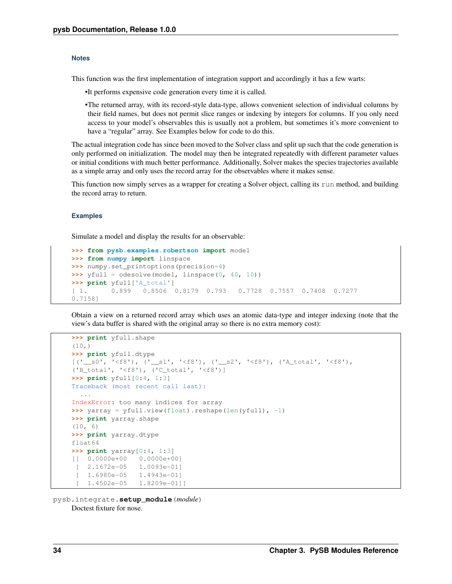#### **Notes**

This function was the first implementation of integration support and accordingly it has a few warts:

•It performs expensive code generation every time it is called.

•The returned array, with its record-style data-type, allows convenient selection of individual columns by their field names, but does not permit slice ranges or indexing by integers for columns. If you only need access to your model's observables this is usually not a problem, but sometimes it's more convenient to have a "regular" array. See Examples below for code to do this.

The actual integration code has since been moved to the Solver class and split up such that the code generation is only performed on initialization. The model may then be integrated repeatedly with different parameter values or initial conditions with much better performance. Additionally, Solver makes the species trajectories available as a simple array and only uses the record array for the observables where it makes sense.

This function now simply serves as a wrapper for creating a Solver object, calling its run method, and building the record array to return.

## **Examples**

Simulate a model and display the results for an observable:

```
>>> from pysb.examples.robertson import model
>>> from numpy import linspace
>>> numpy.set_printoptions(precision=4)
>>> yfull = odesolve(model, linspace(0, 40, 10))
>>> print yfull['A_total']
[ 1. 0.899 0.8506 0.8179 0.793 0.7728 0.7557 0.7408 0.7277
0.7158]
```
Obtain a view on a returned record array which uses an atomic data-type and integer indexing (note that the view's data buffer is shared with the original array so there is no extra memory cost):

```
>>> print yfull.shape
(10, )>>> print yfull.dtype
[(\text{``\_s0'}, \text{ '≤f8'}), (\text{``\_s1'}, \text{ '≤f8'}), (\text{``\_s2'}, \text{ '≤f8'}), (\text{``A\_total'}, \text{ '≤f8'}),('B_total', '<f8'), ('C_total', '<f8')]
>>> print yfull[0:4, 1:3]
Traceback (most recent call last):
  ...
IndexError: too many indices for array
>>> yarray = yfull.view(float).reshape(len(yfull), -1)
>>> print yarray.shape
(10, 6)
>>> print yarray.dtype
float64
>>> print yarray[0:4, 1:3]
[[ 0.0000e+00 0.0000e+00]
 [ 2.1672e-05 1.0093e-01]
 [ 1.6980e-05 1.4943e-01]
    [ 1.4502e-05 1.8209e-01]]
```
pysb.integrate.**setup\_module**(*module*) Doctest fixture for nose.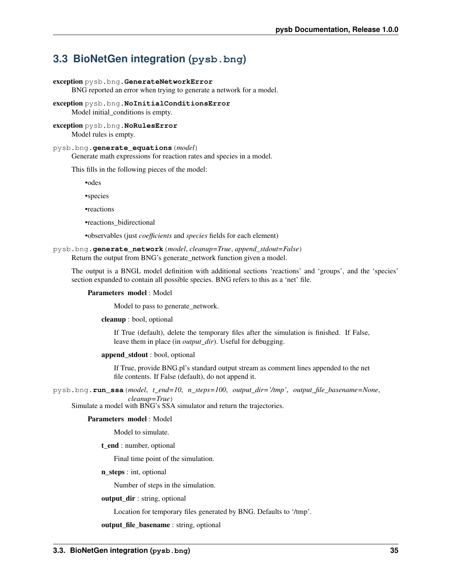# **3.3 BioNetGen integration (pysb.bng)**

## exception pysb.bng.**GenerateNetworkError**

BNG reported an error when trying to generate a network for a model.

exception pysb.bng.**NoInitialConditionsError** Model initial\_conditions is empty.

## exception pysb.bng.**NoRulesError** Model rules is empty.

## pysb.bng.**generate\_equations**(*model*)

Generate math expressions for reaction rates and species in a model.

This fills in the following pieces of the model:

•odes

•species

•reactions

•reactions\_bidirectional

•observables (just *coefficients* and *species* fields for each element)

## <span id="page-38-0"></span>pysb.bng.**generate\_network**(*model*, *cleanup=True*, *append\_stdout=False*) Return the output from BNG's generate\_network function given a model.

The output is a BNGL model definition with additional sections 'reactions' and 'groups', and the 'species' section expanded to contain all possible species. BNG refers to this as a 'net' file.

## Parameters model : Model

Model to pass to generate\_network.

## cleanup : bool, optional

If True (default), delete the temporary files after the simulation is finished. If False, leave them in place (in *output\_dir*). Useful for debugging.

#### append\_stdout : bool, optional

If True, provide BNG.pl's standard output stream as comment lines appended to the net file contents. If False (default), do not append it.

pysb.bng.**run\_ssa**(*model*, *t\_end=10*, *n\_steps=100*, *output\_dir='/tmp'*, *output\_file\_basename=None*, *cleanup=True*)

Simulate a model with BNG's SSA simulator and return the trajectories.

## Parameters model : Model

Model to simulate.

t\_end : number, optional

Final time point of the simulation.

#### n\_steps : int, optional

Number of steps in the simulation.

## output\_dir : string, optional

Location for temporary files generated by BNG. Defaults to '/tmp'.

output\_file\_basename : string, optional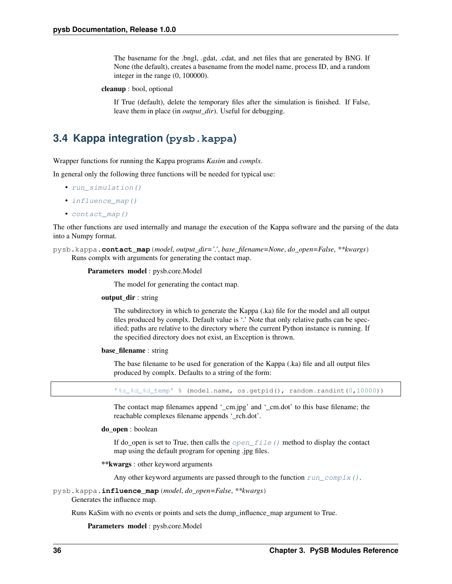The basename for the .bngl, .gdat, .cdat, and .net files that are generated by BNG. If None (the default), creates a basename from the model name, process ID, and a random integer in the range (0, 100000).

cleanup : bool, optional

If True (default), delete the temporary files after the simulation is finished. If False, leave them in place (in *output\_dir*). Useful for debugging.

# **3.4 Kappa integration (pysb.kappa)**

Wrapper functions for running the Kappa programs *Kasim* and *complx*.

In general only the following three functions will be needed for typical use:

- run simulation()
- influence map()
- contact map()

The other functions are used internally and manage the execution of the Kappa software and the parsing of the data into a Numpy format.

```
pysb.kappa.contact_map(model, output_dir='.', base_filename=None, do_open=False, **kwargs)
     Runs complx with arguments for generating the contact map.
```
## Parameters model : pysb.core.Model

The model for generating the contact map.

#### output\_dir : string

The subdirectory in which to generate the Kappa (.ka) file for the model and all output files produced by complx. Default value is '.' Note that only relative paths can be specified; paths are relative to the directory where the current Python instance is running. If the specified directory does not exist, an Exception is thrown.

#### base filename : string

The base filename to be used for generation of the Kappa (.ka) file and all output files produced by complx. Defaults to a string of the form:

'%s\_%d\_%d\_temp' % (model.name, os.getpid(), random.randint(0,10000))

The contact map filenames append '\_cm.jpg' and '\_cm.dot' to this base filename; the reachable complexes filename appends '\_rch.dot'.

## do open : boolean

If do\_open is set to True, then calls the  $open\_file()$  method to display the contact map using the default program for opening .jpg files.

\*\*kwargs : other keyword arguments

Any other keyword arguments are passed through to the function  $run\_complex()$ .

<span id="page-39-0"></span>pysb.kappa.**influence\_map**(*model*, *do\_open=False*, *\*\*kwargs*)

Generates the influence map.

Runs KaSim with no events or points and sets the dump\_influence\_map argument to True.

Parameters model : pysb.core.Model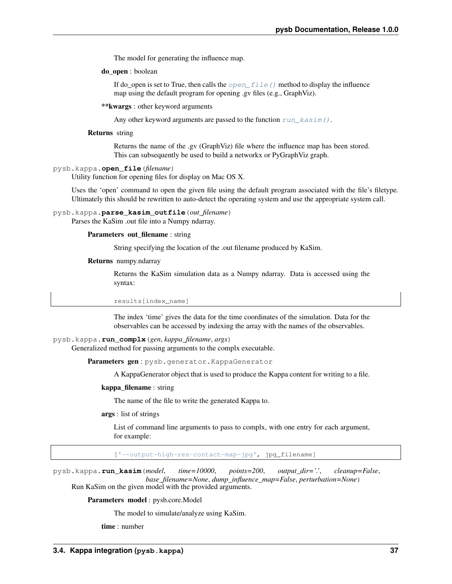The model for generating the influence map.

do\_open : boolean

If do\_open is set to True, then calls the  $open\_file$  () method to display the influence map using the default program for opening .gv files (e.g., GraphViz).

\*\*kwargs : other keyword arguments

Any other keyword arguments are passed to the function  $run\_kasim()$ .

## Returns string

Returns the name of the .gv (GraphViz) file where the influence map has been stored. This can subsequently be used to build a networkx or PyGraphViz graph.

<span id="page-40-0"></span>pysb.kappa.**open\_file**(*filename*)

Utility function for opening files for display on Mac OS X.

Uses the 'open' command to open the given file using the default program associated with the file's filetype. Ultimately this should be rewritten to auto-detect the operating system and use the appropriate system call.

## pysb.kappa.**parse\_kasim\_outfile**(*out\_filename*)

Parses the KaSim .out file into a Numpy ndarray.

## Parameters out\_filename : string

String specifying the location of the .out filename produced by KaSim.

## Returns numpy.ndarray

Returns the KaSim simulation data as a Numpy ndarray. Data is accessed using the syntax:

results[index\_name]

The index 'time' gives the data for the time coordinates of the simulation. Data for the observables can be accessed by indexing the array with the names of the observables.

## <span id="page-40-1"></span>pysb.kappa.**run\_complx**(*gen*, *kappa\_filename*, *args*)

Generalized method for passing arguments to the complx executable.

Parameters gen : pysb.generator.KappaGenerator

A KappaGenerator object that is used to produce the Kappa content for writing to a file.

#### kappa\_filename : string

The name of the file to write the generated Kappa to.

args : list of strings

List of command line arguments to pass to complx, with one entry for each argument, for example:

['--output-high-res-contact-map-jpg', jpg\_filename]

<span id="page-40-2"></span>pysb.kappa.**run\_kasim**(*model*, *time=10000*, *points=200*, *output\_dir='.'*, *cleanup=False*, *base\_filename=None*, *dump\_influence\_map=False*, *perturbation=None*) Run KaSim on the given model with the provided arguments.

Parameters model : pysb.core.Model

The model to simulate/analyze using KaSim.

time : number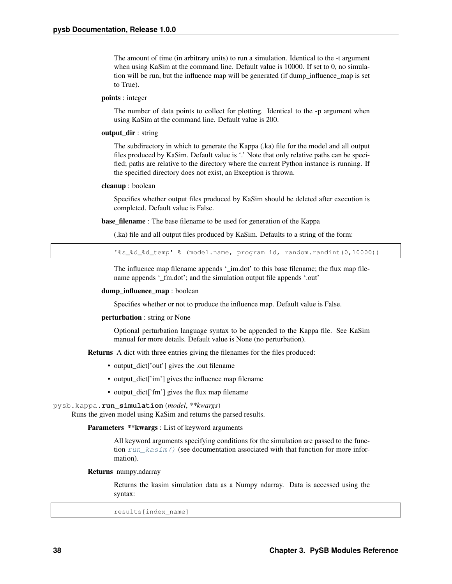The amount of time (in arbitrary units) to run a simulation. Identical to the -t argument when using KaSim at the command line. Default value is 10000. If set to 0, no simulation will be run, but the influence map will be generated (if dump\_influence\_map is set to True).

## points : integer

The number of data points to collect for plotting. Identical to the -p argument when using KaSim at the command line. Default value is 200.

## output\_dir : string

The subdirectory in which to generate the Kappa (.ka) file for the model and all output files produced by KaSim. Default value is '.' Note that only relative paths can be specified; paths are relative to the directory where the current Python instance is running. If the specified directory does not exist, an Exception is thrown.

#### cleanup : boolean

Specifies whether output files produced by KaSim should be deleted after execution is completed. Default value is False.

base\_filename : The base filename to be used for generation of the Kappa

(.ka) file and all output files produced by KaSim. Defaults to a string of the form:

'%s\_%d\_%d\_temp' % (model.name, program id, random.randint(0,10000))

The influence map filename appends '\_im.dot' to this base filename; the flux map filename appends '\_fm.dot'; and the simulation output file appends '.out'

## dump\_influence\_map : boolean

Specifies whether or not to produce the influence map. Default value is False.

#### perturbation : string or None

Optional perturbation language syntax to be appended to the Kappa file. See KaSim manual for more details. Default value is None (no perturbation).

Returns A dict with three entries giving the filenames for the files produced:

- output dict<sup>['out']</sup> gives the .out filename
- output\_dict['im'] gives the influence map filename
- output\_dict['fm'] gives the flux map filename

## <span id="page-41-0"></span>pysb.kappa.**run\_simulation**(*model*, *\*\*kwargs*)

Runs the given model using KaSim and returns the parsed results.

Parameters \*\* kwargs : List of keyword arguments

All keyword arguments specifying conditions for the simulation are passed to the function run  $kasim()$  (see documentation associated with that function for more information).

## Returns numpy.ndarray

Returns the kasim simulation data as a Numpy ndarray. Data is accessed using the syntax:

results[index\_name]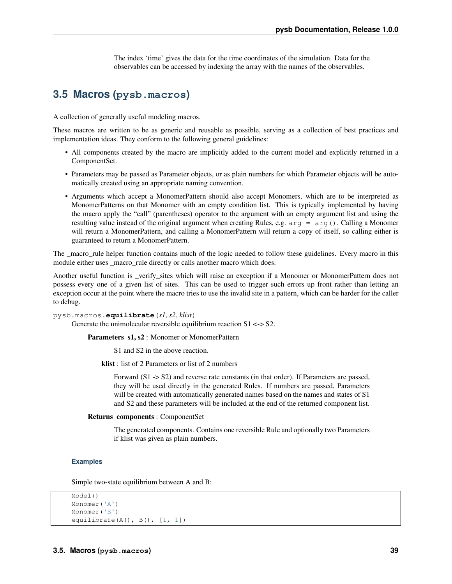The index 'time' gives the data for the time coordinates of the simulation. Data for the observables can be accessed by indexing the array with the names of the observables.

# **3.5 Macros (pysb.macros)**

A collection of generally useful modeling macros.

These macros are written to be as generic and reusable as possible, serving as a collection of best practices and implementation ideas. They conform to the following general guidelines:

- All components created by the macro are implicitly added to the current model and explicitly returned in a ComponentSet.
- Parameters may be passed as Parameter objects, or as plain numbers for which Parameter objects will be automatically created using an appropriate naming convention.
- Arguments which accept a MonomerPattern should also accept Monomers, which are to be interpreted as MonomerPatterns on that Monomer with an empty condition list. This is typically implemented by having the macro apply the "call" (parentheses) operator to the argument with an empty argument list and using the resulting value instead of the original argument when creating Rules, e.g.  $arg = arg()$ . Calling a Monomer will return a MonomerPattern, and calling a MonomerPattern will return a copy of itself, so calling either is guaranteed to return a MonomerPattern.

The \_macro\_rule helper function contains much of the logic needed to follow these guidelines. Every macro in this module either uses macro rule directly or calls another macro which does.

Another useful function is \_verify\_sites which will raise an exception if a Monomer or MonomerPattern does not possess every one of a given list of sites. This can be used to trigger such errors up front rather than letting an exception occur at the point where the macro tries to use the invalid site in a pattern, which can be harder for the caller to debug.

pysb.macros.**equilibrate**(*s1*, *s2*, *klist*)

Generate the unimolecular reversible equilibrium reaction  $S1 \le S2$ .

Parameters s1, s2 : Monomer or MonomerPattern

S1 and S2 in the above reaction.

klist : list of 2 Parameters or list of 2 numbers

Forward (S1 -> S2) and reverse rate constants (in that order). If Parameters are passed, they will be used directly in the generated Rules. If numbers are passed, Parameters will be created with automatically generated names based on the names and states of S1 and S2 and these parameters will be included at the end of the returned component list.

## Returns components : ComponentSet

The generated components. Contains one reversible Rule and optionally two Parameters if klist was given as plain numbers.

### **Examples**

Simple two-state equilibrium between A and B:

```
Model()
Monomer('A')
Monomer('B')
equilibrate(A(), B(), [1, 1])
```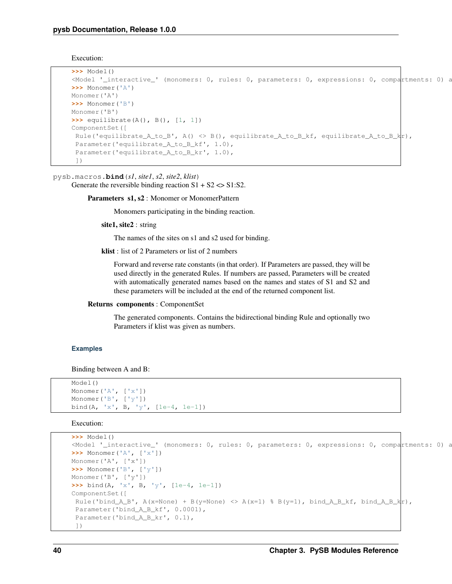Execution:

```
>>> Model()
\leq Model '_interactive_' (monomers: 0, rules: 0, parameters: 0, expressions: 0, compartments: 0) at \geq>>> Monomer('A')
Monomer('A')
>>> Monomer('B')
Monomer('B')
>>> equilibrate(A(), B(), [1, 1])
ComponentSet([
 Rule('equilibrate_A_to_B', A() <> B(), equilibrate_A_to_B_kf, equilibrate_A_to_B_k|r),
 Parameter('equilibrate_A_to_B_kf', 1.0),
 Parameter('equilibrate_A_to_B_kr', 1.0),
 ])
```
pysb.macros.**bind**(*s1*, *site1*, *s2*, *site2*, *klist*)

Generate the reversible binding reaction  $S1 + S2 \ll S1: S2$ .

Parameters s1, s2 : Monomer or MonomerPattern

Monomers participating in the binding reaction.

site1, site2 : string

The names of the sites on s1 and s2 used for binding.

klist : list of 2 Parameters or list of 2 numbers

Forward and reverse rate constants (in that order). If Parameters are passed, they will be used directly in the generated Rules. If numbers are passed, Parameters will be created with automatically generated names based on the names and states of S1 and S2 and these parameters will be included at the end of the returned component list.

Returns components : ComponentSet

The generated components. Contains the bidirectional binding Rule and optionally two Parameters if klist was given as numbers.

## **Examples**

Binding between A and B:

```
Model()
Monomer('A', ['x'])
Monomer('B', ['y'])
bind(A, 'x', B, 'y', [1e-4, 1e-1])
```

```
>>> Model()
\leq Model '_interactive_' (monomers: 0, rules: 0, parameters: 0, expressions: 0, compartments: 0) at ...
>>> Monomer('A', ['x'])
Monomer('A', ['x'])
>>> Monomer('B', ['y'])
Monomer('B', ['y'])
>>> bind(A, 'x', B, 'y', [1e-4, 1e-1])
ComponentSet([
 Rule('bind_A_B', A(x=None) + B(y=None) <> A(x=1) % B(y=1), bind_A_B_kf, bind_A_B_k|r),
 Parameter('bind_A_B_kf', 0.0001),
 Parameter('bind_A_B_kr', 0.1),
 ])
```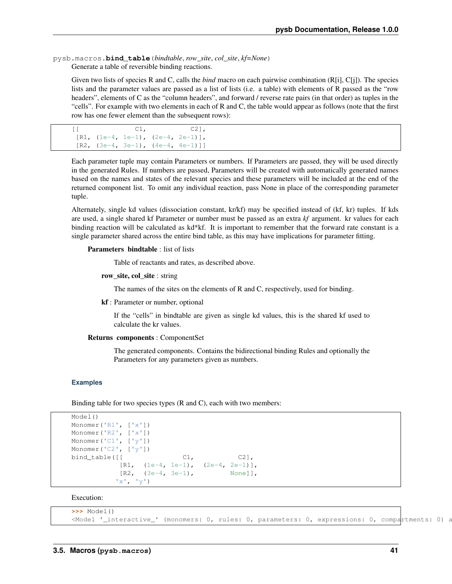pysb.macros.**bind\_table**(*bindtable*, *row\_site*, *col\_site*, *kf=None*) Generate a table of reversible binding reactions.

Given two lists of species R and C, calls the *bind* macro on each pairwise combination (R[i], C[j]). The species lists and the parameter values are passed as a list of lists (i.e. a table) with elements of R passed as the "row headers", elements of C as the "column headers", and forward / reverse rate pairs (in that order) as tuples in the "cells". For example with two elements in each of R and C, the table would appear as follows (note that the first row has one fewer element than the subsequent rows):

```
[[C1, C2]],
[R1, (1e-4, 1e-1), (2e-4, 2e-1)],[R2, (3e-4, 3e-1), (4e-4, 4e-1)]
```
Each parameter tuple may contain Parameters or numbers. If Parameters are passed, they will be used directly in the generated Rules. If numbers are passed, Parameters will be created with automatically generated names based on the names and states of the relevant species and these parameters will be included at the end of the returned component list. To omit any individual reaction, pass None in place of the corresponding parameter tuple.

Alternately, single kd values (dissociation constant, kr/kf) may be specified instead of (kf, kr) tuples. If kds are used, a single shared kf Parameter or number must be passed as an extra *kf* argument. kr values for each binding reaction will be calculated as kd\*kf. It is important to remember that the forward rate constant is a single parameter shared across the entire bind table, as this may have implications for parameter fitting.

## Parameters bindtable : list of lists

Table of reactants and rates, as described above.

row\_site, col\_site : string

The names of the sites on the elements of R and C, respectively, used for binding.

kf : Parameter or number, optional

If the "cells" in bindtable are given as single kd values, this is the shared kf used to calculate the kr values.

#### Returns components : ComponentSet

The generated components. Contains the bidirectional binding Rules and optionally the Parameters for any parameters given as numbers.

#### **Examples**

Binding table for two species types (R and C), each with two members:

```
Model()
Monomer('R1', ['x'])
Monomer('R2', ['x'])
Monomer('C1', ['y'])
Monomer('C2', ['y'])
bind_table([[ C1, C2],
          [R1, (1e-4, 1e-1), (2e-4, 2e-1)],[R2, (3e-4, 3e-1), None]],
         'x', 'y')
```

```
>>> Model()
<Model '_interactive_' (monomers: 0, rules: 0, parameters: 0, expressions: 0, compartments:
```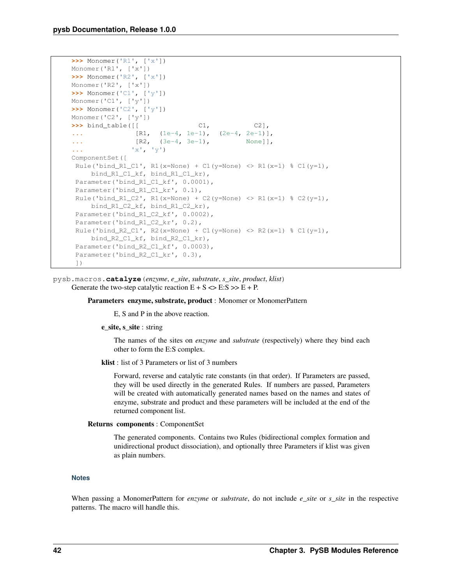```
>>> Monomer('R1', ['x'])
Monomer('R1', ['x'])
>>> Monomer('R2', ['x'])
Monomer('R2', ['x'])
>>> Monomer('C1', ['y'])
Monomer('C1', ['y'])
>>> Monomer('C2', ['y'])
Monomer('C2', ['y'])
>>> bind_table([[ C1, C2],
... [R1, (1e-4, 1e-1), (2e-4, 2e-1)],
... [R2, (3e-4, 3e-1), None]],
... 'x', 'y')
ComponentSet([
Rule('bind R1 C1', R1(x=None) + C1(y=None) <> R1(x=1) % C1(y=1),
    bind_R1_C1_kf, bind_R1_C1_kr),
 Parameter('bind_R1_C1_kf', 0.0001),
 Parameter('bind_R1_C1_kr', 0.1),
 Rule('bind_R1_C2', R1(x=None) + C2(y=None) <> R1(x=1) % C2(y=1),
    bind_R1_C2_kf, bind_R1_C2_kr),
 Parameter('bind_R1_C2_kf', 0.0002),
 Parameter('bind_R1_C2_kr', 0.2),
 Rule('bind_R2_C1', R2(x=None) + C1(y=None) <> R2(x=1) % C1(y=1),
    bind_R2_C1_kf, bind_R2_C1_kr),
 Parameter('bind_R2_C1_kf', 0.0003),
 Parameter('bind_R2_C1_kr', 0.3),
 ])
```
pysb.macros.**catalyze**(*enzyme*, *e\_site*, *substrate*, *s\_site*, *product*, *klist*) Generate the two-step catalytic reaction  $E + S \ll E : S \gg E + P$ .

#### Parameters enzyme, substrate, product : Monomer or MonomerPattern

E, S and P in the above reaction.

e\_site, s\_site : string

The names of the sites on *enzyme* and *substrate* (respectively) where they bind each other to form the E:S complex.

klist : list of 3 Parameters or list of 3 numbers

Forward, reverse and catalytic rate constants (in that order). If Parameters are passed, they will be used directly in the generated Rules. If numbers are passed, Parameters will be created with automatically generated names based on the names and states of enzyme, substrate and product and these parameters will be included at the end of the returned component list.

Returns components : ComponentSet

The generated components. Contains two Rules (bidirectional complex formation and unidirectional product dissociation), and optionally three Parameters if klist was given as plain numbers.

## **Notes**

When passing a MonomerPattern for *enzyme* or *substrate*, do not include *e\_site* or *s\_site* in the respective patterns. The macro will handle this.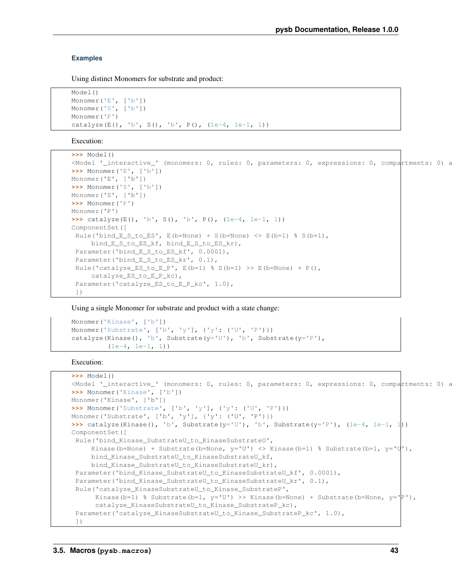## **Examples**

Using distinct Monomers for substrate and product:

```
Model()
Monomer('E', ['b'])
Monomer('S', ['b'])
Monomer('P')
catalyze(E(), 'b', S(), 'b', P(), (1e-4, 1e-1, 1))
```
Execution:

```
>>> Model()
\leq Model '_interactive_' (monomers: 0, rules: 0, parameters: 0, expressions: 0, compartments: 0) at ...
>>> Monomer('E', ['b'])
Monomer('E', ['b'])
>>> Monomer('S', ['b'])
Monomer('S', ['b'])
>>> Monomer('P')
Monomer('P')
>>> catalyze(E(), 'b', S(), 'b', P(), (1e-4, 1e-1, 1))
ComponentSet([
 Rule('bind_E_S_to_ES', E(b=None) + S(b=None) <> E(b=1) % S(b=1),
     bind_E_S_to_ES_kf, bind_E_S_to_ES_kr),
 Parameter('bind_E_S_to_ES_kf', 0.0001),
 Parameter('bind_E_S_to_ES_kr', 0.1),
 Rule('catalyze_ES_to_E_P', E(b=1) % S(b=1) >> E(b=None) + P(),
     catalyze_ES_to_E_P_kc),
 Parameter('catalyze_ES_to_E_P_kc', 1.0),
 ])
```
Using a single Monomer for substrate and product with a state change:

```
Monomer('Kinase', ['b'])
Monomer('Substrate', ['b', 'y'], {'y': ('U', 'P')})
catalyze(Kinase(), 'b', Substrate(y='U'), 'b', Substrate(y='P'),
         (1e-4, 1e-1, 1)
```

```
>>> Model()
\leq Model '_interactive_' (monomers: 0, rules: 0, parameters: 0, expressions: 0, compartments: 0) at ...
>>> Monomer('Kinase', ['b'])
Monomer('Kinase', ['b'])
>>> Monomer('Substrate', ['b', 'y'], {'y': ('U', 'P')})
Monomer('Substrate', ['b', 'y'], {'y': ('U', 'P')})
>>> catalyze(Kinase(), 'b', Substrate(y='U'), 'b', Substrate(y='P'), (1e-4, 1e-1, 1))
ComponentSet([
Rule('bind_Kinase_SubstrateU_to_KinaseSubstrateU',
     Kinase(b=None) + Substrate(b=None, y=U') <> Kinase(b=1) % Substrate(b=1, y=U''),
     bind_Kinase_SubstrateU_to_KinaseSubstrateU_kf,
     bind_Kinase_SubstrateU_to_KinaseSubstrateU_kr),
Parameter('bind_Kinase_SubstrateU_to_KinaseSubstrateU_kf', 0.0001),
Parameter('bind Kinase SubstrateU to KinaseSubstrateU kr', 0.1),
Rule('catalyze_KinaseSubstrateU_to_Kinase_SubstrateP',
      Kinase(b=1) % Substrate(b=1, y='U') >> Kinase(b=None) + Substrate(b=None, y='P'),
      catalyze_KinaseSubstrateU_to_Kinase_SubstrateP_kc),
 Parameter('catalyze_KinaseSubstrateU_to_Kinase_SubstrateP_kc', 1.0),
 ])
```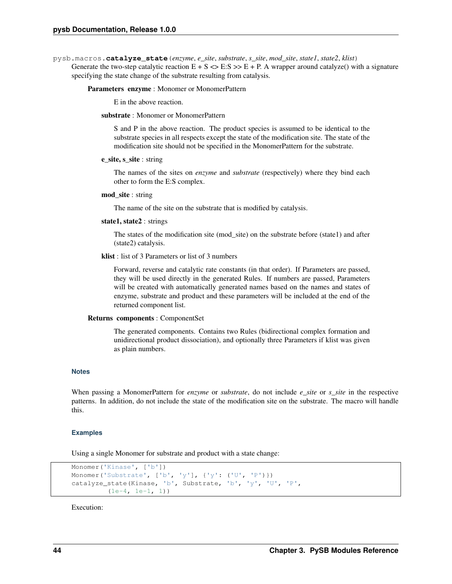pysb.macros.**catalyze\_state**(*enzyme*, *e\_site*, *substrate*, *s\_site*, *mod\_site*, *state1*, *state2*, *klist*)

Generate the two-step catalytic reaction  $E + S \ll E : S \gg E + P$ . A wrapper around catalyze() with a signature specifying the state change of the substrate resulting from catalysis.

#### Parameters enzyme : Monomer or MonomerPattern

E in the above reaction.

## substrate : Monomer or MonomerPattern

S and P in the above reaction. The product species is assumed to be identical to the substrate species in all respects except the state of the modification site. The state of the modification site should not be specified in the MonomerPattern for the substrate.

#### e\_site, s\_site : string

The names of the sites on *enzyme* and *substrate* (respectively) where they bind each other to form the E:S complex.

## mod\_site : string

The name of the site on the substrate that is modified by catalysis.

#### state1, state2 : strings

The states of the modification site (mod\_site) on the substrate before (state1) and after (state2) catalysis.

## klist : list of 3 Parameters or list of 3 numbers

Forward, reverse and catalytic rate constants (in that order). If Parameters are passed, they will be used directly in the generated Rules. If numbers are passed, Parameters will be created with automatically generated names based on the names and states of enzyme, substrate and product and these parameters will be included at the end of the returned component list.

#### Returns components : ComponentSet

The generated components. Contains two Rules (bidirectional complex formation and unidirectional product dissociation), and optionally three Parameters if klist was given as plain numbers.

#### **Notes**

When passing a MonomerPattern for *enzyme* or *substrate*, do not include *e\_site* or *s\_site* in the respective patterns. In addition, do not include the state of the modification site on the substrate. The macro will handle this.

#### **Examples**

Using a single Monomer for substrate and product with a state change:

```
Monomer('Kinase', ['b'])
Monomer('Substrate', ['b', 'y'], {'y': ('U', 'P')})
catalyze_state(Kinase, 'b', Substrate, 'b', 'y', 'U', 'P',
         (1e-4, 1e-1, 1))
```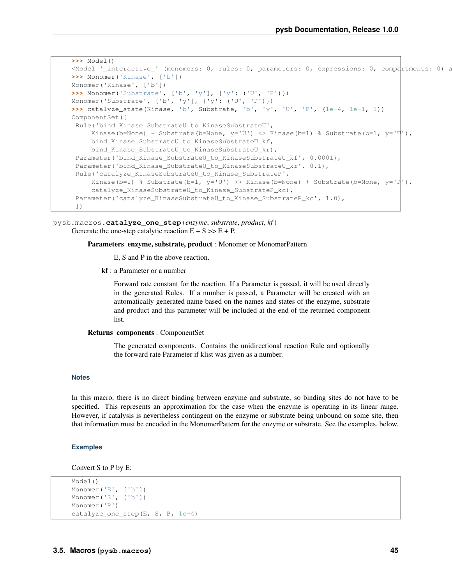```
>>> Model()
<Model '_interactive_' (monomers: 0, rules: 0, parameters: 0, expressions: 0, compartments: 0) at ...
>>> Monomer('Kinase', ['b'])
Monomer('Kinase', ['b'])
>>> Monomer('Substrate', ['b', 'y'], {'y': ('U', 'P')})
Monomer('Substrate', ['b', 'y'], {'y': ('U', 'P')})
>>> catalyze_state(Kinase, 'b', Substrate, 'b', 'y', 'U', 'P', (1e-4, 1e-1, 1))
ComponentSet([
Rule('bind_Kinase_SubstrateU_to_KinaseSubstrateU',
    Kinase(b=None) + Substrate(b=None, y='U') <> Kinase(b=1) % Substrate(b=1, y='U''),
    bind_Kinase_SubstrateU_to_KinaseSubstrateU_kf,
    bind_Kinase_SubstrateU_to_KinaseSubstrateU_kr),
Parameter('bind_Kinase_SubstrateU_to_KinaseSubstrateU_kf', 0.0001),
Parameter('bind Kinase SubstrateU to KinaseSubstrateU kr', 0.1),
Rule('catalyze_KinaseSubstrateU_to_Kinase_SubstrateP',
    Kinase(b=1) % Substrate(b=1, y='U') >> Kinase(b=None) + Substrate(b=None, y='P|'),
     catalyze_KinaseSubstrateU_to_Kinase_SubstrateP_kc),
 Parameter('catalyze_KinaseSubstrateU_to_Kinase_SubstrateP_kc', 1.0),
 ])
```
pysb.macros.**catalyze\_one\_step**(*enzyme*, *substrate*, *product*, *kf*) Generate the one-step catalytic reaction  $E + S \gg E + P$ .

#### Parameters enzyme, substrate, product : Monomer or MonomerPattern

E, S and P in the above reaction.

kf : a Parameter or a number

Forward rate constant for the reaction. If a Parameter is passed, it will be used directly in the generated Rules. If a number is passed, a Parameter will be created with an automatically generated name based on the names and states of the enzyme, substrate and product and this parameter will be included at the end of the returned component list.

#### Returns components : ComponentSet

The generated components. Contains the unidirectional reaction Rule and optionally the forward rate Parameter if klist was given as a number.

## **Notes**

In this macro, there is no direct binding between enzyme and substrate, so binding sites do not have to be specified. This represents an approximation for the case when the enzyme is operating in its linear range. However, if catalysis is nevertheless contingent on the enzyme or substrate being unbound on some site, then that information must be encoded in the MonomerPattern for the enzyme or substrate. See the examples, below.

## **Examples**

Convert S to P by E:

```
Model()
Monomer('E', ['b'])
Monomer('S', ['b'])
Monomer('P')
catalyze_one_step(E, S, P, 1e-4)
```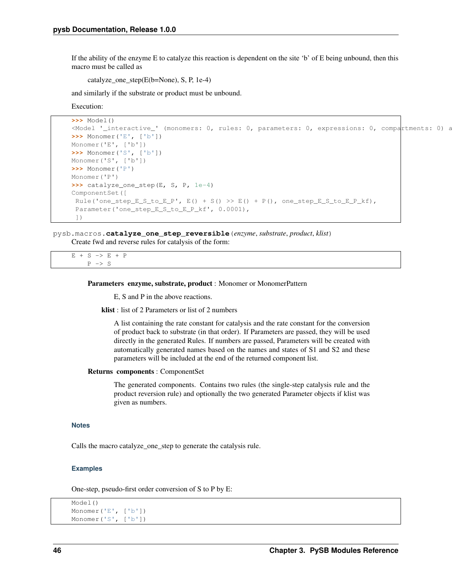If the ability of the enzyme E to catalyze this reaction is dependent on the site 'b' of E being unbound, then this macro must be called as

catalyze\_one\_step(E(b=None), S, P, 1e-4)

and similarly if the substrate or product must be unbound.

Execution:

```
>>> Model()
\leq Model '_interactive_' (monomers: 0, rules: 0, parameters: 0, expressions: 0, compartments: 0) at ...
>>> Monomer('E', ['b'])
Monomer('E', ['b'])
>>> Monomer('S', ['b'])
Monomer('S', ['b'])
>>> Monomer('P')
Monomer('P')
>>> catalyze_one_step(E, S, P, 1e-4)
ComponentSet([
 Rule('one\_step_E_S_to_E_P', E() + S() >> E() + P(), one\_step_E_S_to_E_P_k',Parameter('one_step_E_S_to_E_P_kf', 0.0001),
 ])
```
pysb.macros.**catalyze\_one\_step\_reversible**(*enzyme*, *substrate*, *product*, *klist*)

Create fwd and reverse rules for catalysis of the form:

 $E + S \rightarrow E + P$  $P \rightarrow S$ 

#### Parameters enzyme, substrate, product : Monomer or MonomerPattern

E, S and P in the above reactions.

klist : list of 2 Parameters or list of 2 numbers

A list containing the rate constant for catalysis and the rate constant for the conversion of product back to substrate (in that order). If Parameters are passed, they will be used directly in the generated Rules. If numbers are passed, Parameters will be created with automatically generated names based on the names and states of S1 and S2 and these parameters will be included at the end of the returned component list.

#### Returns components : ComponentSet

The generated components. Contains two rules (the single-step catalysis rule and the product reversion rule) and optionally the two generated Parameter objects if klist was given as numbers.

## **Notes**

Calls the macro catalyze\_one\_step to generate the catalysis rule.

#### **Examples**

One-step, pseudo-first order conversion of S to P by E:

```
Model()
Monomer('E', ['b'])
Monomer('S', ['b'])
```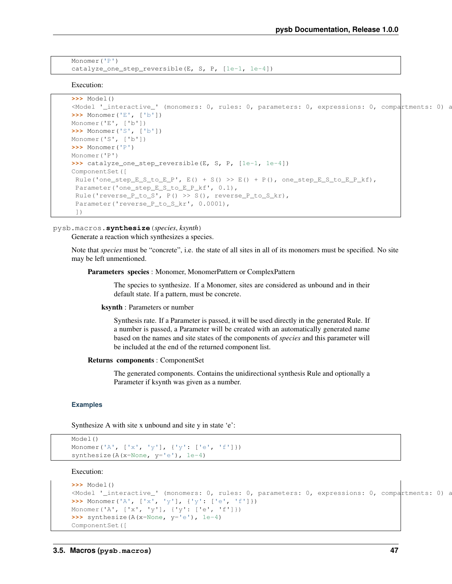```
Monomer('P')
catalyze_one_step_reversible(E, S, P, [1e-1, 1e-4])
```
Execution:

```
>>> Model()
\leq Model '_interactive_' (monomers: 0, rules: 0, parameters: 0, expressions: 0, compartments: 0) at \leq>>> Monomer('E', ['b'])
Monomer('E', ['b'])
>>> Monomer('S', ['b'])
Monomer('S', ['b'])
>>> Monomer('P')
Monomer('P')
>>> catalyze_one_step_reversible(E, S, P, [1e-1, 1e-4])
ComponentSet([
 Rule('one_step_E_S_to_E_P', E() + S() >> E() + P(), one_step_E_S_to_E_P_kf),
 Parameter('one_step_E_S_to_E_P_kf', 0.1),
 Rule('reverse_P_to_S', P() >> S(), reverse_P_to_S_kr),
 Parameter('reverse_P_to_S_kr', 0.0001),
 ])
```
# pysb.macros.**synthesize**(*species*, *ksynth*)

Generate a reaction which synthesizes a species.

Note that *species* must be "concrete", i.e. the state of all sites in all of its monomers must be specified. No site may be left unmentioned.

Parameters species : Monomer, MonomerPattern or ComplexPattern

The species to synthesize. If a Monomer, sites are considered as unbound and in their default state. If a pattern, must be concrete.

ksynth : Parameters or number

Synthesis rate. If a Parameter is passed, it will be used directly in the generated Rule. If a number is passed, a Parameter will be created with an automatically generated name based on the names and site states of the components of *species* and this parameter will be included at the end of the returned component list.

#### Returns components : ComponentSet

The generated components. Contains the unidirectional synthesis Rule and optionally a Parameter if ksynth was given as a number.

#### **Examples**

Synthesize A with site x unbound and site y in state 'e':

```
Model()
Monomer('A', ['x', 'y'], {'y': ['e', 'f']})
synthesize(A(x=None, y='e'), 1e-4)
```

```
>>> Model()
\leq Model '_interactive_' (monomers: 0, rules: 0, parameters: 0, expressions: 0, compartments: 0) at ...
>>> Monomer('A', ['x', 'y'], {'y': ['e', 'f']})
Monomer('A', ['x', 'y'], {'y': ['e', 'f']})
>>> synthesize(A(x=None, y='e'), 1e-4)
ComponentSet([
```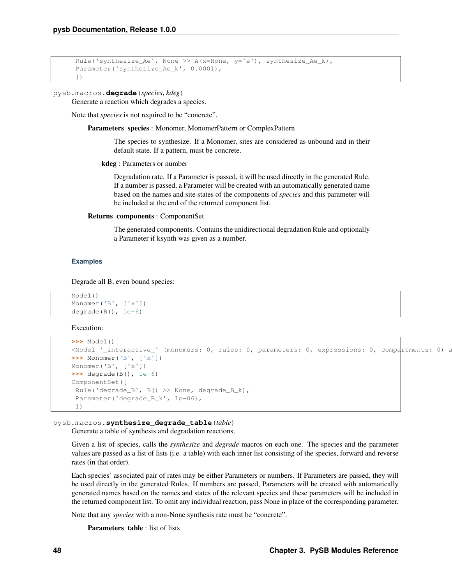```
Rule('synthesize_Ae', None >> A(x=None, y='e'), synthesize_Ae_k),
Parameter('synthesize_Ae_k', 0.0001),
])
```

```
pysb.macros.degrade(species, kdeg)
```
Generate a reaction which degrades a species.

Note that *species* is not required to be "concrete".

Parameters species : Monomer, MonomerPattern or ComplexPattern

The species to synthesize. If a Monomer, sites are considered as unbound and in their default state. If a pattern, must be concrete.

kdeg : Parameters or number

Degradation rate. If a Parameter is passed, it will be used directly in the generated Rule. If a number is passed, a Parameter will be created with an automatically generated name based on the names and site states of the components of *species* and this parameter will be included at the end of the returned component list.

Returns components : ComponentSet

The generated components. Contains the unidirectional degradation Rule and optionally a Parameter if ksynth was given as a number.

## **Examples**

Degrade all B, even bound species:

```
Model()
Monomer('B', ['x'])
degrade(B(), 1e-6)
```
Execution:

```
>>> Model()
\leq Model '_interactive_' (monomers: 0, rules: 0, parameters: 0, expressions: 0, compartments: 0) at ...
>>> Monomer('B', ['x'])
Monomer('B', ['x'])
>>> degrade(B(), 1e-6)
ComponentSet([
 Rule('degrade_B', B() >> None, degrade_B_k),
 Parameter('degrade_B_k', 1e-06),
 ])
```
pysb.macros.**synthesize\_degrade\_table**(*table*)

Generate a table of synthesis and degradation reactions.

Given a list of species, calls the *synthesize* and *degrade* macros on each one. The species and the parameter values are passed as a list of lists (i.e. a table) with each inner list consisting of the species, forward and reverse rates (in that order).

Each species' associated pair of rates may be either Parameters or numbers. If Parameters are passed, they will be used directly in the generated Rules. If numbers are passed, Parameters will be created with automatically generated names based on the names and states of the relevant species and these parameters will be included in the returned component list. To omit any individual reaction, pass None in place of the corresponding parameter.

Note that any *species* with a non-None synthesis rate must be "concrete".

Parameters table : list of lists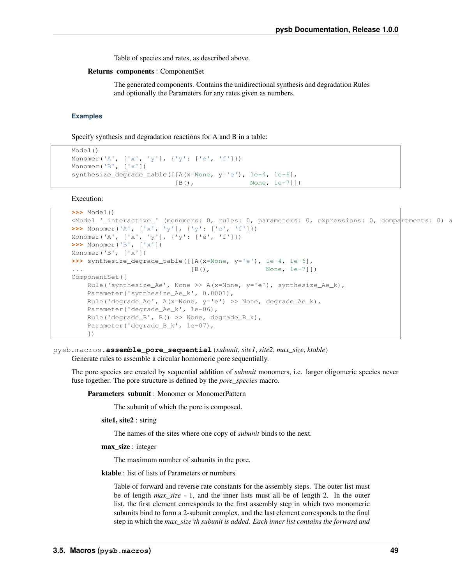Table of species and rates, as described above.

#### Returns components : ComponentSet

The generated components. Contains the unidirectional synthesis and degradation Rules and optionally the Parameters for any rates given as numbers.

#### **Examples**

Specify synthesis and degradation reactions for A and B in a table:

```
Model()
Monomer('A', ['x', 'y'], {'y': ['e', 'f']})
Monomer('B', ['x'])
synthesize_degrade_table([[A(x=None, y='e'), 1e-4, 1e-6],
                        [B(), None, 1e-7]])
```
Execution:

```
>>> Model()
<Model '_interactive_' (monomers: 0, rules: 0, parameters: 0, expressions: 0, compartments: 0) a
>>> Monomer('A', ['x', 'y'], {'y': ['e', 'f']})
Monomer('A', ['x', 'y'], {'y': ['e', 'f']})
>>> Monomer('B', ['x'])
Monomer('B', ['x'])
>>> synthesize degrade table(\lceil A(x=None, y='e') \rceil, 1e-4, 1e-6],
... [B(), None, 1e-7]])
ComponentSet([
   Rule('synthesize_Ae', None >> A(x=None, y='e'), synthesize_Ae_k),
   Parameter('synthesize_Ae_k', 0.0001),
   Rule('degrade_Ae', A(x=None, y='e') >> None, degrade_Ae_k),
   Parameter('degrade_Ae_k', 1e-06),
   Rule('degrade_B', B() >> None, degrade_B_k),
   Parameter('degrade_B_k', 1e-07),
   ])
```
pysb.macros.**assemble\_pore\_sequential**(*subunit*, *site1*, *site2*, *max\_size*, *ktable*) Generate rules to assemble a circular homomeric pore sequentially.

The pore species are created by sequential addition of *subunit* monomers, i.e. larger oligomeric species never fuse together. The pore structure is defined by the *pore\_species* macro.

Parameters subunit : Monomer or MonomerPattern

The subunit of which the pore is composed.

site1, site2 : string

The names of the sites where one copy of *subunit* binds to the next.

max\_size : integer

The maximum number of subunits in the pore.

ktable : list of lists of Parameters or numbers

Table of forward and reverse rate constants for the assembly steps. The outer list must be of length *max\_size* - 1, and the inner lists must all be of length 2. In the outer list, the first element corresponds to the first assembly step in which two monomeric subunits bind to form a 2-subunit complex, and the last element corresponds to the final step in which the *max\_size'th subunit is added. Each inner list contains the forward and*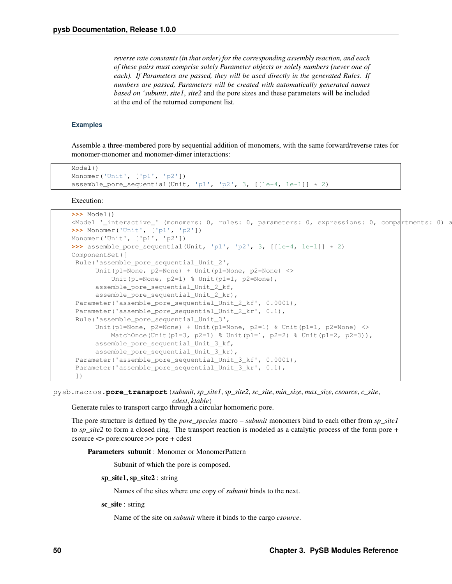*reverse rate constants (in that order) for the corresponding assembly reaction, and each of these pairs must comprise solely Parameter objects or solely numbers (never one of each). If Parameters are passed, they will be used directly in the generated Rules. If numbers are passed, Parameters will be created with automatically generated names based on 'subunit*, *site1*, *site2* and the pore sizes and these parameters will be included at the end of the returned component list.

## **Examples**

Assemble a three-membered pore by sequential addition of monomers, with the same forward/reverse rates for monomer-monomer and monomer-dimer interactions:

```
Model()
Monomer('Unit', ['p1', 'p2'])
assemble_pore_sequential(Unit, 'p1', 'p2', 3, [[1e-4, 1e-1]] \star 2)
```
Execution:

```
>>> Model()
<Model '_interactive_' (monomers: 0, rules: 0, parameters: 0, expressions: 0, compartments: 0) a
>>> Monomer('Unit', ['p1', 'p2'])
Monomer('Unit', ['p1', 'p2'])
>>> assemble_pore_sequential(Unit, 'p1', 'p2', 3, [[1e-4, 1e-1]] * 2)
ComponentSet([
Rule('assemble_pore_sequential_Unit_2',
      Unit(p1=None, p2=None) + Unit(p1=None, p2=None) <>
          Unit(p1=None, p2=1) % Unit(p1=1, p2=None),
      assemble_pore_sequential_Unit_2_kf,
      assemble_pore_sequential_Unit_2_kr),
 Parameter('assemble_pore_sequential_Unit_2_kf', 0.0001),
 Parameter('assemble_pore_sequential_Unit_2_kr', 0.1),
 Rule('assemble_pore_sequential_Unit_3',
      Unit(p1=None, p2=None) + Unit(p1=None, p2=1) % Unit(p1=1, p2=None) <>
         MatchOnce(Unit(p1=3, p2=1) % Unit(p1=1, p2=2) % Unit(p1=2, p2=3)),
      assemble_pore_sequential_Unit_3_kf,
      assemble_pore_sequential_Unit_3_kr),
 Parameter('assemble_pore_sequential_Unit_3_kf', 0.0001),
 Parameter('assemble_pore_sequential_Unit_3_kr', 0.1),
 ])
```
pysb.macros.**pore\_transport**(*subunit*, *sp\_site1*, *sp\_site2*, *sc\_site*, *min\_size*, *max\_size*, *csource*, *c\_site*,

*cdest*, *ktable*)

Generate rules to transport cargo through a circular homomeric pore.

The pore structure is defined by the *pore\_species* macro – *subunit* monomers bind to each other from *sp\_site1* to *sp\_site2* to form a closed ring. The transport reaction is modeled as a catalytic process of the form pore + csource <> pore:csource >> pore + cdest

Parameters subunit : Monomer or MonomerPattern

Subunit of which the pore is composed.

sp\_site1, sp\_site2 : string

Names of the sites where one copy of *subunit* binds to the next.

sc\_site : string

Name of the site on *subunit* where it binds to the cargo *csource*.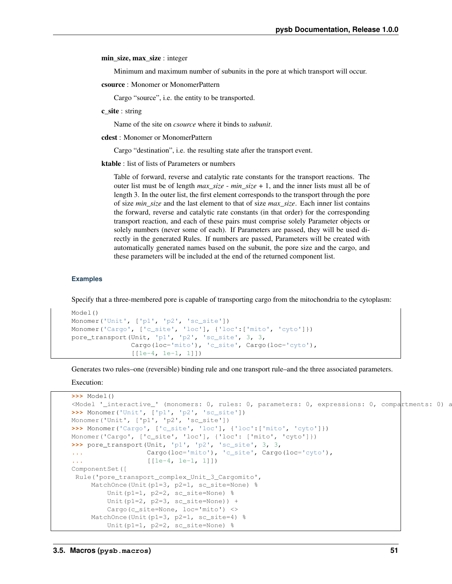min\_size, max\_size : integer

Minimum and maximum number of subunits in the pore at which transport will occur.

csource : Monomer or MonomerPattern

Cargo "source", i.e. the entity to be transported.

c\_site : string

Name of the site on *csource* where it binds to *subunit*.

cdest : Monomer or MonomerPattern

Cargo "destination", i.e. the resulting state after the transport event.

ktable : list of lists of Parameters or numbers

Table of forward, reverse and catalytic rate constants for the transport reactions. The outer list must be of length *max\_size* - *min\_size* + 1, and the inner lists must all be of length 3. In the outer list, the first element corresponds to the transport through the pore of size *min\_size* and the last element to that of size *max\_size*. Each inner list contains the forward, reverse and catalytic rate constants (in that order) for the corresponding transport reaction, and each of these pairs must comprise solely Parameter objects or solely numbers (never some of each). If Parameters are passed, they will be used directly in the generated Rules. If numbers are passed, Parameters will be created with automatically generated names based on the subunit, the pore size and the cargo, and these parameters will be included at the end of the returned component list.

### **Examples**

Specify that a three-membered pore is capable of transporting cargo from the mitochondria to the cytoplasm:

```
Model()
Monomer('Unit', ['p1', 'p2', 'sc_site'])
Monomer('Cargo', ['c_site', 'loc'], {'loc':['mito', 'cyto']})
pore_transport(Unit, 'p1', 'p2', 'sc_site', 3, 3,
               Cargo(loc='mito'), 'c_site', Cargo(loc='cyto'),
               [1e-4, 1e-1, 1]]
```
Generates two rules–one (reversible) binding rule and one transport rule–and the three associated parameters.

```
>>> Model()
\leq Model '_interactive_' (monomers: 0, rules: 0, parameters: 0, expressions: 0, compartments: 0) at \geq>>> Monomer('Unit', ['p1', 'p2', 'sc_site'])
Monomer('Unit', ['p1', 'p2', 'sc_site'])
>>> Monomer('Cargo', ['c_site', 'loc'], {'loc':['mito', 'cyto']})
Monomer('Cargo', ['c_site', 'loc'], {'loc': ['mito', 'cyto']})
>>> pore_transport(Unit, 'p1', 'p2', 'sc_site', 3, 3,
... Cargo(loc='mito'), 'c_site', Cargo(loc='cyto'),
... [[1e-4, 1e-1, 1]])
ComponentSet([
Rule('pore_transport_complex_Unit_3_Cargomito',
    MatchOnce(Unit(p1=3, p2=1, sc_site=None) %
        Unit(p1=1, p2=2, sc_site=None) %
        Unit(p1=2, p2=3, sc\_site=None) +
        Cargo(c_site=None, loc='mito') <>
    MatchOnce(Unit(p1=3, p2=1, sc_site=4) %
        Unit(p1=1, p2=2, sc_site=None) %
```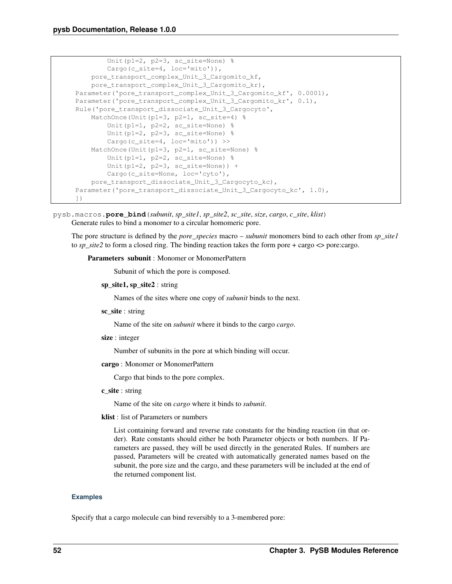```
Unit(p1=2, p2=3, sc_site=None)
       Cargo(c_site=4, loc='mito')),
   pore_transport_complex_Unit_3_Cargomito_kf,
   pore_transport_complex_Unit_3_Cargomito_kr),
Parameter('pore_transport_complex_Unit_3_Cargomito_kf', 0.0001),
Parameter('pore_transport_complex_Unit_3_Cargomito_kr', 0.1),
Rule('pore_transport_dissociate_Unit_3_Cargocyto',
   MatchOnce(Unit(p1=3, p2=1, sc_site=4) %
       Unit(p1=1, p2=2, sc_site=None) %
       Unit(p1=2, p2=3, sc_site=None) %
       Cargo(c_site=4, loc='mito')) >>
   MatchOnce(Unit(p1=3, p2=1, sc_site=None) %
       Unit(p1=1, p2=2, sc_site=None) %
       Unit(p1=2, p2=3, sc\_site=None) +
       Cargo(c_site=None, loc='cyto'),
   pore_transport_dissociate_Unit_3_Cargocyto_kc),
Parameter('pore_transport_dissociate_Unit_3_Cargocyto_kc', 1.0),
])
```
pysb.macros.**pore\_bind**(*subunit*, *sp\_site1*, *sp\_site2*, *sc\_site*, *size*, *cargo*, *c\_site*, *klist*) Generate rules to bind a monomer to a circular homomeric pore.

The pore structure is defined by the *pore\_species* macro – *subunit* monomers bind to each other from *sp\_site1* to *sp\_site2* to form a closed ring. The binding reaction takes the form pore + cargo <> pore:cargo.

Parameters subunit : Monomer or MonomerPattern

Subunit of which the pore is composed.

sp\_site1, sp\_site2 : string

Names of the sites where one copy of *subunit* binds to the next.

sc\_site : string

Name of the site on *subunit* where it binds to the cargo *cargo*.

size : integer

Number of subunits in the pore at which binding will occur.

cargo : Monomer or MonomerPattern

Cargo that binds to the pore complex.

c\_site : string

Name of the site on *cargo* where it binds to *subunit*.

klist : list of Parameters or numbers

List containing forward and reverse rate constants for the binding reaction (in that order). Rate constants should either be both Parameter objects or both numbers. If Parameters are passed, they will be used directly in the generated Rules. If numbers are passed, Parameters will be created with automatically generated names based on the subunit, the pore size and the cargo, and these parameters will be included at the end of the returned component list.

## **Examples**

Specify that a cargo molecule can bind reversibly to a 3-membered pore: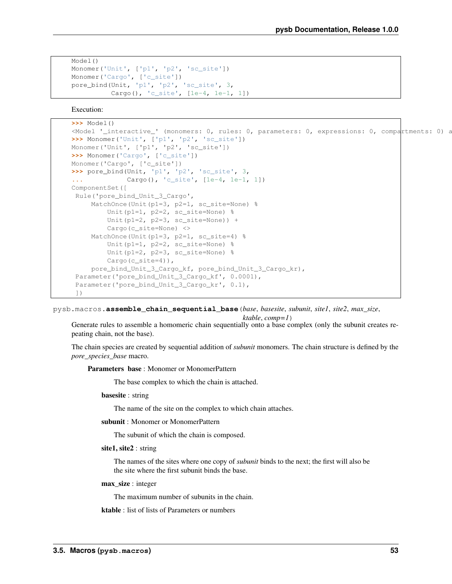```
Model()
Monomer('Unit', ['p1', 'p2', 'sc_site'])
Monomer('Cargo', ['c_site'])
pore_bind(Unit, 'p1', 'p2', 'sc_site', 3,
          Cargo(), 'c_site', [1e-4, 1e-1, 1])
```
Execution:

```
>>> Model()
\leq Model '_interactive_' (monomers: 0, rules: 0, parameters: 0, expressions: 0, compartments: 0) at ...
>>> Monomer('Unit', ['p1', 'p2', 'sc_site'])
Monomer('Unit', ['p1', 'p2', 'sc_site'])
>>> Monomer('Cargo', ['c_site'])
Monomer('Cargo', ['c_site'])
>>> pore_bind(Unit, 'p1', 'p2', 'sc_site', 3,
... Cargo(), 'c_site', [1e-4, 1e-1, 1])
ComponentSet([
Rule('pore_bind_Unit_3_Cargo',
    MatchOnce(Unit(p1=3, p2=1, sc_site=None) %
         Unit(p1=1, p2=2, sc_site=None) %
         Unit(p1=2, p2=3, sc\_site=None)) +
         Cargo(c_site=None) <>
     MatchOnce(Unit(p1=3, p2=1, sc_site=4) %
         Unit(p1=1, p2=2, sc_site=None) %
         Unit(p1=2, p2=3, sc_site=None) %
         Cargo(c_site=4)),
     pore_bind_Unit_3_Cargo_kf, pore_bind_Unit_3_Cargo_kr),
 Parameter('pore_bind_Unit_3_Cargo_kf', 0.0001),
 Parameter('pore_bind_Unit_3_Cargo_kr', 0.1),
 ])
```
pysb.macros.**assemble\_chain\_sequential\_base**(*base*, *basesite*, *subunit*, *site1*, *site2*, *max\_size*, *ktable*, *comp=1*)

Generate rules to assemble a homomeric chain sequentially onto a base complex (only the subunit creates repeating chain, not the base).

The chain species are created by sequential addition of *subunit* monomers. The chain structure is defined by the *pore\_species\_base* macro.

Parameters base : Monomer or MonomerPattern

The base complex to which the chain is attached.

basesite : string

The name of the site on the complex to which chain attaches.

subunit : Monomer or MonomerPattern

The subunit of which the chain is composed.

#### site1, site2 : string

The names of the sites where one copy of *subunit* binds to the next; the first will also be the site where the first subunit binds the base.

#### max\_size : integer

The maximum number of subunits in the chain.

ktable : list of lists of Parameters or numbers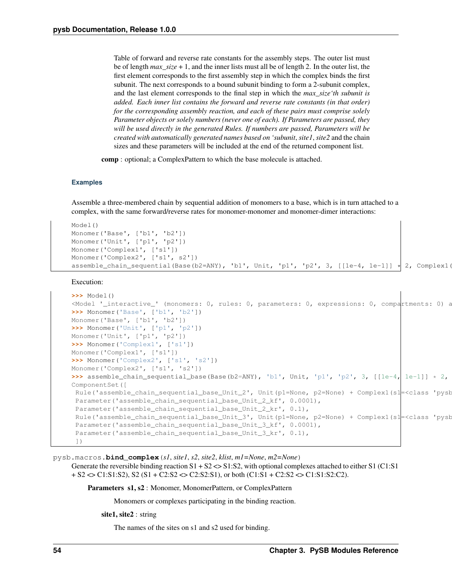Table of forward and reverse rate constants for the assembly steps. The outer list must be of length *max\_size* + 1, and the inner lists must all be of length 2. In the outer list, the first element corresponds to the first assembly step in which the complex binds the first subunit. The next corresponds to a bound subunit binding to form a 2-subunit complex, and the last element corresponds to the final step in which the *max\_size'th subunit is added. Each inner list contains the forward and reverse rate constants (in that order) for the corresponding assembly reaction, and each of these pairs must comprise solely Parameter objects or solely numbers (never one of each). If Parameters are passed, they will be used directly in the generated Rules. If numbers are passed, Parameters will be created with automatically generated names based on 'subunit*, *site1*, *site2* and the chain sizes and these parameters will be included at the end of the returned component list.

comp : optional; a ComplexPattern to which the base molecule is attached.

#### **Examples**

Assemble a three-membered chain by sequential addition of monomers to a base, which is in turn attached to a complex, with the same forward/reverse rates for monomer-monomer and monomer-dimer interactions:

```
Model()
Monomer('Base', ['b1', 'b2'])
Monomer('Unit', ['p1', 'p2'])
Monomer('Complex1', ['s1'])
Monomer('Complex2', ['s1', s2'])
assemble_chain_sequential(Base(b2=ANY), 'b1', Unit, 'p1', 'p2', 3, [[1e-4, 1e-1]] \star 2, Complex1(s1=ANY))
```
Execution:

```
>>> Model()
M_{\odot} / M_{\odot} / M_{\odot} / M_{\odot} / M_{\odot} / M_{\odot} / M_{\odot} / M_{\odot} / M_{\odot} / M_{\odot} / M_{\odot} / M_{\odot} / M_{\odot} / M_{\odot} / M_{\odot} / M_{\odot} / M_{\odot} / M_{\odot} / M_{\odot} / M_{\odot} / >>> Monomer('Base', ['b1', 'b2'])
Monomer('Base', ['b1', 'b2'])
>>> Monomer('Unit', ['p1', 'p2'])
Monomer('Unit', ['p1', 'p2'])
>>> Monomer('Complex1', ['s1'])
Monomer('Complex1', ['s1'])
>>> Monomer('Complex2', ['s1', 's2'])
Monomer('Complex2', ['s1', 's2'])
\Rightarrow >>> assemble_chain_sequential_base(Base(b2=ANY), 'b1', Unit, 'p1', 'p2', 3, [[1e-4, 1e-1]] \ast 2,
ComponentSet([
 Rule('assemble_chain_sequential_base_Unit_2', Unit(p1=None, p2=None) + Complex1(s1=<class 'pysk
 Parameter('assemble_chain_sequential_base_Unit_2_kf', 0.0001),
 Parameter('assemble_chain_sequential_base_Unit_2_kr', 0.1),
 Rule('assemble_chain_sequential_base_Unit_3', Unit(p1=None, p2=None) + Complex1(s1=<class 'pysk
 Parameter('assemble_chain_sequential_base_Unit_3_kf', 0.0001),
 Parameter('assemble_chain_sequential_base_Unit_3_kr', 0.1),
 ])
```
pysb.macros.**bind\_complex**(*s1*, *site1*, *s2*, *site2*, *klist*, *m1=None*, *m2=None*)

Generate the reversible binding reaction  $S1 + S2 \ll 1: S2$ , with optional complexes attached to either S1 (C1:S1)  $+ S2 \ll 1: S1: S2$ ,  $S2 (S1 + C2: S2 \ll C2: S2: S1)$ , or both  $(C1: S1 + C2: S2 \ll C1: S1: S2: C2)$ .

Parameters s1, s2 : Monomer, MonomerPattern, or ComplexPattern

Monomers or complexes participating in the binding reaction.

site1, site2 : string

The names of the sites on s1 and s2 used for binding.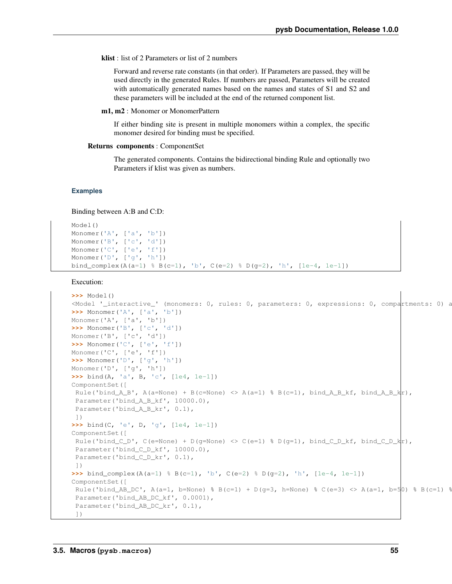klist : list of 2 Parameters or list of 2 numbers

Forward and reverse rate constants (in that order). If Parameters are passed, they will be used directly in the generated Rules. If numbers are passed, Parameters will be created with automatically generated names based on the names and states of S1 and S2 and these parameters will be included at the end of the returned component list.

m1, m2 : Monomer or MonomerPattern

If either binding site is present in multiple monomers within a complex, the specific monomer desired for binding must be specified.

## Returns components : ComponentSet

The generated components. Contains the bidirectional binding Rule and optionally two Parameters if klist was given as numbers.

## **Examples**

Binding between A:B and C:D:

```
Model()
Monomer('A', ['a', 'b'])
Monomer('B', ['c', 'd'])
Monomer('C', ['e', 'f'])
Monomer('D', ['g', 'h'])
bind_complex(A(a=1) % B(c=1), 'b', C(e=2) % D(g=2), 'h', [1e-4, 1e-1])
```

```
>>> Model()
<Model '_interactive_' (monomers: 0, rules: 0, parameters: 0, expressions: 0, compartments: 0) a
>>> Monomer('A', ['a', 'b'])
Monomer('A', ['a', 'b'])
>>> Monomer('B', ['c', 'd'])
Monomer('B', ['c', 'd'])
>>> Monomer('C', ['e', 'f'])
Monomer('C', ['e', 'f'])
>>> Monomer('D', ['g', 'h'])
Monomer('D', ['g', 'h'])
>>> bind(A, 'a', B, 'c', [1e4, 1e-1])
ComponentSet([
Rule('bind_A_B', A(a=None) + B(c=None) <> A(a=1) % B(c=1), bind_A_B_kf, bind_A_B_k|r),
Parameter('bind_A_B_kf', 10000.0),
Parameter('bind_A_B_kr', 0.1),
])
>>> bind(C, 'e', D, 'g', [1e4, 1e-1])
ComponentSet([
Rule('bind_C_D', C(e=None) + D(q=None) <> C(e=1) % D(q=1), bind_C_D_kf, bind_C_D_k|r),
Parameter('bind_C_D_kf', 10000.0),
Parameter('bind_C_D_kr', 0.1),
])
>>> bind_complex(A(a=1) % B(c=1), 'b', C(e=2) % D(g=2), 'h', [1e-4, 1e-1])
ComponentSet([
Rule('bind_AB_DC', A(a=1, b=None) % B(c=1) + D(g=3, h=None) % C(e=3) <br/> A(a=1, b=50) % B(c=1)Parameter('bind_AB_DC_kf', 0.0001),
 Parameter('bind_AB_DC_kr', 0.1),
 ])
```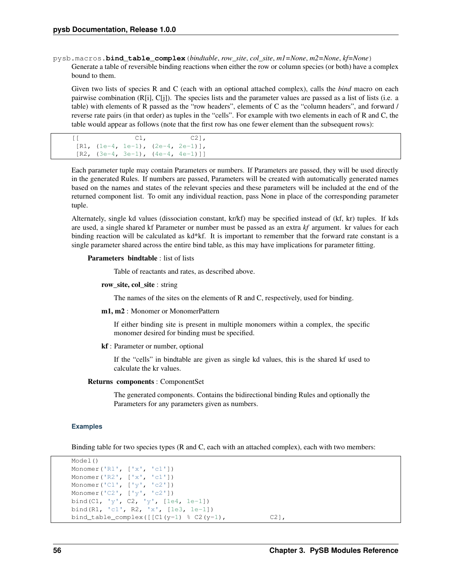pysb.macros.**bind\_table\_complex**(*bindtable*, *row\_site*, *col\_site*, *m1=None*, *m2=None*, *kf=None*) Generate a table of reversible binding reactions when either the row or column species (or both) have a complex bound to them.

Given two lists of species R and C (each with an optional attached complex), calls the *bind* macro on each pairwise combination (R[i], C[j]). The species lists and the parameter values are passed as a list of lists (i.e. a table) with elements of R passed as the "row headers", elements of C as the "column headers", and forward / reverse rate pairs (in that order) as tuples in the "cells". For example with two elements in each of R and C, the table would appear as follows (note that the first row has one fewer element than the subsequent rows):

```
[[C1, C2]],
[R1, (1e-4, 1e-1), (2e-4, 2e-1)],[R2, (3e-4, 3e-1), (4e-4, 4e-1)]
```
Each parameter tuple may contain Parameters or numbers. If Parameters are passed, they will be used directly in the generated Rules. If numbers are passed, Parameters will be created with automatically generated names based on the names and states of the relevant species and these parameters will be included at the end of the returned component list. To omit any individual reaction, pass None in place of the corresponding parameter tuple.

Alternately, single kd values (dissociation constant, kr/kf) may be specified instead of (kf, kr) tuples. If kds are used, a single shared kf Parameter or number must be passed as an extra *kf* argument. kr values for each binding reaction will be calculated as kd\*kf. It is important to remember that the forward rate constant is a single parameter shared across the entire bind table, as this may have implications for parameter fitting.

## Parameters bindtable : list of lists

Table of reactants and rates, as described above.

row\_site, col\_site : string

The names of the sites on the elements of R and C, respectively, used for binding.

m1, m2 : Monomer or MonomerPattern

If either binding site is present in multiple monomers within a complex, the specific monomer desired for binding must be specified.

kf : Parameter or number, optional

If the "cells" in bindtable are given as single kd values, this is the shared kf used to calculate the kr values.

## Returns components : ComponentSet

The generated components. Contains the bidirectional binding Rules and optionally the Parameters for any parameters given as numbers.

## **Examples**

Binding table for two species types (R and C, each with an attached complex), each with two members:

```
Model()
Monomer('R1', ['x', 'c1'])
Monomer('R2', ['x', 'c1'])
Monomer('C1', ['y', 'c2'])
Monomer('C2', ['y', 'c2'])
bind(C1, 'y', C2, 'y', [1e4, 1e-1])
bind(R1, 'c1', R2, 'x', [1e3, 1e-1])
bind_table_complex([ [C1(y=1) * C2(y=1), C2],
```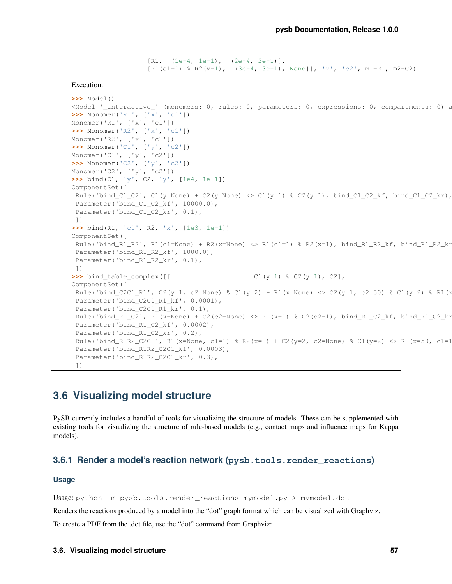```
[R1, (1e-4, 1e-1), (2e-4, 2e-1)],[R1(c1=1) \text{ } & R2(x=1), (3e-4, 3e-1), \text{ None} ], x', 'c2', m1=R1, m2=C2
```
Execution:

```
>>> Model()
\leq Model '_interactive_' (monomers: 0, rules: 0, parameters: 0, expressions: 0, compartments: 0) at \geq>>> Monomer('R1', ['x', 'c1'])
Monomer('R1', ['x', 'c1'])
>>> Monomer('R2', ['x', 'c1'])
Monomer('R2', ['x', 'c1'])
>>> Monomer('C1', ['y', 'c2'])
Monomer('C1', ['y', 'c2'])
>>> Monomer('C2', ['y', 'c2'])
Monomer('C2', ['y', 'c2'])
>>> bind(C1, 'y', C2, 'y', [1e4, 1e-1])
ComponentSet([
Rule('bind_C1_C2', C1(y=None) + C2(y=None) <> C1(y=1) % C2(y=1), bind_C1_C2_kf, bind_C1_C2_kr),
Parameter('bind_C1_C2_kf', 10000.0),
Parameter('bind_C1_C2_kr', 0.1),
])
>>> bind(R1, 'c1', R2, 'x', [1e3, 1e-1])
ComponentSet([
Rule('bind_R1_R2', R1(c1=None) + R2(x=None) <> R1(c1=1) % R2(x=1), bind_R1_R2_kf, bind_R1_R2_kr
Parameter('bind_R1_R2_kf', 1000.0),
Parameter('bind_R1_R2_kr', 0.1),
])
>>> bind_table_complex([[ C1(y=1) % C2(y=1), C2],
ComponentSet([
Rule('bind_C2C1_R1', C2(y=1, c2=None) % C1(y=2) + R1(x=None) < C2(y=1, c2=50) % C1(y=2) % R1(x=0, c2=50)Parameter('bind_C2C1_R1_kf', 0.0001),
Parameter('bind_C2C1_R1_kr', 0.1),
Rule('bind_R1_C2', R1(x=None) + C2(c2=None) <> R1(x=1) % C2(c2=1), bind_R1_C2_kf, bind_R1_C2_kr),
Parameter('bind_R1_C2_kf', 0.0002),
Parameter('bind_R1_C2_kr', 0.2),
Rule('bind_R1R2_C2C1', R1(x=None, c1=1) % R2(x=1) + C2(y=2, c2=None) % C1(y=2) >> R1(x=50, c1=1)Parameter('bind_R1R2_C2C1_kf', 0.0003),
Parameter('bind_R1R2_C2C1_kr', 0.3),
 ])
```
# **3.6 Visualizing model structure**

PySB currently includes a handful of tools for visualizing the structure of models. These can be supplemented with existing tools for visualizing the structure of rule-based models (e.g., contact maps and influence maps for Kappa models).

## **3.6.1 Render a model's reaction network (pysb.tools.render\_reactions)**

## **Usage**

Usage: python -m pysb.tools.render\_reactions mymodel.py > mymodel.dot

Renders the reactions produced by a model into the "dot" graph format which can be visualized with Graphviz.

To create a PDF from the .dot file, use the "dot" command from Graphviz: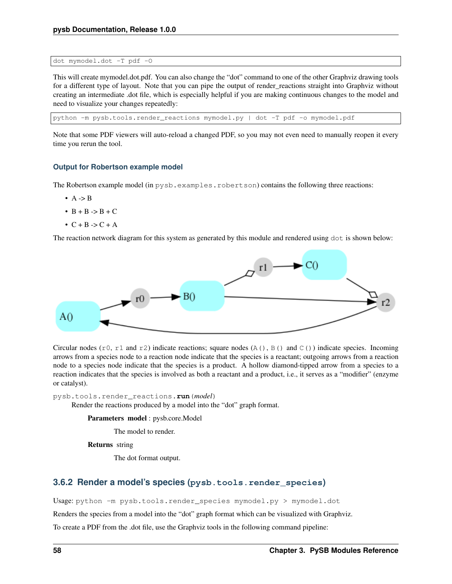dot mymodel.dot -T pdf -O

This will create mymodel.dot.pdf. You can also change the "dot" command to one of the other Graphviz drawing tools for a different type of layout. Note that you can pipe the output of render\_reactions straight into Graphviz without creating an intermediate .dot file, which is especially helpful if you are making continuous changes to the model and need to visualize your changes repeatedly:

python -m pysb.tools.render\_reactions mymodel.py | dot -T pdf -o mymodel.pdf

Note that some PDF viewers will auto-reload a changed PDF, so you may not even need to manually reopen it every time you rerun the tool.

## **Output for Robertson example model**

The Robertson example model (in pysb.examples.robertson) contains the following three reactions:

- $\bullet$  A -> B
- $\bullet$  B + B -> B + C
- $\bullet$  C + B -> C + A

The reaction network diagram for this system as generated by this module and rendered using dot is shown below:



Circular nodes ( $r0$ ,  $r1$  and  $r2$ ) indicate reactions; square nodes (A(), B() and C()) indicate species. Incoming arrows from a species node to a reaction node indicate that the species is a reactant; outgoing arrows from a reaction node to a species node indicate that the species is a product. A hollow diamond-tipped arrow from a species to a reaction indicates that the species is involved as both a reactant and a product, i.e., it serves as a "modifier" (enzyme or catalyst).

pysb.tools.render\_reactions.**run**(*model*)

Render the reactions produced by a model into the "dot" graph format.

Parameters model : pysb.core.Model

The model to render.

Returns string

The dot format output.

## **3.6.2 Render a model's species (pysb.tools.render\_species)**

Usage: python -m pysb.tools.render\_species mymodel.py > mymodel.dot

Renders the species from a model into the "dot" graph format which can be visualized with Graphviz.

To create a PDF from the .dot file, use the Graphviz tools in the following command pipeline: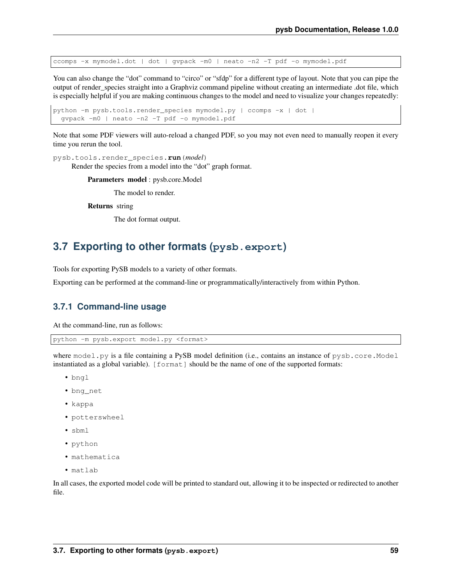ccomps -x mymodel.dot | dot | gvpack -m0 | neato -n2 -T pdf -o mymodel.pdf

You can also change the "dot" command to "circo" or "sfdp" for a different type of layout. Note that you can pipe the output of render\_species straight into a Graphviz command pipeline without creating an intermediate .dot file, which is especially helpful if you are making continuous changes to the model and need to visualize your changes repeatedly:

python -m pysb.tools.render\_species mymodel.py | ccomps -x | dot | gvpack -m0 | neato -n2 -T pdf -o mymodel.pdf

Note that some PDF viewers will auto-reload a changed PDF, so you may not even need to manually reopen it every time you rerun the tool.

pysb.tools.render\_species.**run**(*model*)

Render the species from a model into the "dot" graph format.

Parameters model : pysb.core.Model

The model to render.

Returns string

The dot format output.

# <span id="page-62-0"></span>**3.7 Exporting to other formats (pysb.export)**

Tools for exporting PySB models to a variety of other formats.

Exporting can be performed at the command-line or programmatically/interactively from within Python.

## **3.7.1 Command-line usage**

At the command-line, run as follows:

```
python -m pysb.export model.py <format>
```
where model.py is a file containing a PySB model definition (i.e., contains an instance of pysb.core.Model instantiated as a global variable). [format] should be the name of one of the supported formats:

- bngl
- bng\_net
- kappa
- potterswheel
- sbml
- python
- mathematica
- matlab

In all cases, the exported model code will be printed to standard out, allowing it to be inspected or redirected to another file.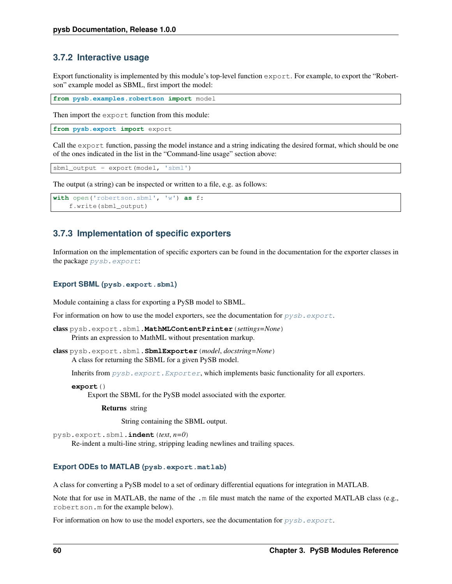## **3.7.2 Interactive usage**

Export functionality is implemented by this module's top-level function export. For example, to export the "Robertson" example model as SBML, first import the model:

**from pysb.examples.robertson import** model

Then import the export function from this module:

**from pysb.export import** export

Call the export function, passing the model instance and a string indicating the desired format, which should be one of the ones indicated in the list in the "Command-line usage" section above:

sbml\_output = export(model, 'sbml')

The output (a string) can be inspected or written to a file, e.g. as follows:

```
with open('robertson.sbml', 'w') as f:
    f.write(sbml_output)
```
## **3.7.3 Implementation of specific exporters**

Information on the implementation of specific exporters can be found in the documentation for the exporter classes in the package [pysb.export](#page-62-0):

## **Export SBML (pysb.export.sbml)**

Module containing a class for exporting a PySB model to SBML.

For information on how to use the model exporters, see the documentation for  $pysb$ .  $export$ .

class pysb.export.sbml.**MathMLContentPrinter**(*settings=None*) Prints an expression to MathML without presentation markup.

class pysb.export.sbml.**SbmlExporter**(*model*, *docstring=None*) A class for returning the SBML for a given PySB model.

Inherits from  $pysb$ .  $export$ . Exporter, which implements basic functionality for all exporters.

**export**()

Export the SBML for the PySB model associated with the exporter.

Returns string

String containing the SBML output.

pysb.export.sbml.**indent**(*text*, *n=0*)

Re-indent a multi-line string, stripping leading newlines and trailing spaces.

## **Export ODEs to MATLAB (pysb.export.matlab)**

A class for converting a PySB model to a set of ordinary differential equations for integration in MATLAB.

Note that for use in MATLAB, the name of the .m file must match the name of the exported MATLAB class (e.g., robertson.m for the example below).

For information on how to use the model exporters, see the documentation for  $pysb$ .  $export$ .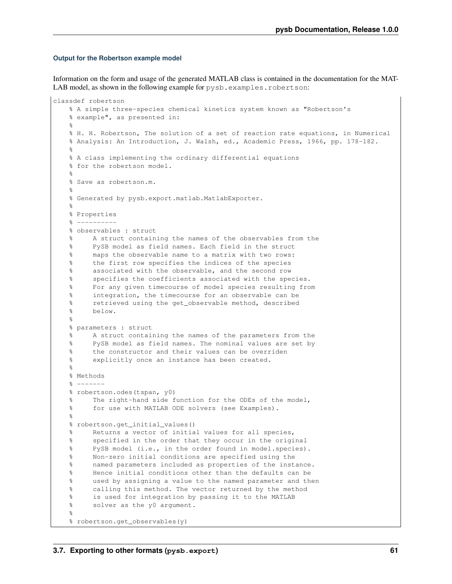## **Output for the Robertson example model**

Information on the form and usage of the generated MATLAB class is contained in the documentation for the MAT-LAB model, as shown in the following example for pysb.examples.robertson:

```
classdef robertson
    % A simple three-species chemical kinetics system known as "Robertson's
    % example", as presented in:
    \mathfrak{p}% H. H. Robertson, The solution of a set of reaction rate equations, in Numerical
   % Analysis: An Introduction, J. Walsh, ed., Academic Press, 1966, pp. 178-182.
    %
   % A class implementing the ordinary differential equations
   % for the robertson model.
   \mathbf{Q}% Save as robertson.m.
   \circ% Generated by pysb.export.matlab.MatlabExporter.
    \mathfrak{p}% Properties
   % ----------
   % observables : struct
    % A struct containing the names of the observables from the
    % PySB model as field names. Each field in the struct
    % maps the observable name to a matrix with two rows:
    % the first row specifies the indices of the species
    % associated with the observable, and the second row
    % specifies the coefficients associated with the species.
    % For any given timecourse of model species resulting from
    % integration, the timecourse for an observable can be
    % retrieved using the get_observable method, described
    % below.
    \approx% parameters : struct
   % A struct containing the names of the parameters from the
   % PySB model as field names. The nominal values are set by
   % the constructor and their values can be overriden
   % explicitly once an instance has been created.
    \frac{1}{2}% Methods
   \frac{6}{8} -------
   % robertson.odes(tspan, y0)
   % The right-hand side function for the ODEs of the model,
    % for use with MATLAB ODE solvers (see Examples).
    \approx% robertson.get_initial_values()
   % Returns a vector of initial values for all species,
    % specified in the order that they occur in the original
    % PySB model (i.e., in the order found in model.species).
    % Non-zero initial conditions are specified using the
    % named parameters included as properties of the instance.
    % Hence initial conditions other than the defaults can be
    % used by assigning a value to the named parameter and then
    % calling this method. The vector returned by the method
   % is used for integration by passing it to the MATLAB
    % solver as the y0 argument.
    \approx% robertson.get_observables(y)
```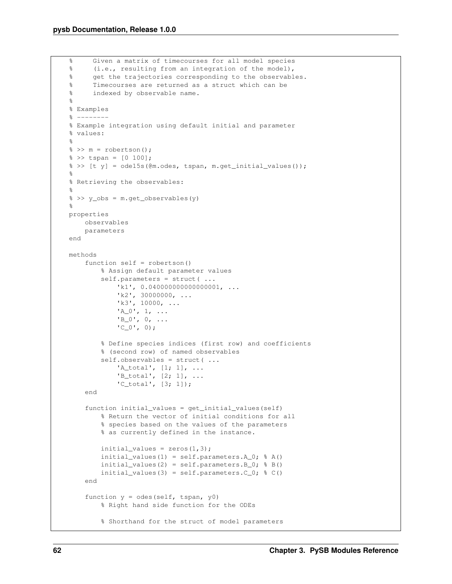```
% Given a matrix of timecourses for all model species
% (i.e., resulting from an integration of the model),
% get the trajectories corresponding to the observables.
% Timecourses are returned as a struct which can be
% indexed by observable name.
\frac{6}{5}% Examples
\frac{6}{6} -------
% Example integration using default initial and parameter
% values:
%
\frac{1}{6} >> m = robertson();
\frac{1}{6} >> tspan = [0 100];
\frac{1}{2} >> [t y] = ode15s(@m.odes, tspan, m.get_initial_values());
\frac{6}{2}% Retrieving the observables:
\circ% >> y_obs = m.get_observables(y)
%
properties
    observables
    parameters
end
methods
    function self = robertson()% Assign default parameter values
        self.parameters = struct( ...
             'k1', 0.0400000000000000001, ...
             'k2', 30000000, ...
             'k3', 10000, ...
             'A_0', 1, \ldots'B_0', 0, ...°C_0', 0);% Define species indices (first row) and coefficients
        % (second row) of named observables
        self.observables = struct( ...
            'A_ttotal', [1; 1], ...'B_t \text{total}', [2; 1], \ldots'C_total', [3; 1]);
    end
    function initial_values = get_initial_values(self)
        % Return the vector of initial conditions for all
        % species based on the values of the parameters
        % as currently defined in the instance.
        initial_values = zeros(1,3);
        initial_values(1) = self.parameters.A_0; % A()
        initial_values(2) = self.parameters. B_0; % B()
        initial_values(3) = self.parameters.C_0; % C()
    end
    function y = odes(self, tspan, y0)
        % Right hand side function for the ODEs
        % Shorthand for the struct of model parameters
```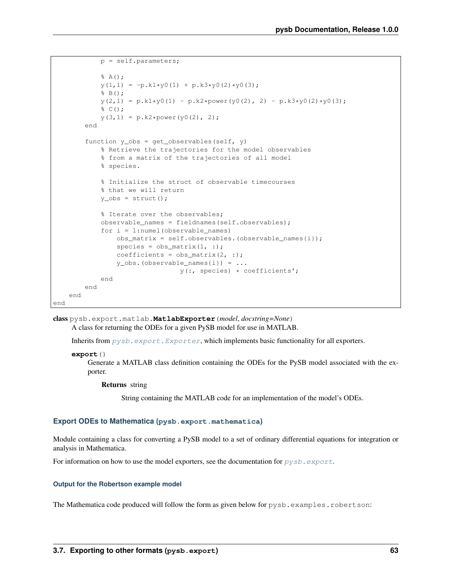```
p = self.parameters;
            % A();
            y(1, 1) = -p.k1*y0(1) + p.k3*y0(2)*y0(3);% B();
            y(2,1) = p.k1*y0(1) - p.k2*power(y0(2), 2) - p.k3*y0(2)*y0(3);% C();
            y(3, 1) = p.k2*power(y0(2), 2);end
        function y_{obs} = get_{observables}(self, y)% Retrieve the trajectories for the model observables
            % from a matrix of the trajectories of all model
            % species.
            % Initialize the struct of observable timecourses
            % that we will return
            y\_obs = struct();
            % Iterate over the observables;
            observable_names = fieldnames(self.observables);
            for i = 1:numel(observable_names)
                obs_matrix = self.observables.(observable_names{i});
                species = obs_matrix(1, :);coefficients = obs_matrix(2, :);y_obs. (observable_names{i}) = ...
                                y(:, species) * coefficients';
            end
        end
    end
end
```
class pysb.export.matlab.**MatlabExporter**(*model*, *docstring=None*) A class for returning the ODEs for a given PySB model for use in MATLAB.

Inherits from  $pysb$ .  $export$ .  $Exporter$ , which implements basic functionality for all exporters.

```
export()
```
Generate a MATLAB class definition containing the ODEs for the PySB model associated with the exporter.

Returns string

String containing the MATLAB code for an implementation of the model's ODEs.

## **Export ODEs to Mathematica (pysb.export.mathematica)**

Module containing a class for converting a PySB model to a set of ordinary differential equations for integration or analysis in Mathematica.

For information on how to use the model exporters, see the documentation for  $pysb$ .  $export$ .

## **Output for the Robertson example model**

The Mathematica code produced will follow the form as given below for pysb.examples.robertson: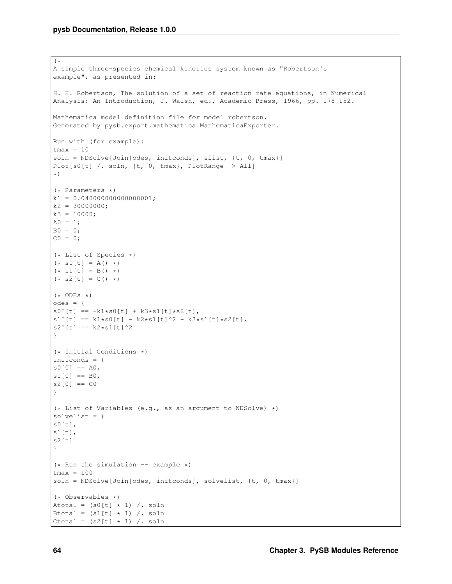```
(*
A simple three-species chemical kinetics system known as "Robertson's
example", as presented in:
H. H. Robertson, The solution of a set of reaction rate equations, in Numerical
Analysis: An Introduction, J. Walsh, ed., Academic Press, 1966, pp. 178-182.
Mathematica model definition file for model robertson.
Generated by pysb.export.mathematica.MathematicaExporter.
Run with (for example):
tmax = 10
soln = NDSolve[Join[odes, initconds], slist, {t, 0, tmax}]
Plot[s0[t] /. soln, {t, 0, tmax}, PlotRange -> All]
*)
(* Parameters *)
k1 = 0.040000000000000001;k2 = 30000000;
k3 = 10000;A0 = 1;BO = 0;CO = 0;(* List of Species *)
(* 50[t] = A() *)(* s1[t] = B() *)(* s2[t] = C() *)(* ODEs *)odes = {s0'[t] == -k1*s0[t] + k3*s1[t]*s2[t],s1'[t] == k1*s0[t] - k2*s1[t]^2 - k3*s1[t]*s2[t],s2' [t] == k2*sl[t]^2}
(* Initial Conditions *)
initconds = {
s0[0] == A0,
s1[0] == B0,
s2[0] == C0}
(* List of Variables (e.g., as an argument to NDSolve) *)
solvelist = {
s0[t],s1[t],
s2[t]}
(* Run the simulation -- example *)tmax = 100
soln = NDSolve[Join[odes, initconds], solvelist, {t, 0, tmax}]
(* Observables *)
Atotal = (s0[t] * 1) /. soln
Btotal = (s1[t] + 1) /. soln
Ctotal = (s2[t] \times 1) /. soln
```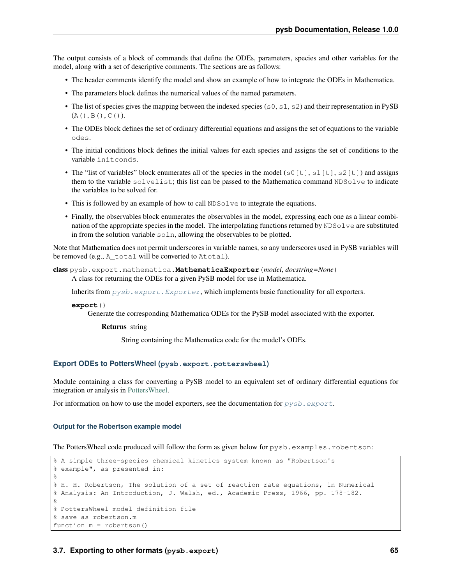The output consists of a block of commands that define the ODEs, parameters, species and other variables for the model, along with a set of descriptive comments. The sections are as follows:

- The header comments identify the model and show an example of how to integrate the ODEs in Mathematica.
- The parameters block defines the numerical values of the named parameters.
- The list of species gives the mapping between the indexed species ( $s0$ ,  $s1$ ,  $s2$ ) and their representation in PySB  $(A()$ ,  $B()$ ,  $C()$ ).
- The ODEs block defines the set of ordinary differential equations and assigns the set of equations to the variable odes.
- The initial conditions block defines the initial values for each species and assigns the set of conditions to the variable initconds.
- The "list of variables" block enumerates all of the species in the model (s0[t], s1[t], s2[t]) and assigns them to the variable solvelist; this list can be passed to the Mathematica command NDSolve to indicate the variables to be solved for.
- This is followed by an example of how to call NDSolve to integrate the equations.
- Finally, the observables block enumerates the observables in the model, expressing each one as a linear combination of the appropriate species in the model. The interpolating functions returned by NDSolve are substituted in from the solution variable soln, allowing the observables to be plotted.

Note that Mathematica does not permit underscores in variable names, so any underscores used in PySB variables will be removed (e.g., A total will be converted to Atotal).

class pysb.export.mathematica.**MathematicaExporter**(*model*, *docstring=None*) A class for returning the ODEs for a given PySB model for use in Mathematica.

Inherits from  $pysb$ .  $export$ .  $Exporter$ , which implements basic functionality for all exporters.

**export**()

Generate the corresponding Mathematica ODEs for the PySB model associated with the exporter.

## Returns string

String containing the Mathematica code for the model's ODEs.

## **Export ODEs to PottersWheel (pysb.export.potterswheel)**

Module containing a class for converting a PySB model to an equivalent set of ordinary differential equations for integration or analysis in [PottersWheel.](http://www.potterswheel.de)

For information on how to use the model exporters, see the documentation for  $pysb$ .  $export$ .

## **Output for the Robertson example model**

The PottersWheel code produced will follow the form as given below for pysb.examples.robertson:

```
% A simple three-species chemical kinetics system known as "Robertson's
% example", as presented in:
\approx% H. H. Robertson, The solution of a set of reaction rate equations, in Numerical
% Analysis: An Introduction, J. Walsh, ed., Academic Press, 1966, pp. 178-182.
\approx% PottersWheel model definition file
% save as robertson.m
function m = robertson()
```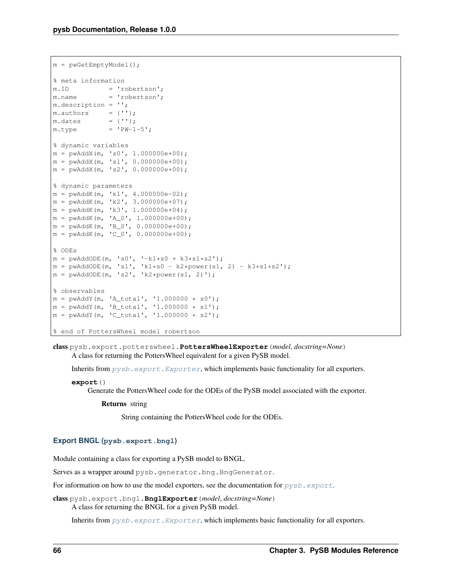```
m = pwGetEmptyModel();
% meta information
m.ID = 'robertson';
m.name = 'robertson';
m.description = '';
m. authors = {''};
m.dates = \{''\'};m.type = 'PW-1-5';% dynamic variables
m = pwAddX(m, 's0', 1.000000e+00);m = pwAddX(m, 's1', 0.000000e+00);
m = pwAddX(m, 's2', 0.000000e+00);
% dynamic parameters
m = pwAddK(m, 'k1', 4.000000e-02);m = pwAddK(m, 'k2', 3.000000e+07);m = \frac{1}{2} pwAddK(m, 'k3', 1.000000e+04);
m = pwAddK(m, 'A_0', 1.000000e+00);
m = pwAddK(m, 'B_0', 0.000000e+00);
m = pwAddK(m, 'C_0', 0.000000e+00);
% ODEs
m = pwAddODE(m, 's0', '-k1*s0 + k3*s1*s2');
m = pwAddODE(m, 's1', 'k1*s0 - k2*power(s1, 2) - k3*s1*s2');
m = pwAddODE(m, 's2', 'k2*power(s1, 2)');
% observables
m = pwAddY(m, 'A_total', '1.000000 * s0');
m = pwAddY(m, 'B_total', '1.000000 * s1');
m = pwAddY(m, 'C_total', '1.000000 * s2');
% end of PottersWheel model robertson
```
class pysb.export.potterswheel.**PottersWheelExporter**(*model*, *docstring=None*) A class for returning the PottersWheel equivalent for a given PySB model.

Inherits from  $pysb$ .  $export$ .  $Exporter$ , which implements basic functionality for all exporters.

```
export()
```
Generate the PottersWheel code for the ODEs of the PySB model associated with the exporter.

Returns string

String containing the PottersWheel code for the ODEs.

## **Export BNGL (pysb.export.bngl)**

Module containing a class for exporting a PySB model to BNGL.

Serves as a wrapper around pysb.generator.bng.BngGenerator.

For information on how to use the model exporters, see the documentation for  $pysb$ .  $export$ .

class pysb.export.bngl.**BnglExporter**(*model*, *docstring=None*) A class for returning the BNGL for a given PySB model.

Inherits from  $pysb$ .  $export$ .  $Exporter$ , which implements basic functionality for all exporters.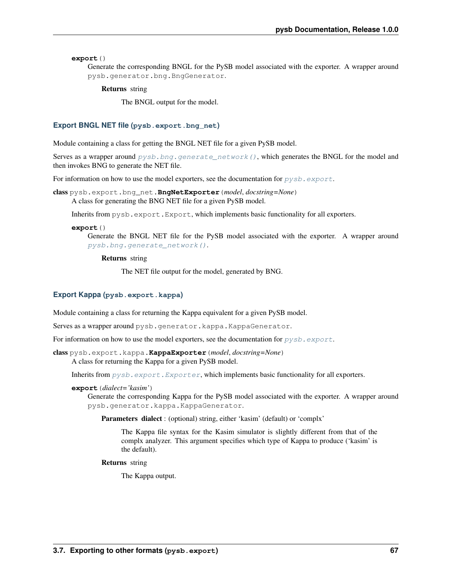**export**()

Generate the corresponding BNGL for the PySB model associated with the exporter. A wrapper around pysb.generator.bng.BngGenerator.

Returns string

The BNGL output for the model.

## **Export BNGL NET file (pysb.export.bng\_net)**

Module containing a class for getting the BNGL NET file for a given PySB model.

Serves as a wrapper around  $pysb.bng.generate\_network()$ , which generates the BNGL for the model and then invokes BNG to generate the NET file.

For information on how to use the model exporters, see the documentation for  $pysb$ .  $export$ .

class pysb.export.bng\_net.**BngNetExporter**(*model*, *docstring=None*) A class for generating the BNG NET file for a given PySB model.

Inherits from pysb.export.Export, which implements basic functionality for all exporters.

#### **export**()

Generate the BNGL NET file for the PySB model associated with the exporter. A wrapper around [pysb.bng.generate\\_network\(\)](#page-38-0).

Returns string

The NET file output for the model, generated by BNG.

## **Export Kappa (pysb.export.kappa)**

Module containing a class for returning the Kappa equivalent for a given PySB model.

Serves as a wrapper around pysb.generator.kappa.KappaGenerator.

For information on how to use the model exporters, see the documentation for  $pysb$ .  $export$ .

class pysb.export.kappa.**KappaExporter**(*model*, *docstring=None*) A class for returning the Kappa for a given PySB model.

Inherits from  $pysb$ .  $export$ . Exporter, which implements basic functionality for all exporters.

#### **export**(*dialect='kasim'*)

Generate the corresponding Kappa for the PySB model associated with the exporter. A wrapper around pysb.generator.kappa.KappaGenerator.

Parameters dialect : (optional) string, either 'kasim' (default) or 'complx'

The Kappa file syntax for the Kasim simulator is slightly different from that of the complx analyzer. This argument specifies which type of Kappa to produce ('kasim' is the default).

Returns string

The Kappa output.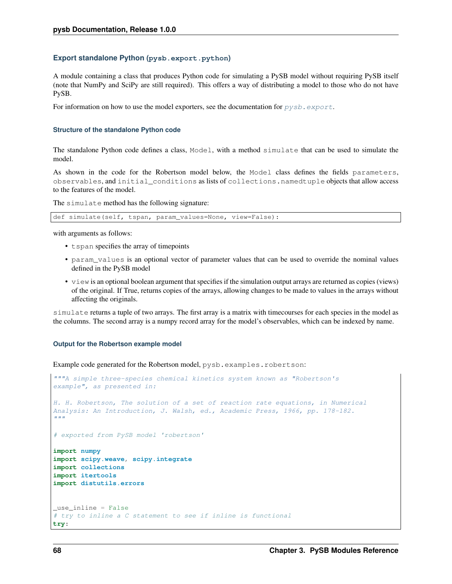## **Export standalone Python (pysb.export.python)**

A module containing a class that produces Python code for simulating a PySB model without requiring PySB itself (note that NumPy and SciPy are still required). This offers a way of distributing a model to those who do not have PySB.

For information on how to use the model exporters, see the documentation for  $pysb$ .  $export$ .

## **Structure of the standalone Python code**

The standalone Python code defines a class, Model, with a method simulate that can be used to simulate the model.

As shown in the code for the Robertson model below, the Model class defines the fields parameters, observables, and initial\_conditions as lists of collections.namedtuple objects that allow access to the features of the model.

The simulate method has the following signature:

def simulate(self, tspan, param\_values=None, view=False):

with arguments as follows:

- tspan specifies the array of timepoints
- param\_values is an optional vector of parameter values that can be used to override the nominal values defined in the PySB model
- view is an optional boolean argument that specifies if the simulation output arrays are returned as copies (views) of the original. If True, returns copies of the arrays, allowing changes to be made to values in the arrays without affecting the originals.

simulate returns a tuple of two arrays. The first array is a matrix with timecourses for each species in the model as the columns. The second array is a numpy record array for the model's observables, which can be indexed by name.

## **Output for the Robertson example model**

Example code generated for the Robertson model, pysb.examples.robertson:

```
"""A simple three-species chemical kinetics system known as "Robertson's
example", as presented in:
H. H. Robertson, The solution of a set of reaction rate equations, in Numerical
Analysis: An Introduction, J. Walsh, ed., Academic Press, 1966, pp. 178-182.
"''"# exported from PySB model 'robertson'
import numpy
import scipy.weave, scipy.integrate
import collections
import itertools
import distutils.errors
_use_inline = False
# try to inline a C statement to see if inline is functional
try:
```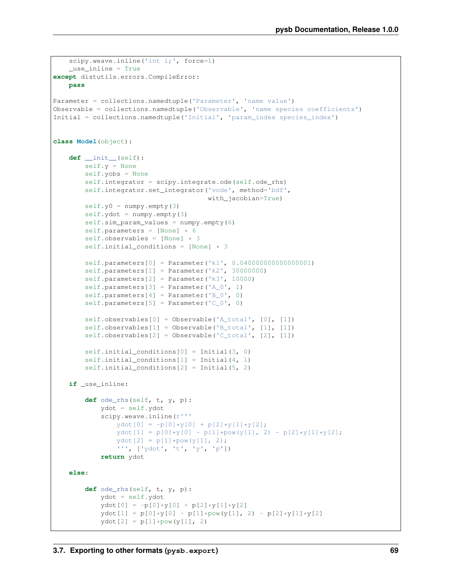```
scipy.weave.inline('int i;', force=1)
    _use_inline = True
except distutils.errors.CompileError:
   pass
Parameter = collections.namedtuple('Parameter', 'name value')
Observable = collections.namedtuple('Observable', 'name species coefficients')
Initial = collections.namedtuple('Initial', 'param_index species_index')
class Model(object):
   def __init__(self):
       self.y = None
        self.yobs = None
        self.integrator = scipy.integrate.ode(self.ode_rhs)
        self.integrator.set_integrator('vode', method='bdf',
                                       with_jacobian=True)
        self.y0 = numpy .empty(3)self.ydot = numpy .empty(3)self.sim_param_values = numpy.empty(6)
       self.parameters = [None] * 6
       self.observables = [None] \star 3
        self.initial_conditions = [None] * 3
        self.parameters[0] = Parameter('k1', 0.040000000000000001)
        self.parameters[1] = Parameter('k2', 30000000)
        self.parameters[2] = Parameter('k3', 10000)
        self.parameters[3] = Parameter('A_0', 1)
        self.parameters[4] = Parameter('B_0', 0)
        self.parameters[5] = Parameter('C_0', 0)
        self.observables[0] = Observable('A_total', [0], [1])
        self.observables[1] = Observable('B_total', [1], [1])
        self.observables[2] = Observable('C_total', [2], [1])
        self.initial_conditions[0] = Initial(3, 0)
        self.initial_conditions[1] = Initial(4, 1)self.initial_conditions[2] = Initial(5, 2)
   if _use_inline:
        def ode_rhs(self, t, y, p):
            ydot = self.ydot
            scipy.weave.inline(r'''
                ydot[0] = -p[0]*y[0] + p[2]*y[1]*y[2];ydot[1] = p[0]*y[0] - p[1]*pow(y[1], 2) - p[2]*y[1]*y[2];ydot[2] = p[1]*pow(y[1], 2);''', ['ydot', 't', 'y', 'p'])
            return ydot
   else:
        def ode_rhs(self, t, y, p):
            ydot = self.ydot
            ydot[0] = -p[0]*y[0] + p[2]*y[1]*y[2]ydot[1] = p[0]*y[0] - p[1]*pow(y[1], 2) - p[2]*y[1]*y[2]ydot[2] = p[1]*pow(y[1], 2)
```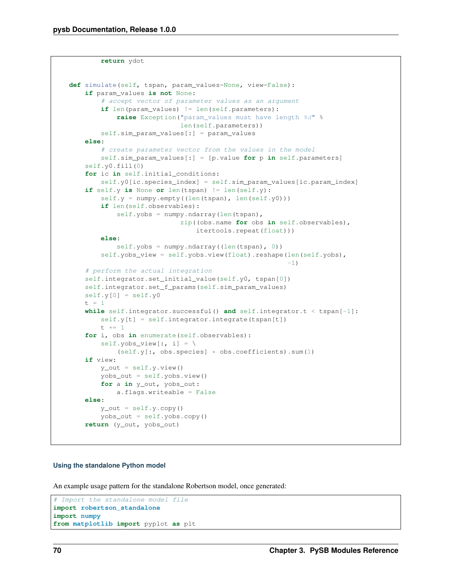**return** ydot

```
def simulate(self, tspan, param_values=None, view=False):
    if param_values is not None:
        # accept vector of parameter values as an argument
        if len(param_values) != len(self.parameters):
            raise Exception("param_values must have length %d" %
                            len(self.parameters))
        self.sim_param_values[:] = param_values
    else:
        # create parameter vector from the values in the model
        self.sim_param_values[:] = [p.value for p in self.parameters]
    self.y0.fill(0)
    for ic in self.initial_conditions:
        self.y0[ic.species_index] = self.sim_param_values[ic.param_index]
    if self.y is None or len(tspan) != len(self.y):
        self.y = numpy .empty((len(tspan), len(self.y0)))if len(self.observables):
            self.yobs = numpy.ndarray(len(tspan),
                            zip((obs.name for obs in self.observables),
                                itertools.repeat(float)))
        else:
            self.yobs = numpy.ndarray((len(tspan), 0))
        self.yobs_view = self.yobs.view(float).reshape(len(self.yobs),
                                                       -1)
    # perform the actual integration
    self.integrator.set_initial_value(self.y0, tspan[0])
    self.integrator.set_f_params(self.sim_param_values)
    self.y[0] = self.y0t = 1while self.integrator.successful() and self.integrator.t < tspan[-1]:
        self.y[t] = self.integrator.integrate(tspan[t])
       t + = 1for i, obs in enumerate(self.observables):
        self.yobs_view[:, i] = \
           (self.y[:, obs.species] * obs.coefficients).sum(1)if view:
        y_out = self.y.*view()yobs_out = self.yobs.view()
       for a in y_out, yobs_out:
            a.flags.writeable = False
    else:
       y_out = self.y.copy()yobs_out = self.yobs.copy()
    return (y_out, yobs_out)
```
#### **Using the standalone Python model**

An example usage pattern for the standalone Robertson model, once generated:

```
# Import the standalone model file
import robertson_standalone
import numpy
from matplotlib import pyplot as plt
```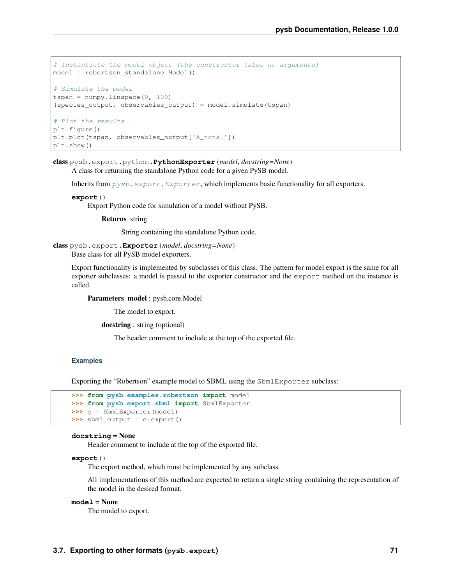```
# Instantiate the model object (the constructor takes no arguments)
model = robertson_standalone.Model()
# Simulate the model
tspan = numpy. linspace (0, 100)
(species_output, observables_output) = model.simulate(tspan)
# Plot the results
plt.figure()
plt.plot(tspan, observables_output['A_total'])
plt.show()
```
class pysb.export.python.**PythonExporter**(*model*, *docstring=None*) A class for returning the standalone Python code for a given PySB model.

Inherits from  $pysb$ .  $export$ . Exporter, which implements basic functionality for all exporters.

#### **export**()

Export Python code for simulation of a model without PySB.

Returns string

String containing the standalone Python code.

```
class pysb.export.Exporter(model, docstring=None)
```
Base class for all PySB model exporters.

Export functionality is implemented by subclasses of this class. The pattern for model export is the same for all exporter subclasses: a model is passed to the exporter constructor and the export method on the instance is called.

Parameters model : pysb.core.Model

The model to export.

docstring : string (optional)

The header comment to include at the top of the exported file.

#### **Examples**

Exporting the "Robertson" example model to SBML using the SbmlExporter subclass:

```
>>> from pysb.examples.robertson import model
>>> from pysb.export.sbml import SbmlExporter
>>> e = SbmlExporter(model)
>>> sbml_output = e.export()
```
#### **docstring** = None

Header comment to include at the top of the exported file.

#### **export**()

The export method, which must be implemented by any subclass.

All implementations of this method are expected to return a single string containing the representation of the model in the desired format.

#### **model** = None

The model to export.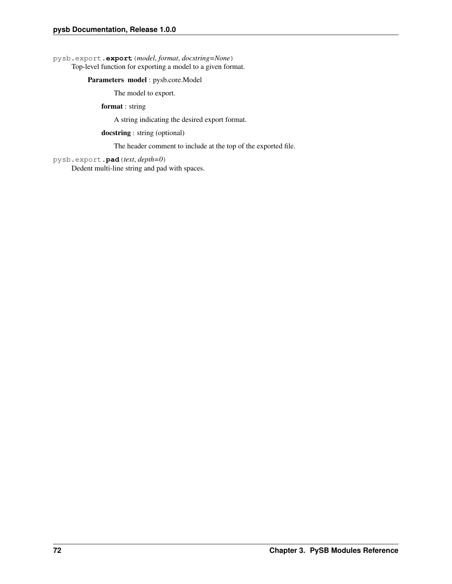<span id="page-75-0"></span>pysb.export.**export**(*model*, *format*, *docstring=None*) Top-level function for exporting a model to a given format.

#### Parameters model : pysb.core.Model

The model to export.

format : string

A string indicating the desired export format.

docstring : string (optional)

The header comment to include at the top of the exported file.

pysb.export.**pad**(*text*, *depth=0*) Dedent multi-line string and pad with spaces.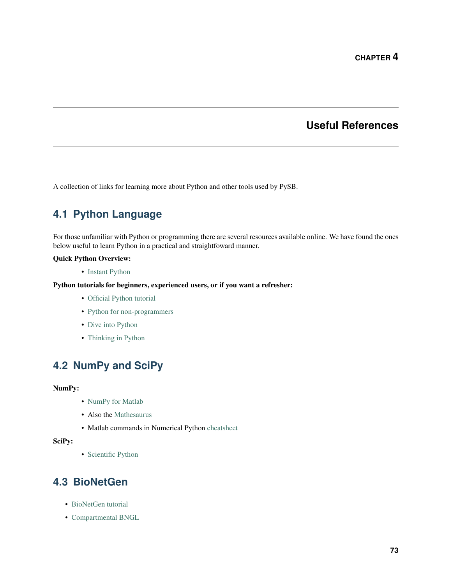### **Useful References**

A collection of links for learning more about Python and other tools used by PySB.

## **4.1 Python Language**

For those unfamiliar with Python or programming there are several resources available online. We have found the ones below useful to learn Python in a practical and straightfoward manner.

#### Quick Python Overview:

• [Instant Python](http://hetland.org/writing/instant-python.html)

#### Python tutorials for beginners, experienced users, or if you want a refresher:

- [Official Python tutorial](http://docs.python.org/tutorial/)
- [Python for non-programmers](http://wiki.python.org/moin/BeginnersGuide/NonProgrammers)
- [Dive into Python](http://www.diveintopython.net/)
- [Thinking in Python](http://www.mindview.net/Books/TIPython)

## **4.2 NumPy and SciPy**

#### NumPy:

- [NumPy for Matlab](http://www.scipy.org/NumPy_for_Matlab_Users/)
- Also the [Mathesaurus](http://mathesaurus.sourceforge.net/matlab-numpy.html)
- Matlab commands in Numerical Python [cheatsheet](http://mathesaurus.sourceforge.net/matlab-python-xref.pdf)

#### SciPy:

• [Scientific Python](http://www.scipy.org/)

### **4.3 BioNetGen**

- [BioNetGen tutorial](http://bionetgen.org/index.php/BioNetGen_Tutorial)
- [Compartmental BNGL](http://bionetgen.org/index.php/Compartments_in_BNGL)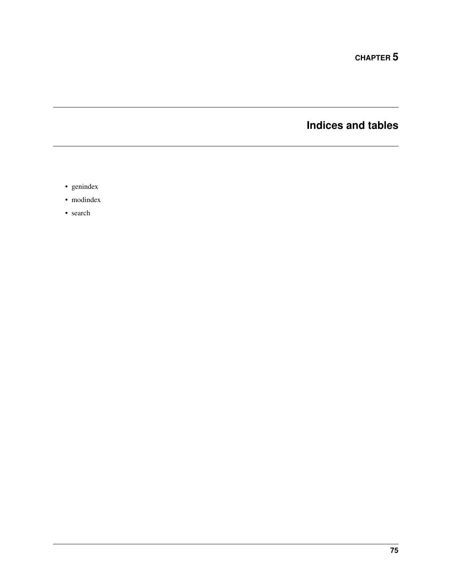**CHAPTER 5**

**Indices and tables**

- genindex
- modindex
- search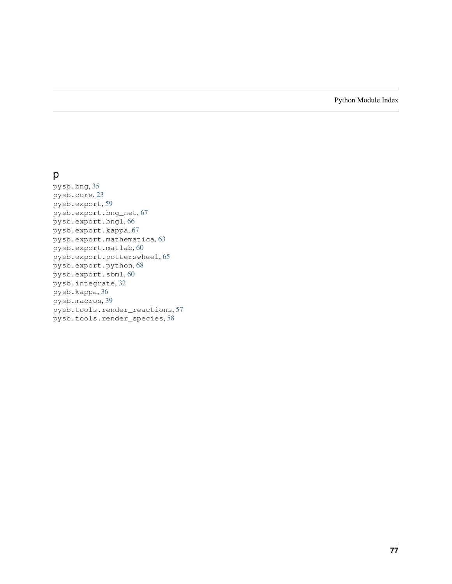Python Module Index

### p

pysb.bng, [35](#page-38-0) pysb.core, [23](#page-26-0) pysb.export, [59](#page-62-0) pysb.export.bng\_net, [67](#page-70-0) pysb.export.bngl, [66](#page-69-0) pysb.export.kappa, [67](#page-70-1) pysb.export.mathematica, [63](#page-66-0) pysb.export.matlab, [60](#page-63-0) pysb.export.potterswheel, [65](#page-68-0) pysb.export.python, [68](#page-71-0) pysb.export.sbml, [60](#page-63-1) pysb.integrate, [32](#page-35-0) pysb.kappa, [36](#page-39-0) pysb.macros, [39](#page-42-0) pysb.tools.render\_reactions, [57](#page-60-0) pysb.tools.render\_species, [58](#page-61-0)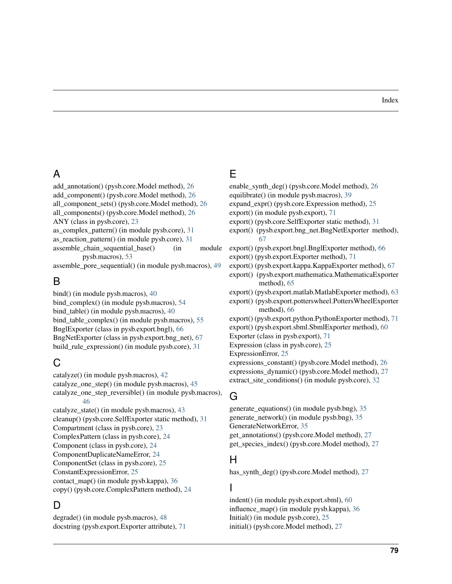### A

add\_annotation() (pysb.core.Model method), [26](#page-29-0) add\_component() (pysb.core.Model method), [26](#page-29-0) all\_component\_sets() (pysb.core.Model method), [26](#page-29-0) all\_components() (pysb.core.Model method), [26](#page-29-0) ANY (class in pysb.core), [23](#page-26-1) as\_complex\_pattern() (in module pysb.core), [31](#page-34-0) as reaction pattern() (in module pysb.core),  $31$ assemble chain sequential base() (in module pysb.macros), [53](#page-56-0) assemble\_pore\_sequential() (in module pysb.macros), [49](#page-52-0)

## B

bind() (in module pysb.macros), [40](#page-43-0) bind\_complex() (in module pysb.macros), [54](#page-57-0) bind table() (in module pysb.macros), [40](#page-43-0) bind\_table\_complex() (in module pysb.macros), [55](#page-58-0) BnglExporter (class in pysb.export.bngl), [66](#page-69-1) BngNetExporter (class in pysb.export.bng\_net), [67](#page-70-2) build rule expression() (in module pysb.core), [31](#page-34-0)

## C

catalyze() (in module pysb.macros), [42](#page-45-0) catalyze one step() (in module pysb.macros),  $45$ catalyze\_one\_step\_reversible() (in module pysb.macros), [46](#page-49-0)

catalyze\_state() (in module pysb.macros), [43](#page-46-0) cleanup() (pysb.core.SelfExporter static method), [31](#page-34-0) Compartment (class in pysb.core), [23](#page-26-1) ComplexPattern (class in pysb.core), [24](#page-27-0) Component (class in pysb.core), [24](#page-27-0) ComponentDuplicateNameError, [24](#page-27-0) ComponentSet (class in pysb.core), [25](#page-28-0) ConstantExpressionError, [25](#page-28-0) contact\_map() (in module pysb.kappa), [36](#page-39-1) copy() (pysb.core.ComplexPattern method), [24](#page-27-0)

# D

degrade() (in module pysb.macros), [48](#page-51-0) docstring (pysb.export.Exporter attribute), [71](#page-74-1)

## E

- enable\_synth\_deg() (pysb.core.Model method), [26](#page-29-0)
- equilibrate() (in module pysb.macros), [39](#page-42-1)
- expand\_expr() (pysb.core.Expression method), [25](#page-28-0)
- export() (in module pysb.export), [71](#page-74-1)
- export() (pysb.core.SelfExporter static method), [31](#page-34-0)
- export() (pysb.export.bng\_net.BngNetExporter method), [67](#page-70-2)

export() (pysb.export.bngl.BnglExporter method), [66](#page-69-1)

- export() (pysb.export.Exporter method), [71](#page-74-1)
- export() (pysb.export.kappa.KappaExporter method), [67](#page-70-2)
- export() (pysb.export.mathematica.MathematicaExporter method), [65](#page-68-1)
- export() (pysb.export.matlab.MatlabExporter method), [63](#page-66-1)
- export() (pysb.export.potterswheel.PottersWheelExporter method), [66](#page-69-1)
- export() (pysb.export.python.PythonExporter method), [71](#page-74-1)
- export() (pysb.export.sbml.SbmlExporter method), [60](#page-63-2)
- Exporter (class in pysb.export), [71](#page-74-1)
- Expression (class in pysb.core), [25](#page-28-0)
- ExpressionError, [25](#page-28-0)
- expressions\_constant() (pysb.core.Model method), [26](#page-29-0)
- expressions dynamic() (pysb.core.Model method), [27](#page-30-0)
- extract\_site\_conditions() (in module pysb.core), [32](#page-35-1)

### G

generate\_equations() (in module pysb.bng), [35](#page-38-1) generate\_network() (in module pysb.bng), [35](#page-38-1) GenerateNetworkError, [35](#page-38-1) get\_annotations() (pysb.core.Model method), [27](#page-30-0) get species index() (pysb.core.Model method), [27](#page-30-0)

### H

has\_synth\_deg() (pysb.core.Model method), [27](#page-30-0)

#### I

indent() (in module pysb.export.sbml), [60](#page-63-2) influence\_map() (in module pysb.kappa), [36](#page-39-1) Initial() (in module pysb.core), [25](#page-28-0) initial() (pysb.core.Model method), [27](#page-30-0)